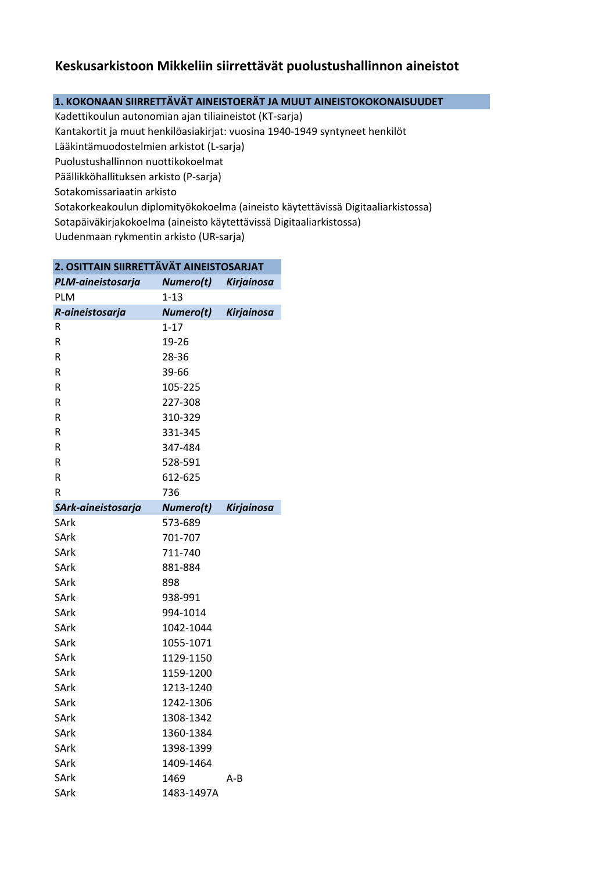## **Keskusarkistoon Mikkeliin siirrettävät puolustushallinnon aineistot**

## **1. KOKONAAN SIIRRETTÄVÄT AINEISTOERÄT JA MUUT AINEISTOKOKONAISUUDET**

Sotakorkeakoulun diplomityökokoelma (aineisto käytettävissä Digitaaliarkistossa) Sotapäiväkirjakokoelma (aineisto käytettävissä Digitaaliarkistossa) Kadettikoulun autonomian ajan tiliaineistot (KT-sarja) Kantakortit ja muut henkilöasiakirjat: vuosina 1940-1949 syntyneet henkilöt Lääkintämuodostelmien arkistot (L-sarja) Puolustushallinnon nuottikokoelmat Päällikköhallituksen arkisto (P-sarja) Sotakomissariaatin arkisto

Uudenmaan rykmentin arkisto (UR-sarja)

| 2. OSITTAIN SIIRRETTÄVÄT AINEISTOSARJAT |                  |                   |  |
|-----------------------------------------|------------------|-------------------|--|
| PLM-aineistosarja                       | Numero(t)        | <b>Kirjainosa</b> |  |
| PLM                                     | $1 - 13$         |                   |  |
| R-aineistosarja                         | <b>Numero(t)</b> | <b>Kirjainosa</b> |  |
| R                                       | 1-17             |                   |  |
| R                                       | 19-26            |                   |  |
| R                                       | 28-36            |                   |  |
| R                                       | 39-66            |                   |  |
| R                                       | 105-225          |                   |  |
| R                                       | 227-308          |                   |  |
| R                                       | 310-329          |                   |  |
| R                                       | 331-345          |                   |  |
| R                                       | 347-484          |                   |  |
| R                                       | 528-591          |                   |  |
| $\mathsf R$                             | 612-625          |                   |  |
| R                                       | 736              |                   |  |
| SArk-aineistosarja                      | Numero(t)        | <b>Kirjainosa</b> |  |
| <b>SArk</b>                             | 573-689          |                   |  |
| SArk                                    | 701-707          |                   |  |
| <b>SArk</b>                             | 711-740          |                   |  |
| SArk                                    | 881-884          |                   |  |
| SArk                                    | 898              |                   |  |
| SArk                                    | 938-991          |                   |  |
| SArk                                    | 994-1014         |                   |  |
| SArk                                    | 1042-1044        |                   |  |
| SArk                                    | 1055-1071        |                   |  |
| SArk                                    | 1129-1150        |                   |  |
| SArk                                    | 1159-1200        |                   |  |
| SArk                                    | 1213-1240        |                   |  |
| SArk                                    | 1242-1306        |                   |  |
| SArk                                    | 1308-1342        |                   |  |
| SArk                                    | 1360-1384        |                   |  |
| SArk                                    | 1398-1399        |                   |  |
| SArk                                    | 1409-1464        |                   |  |
| SArk                                    | 1469             | A-B               |  |
| SArk                                    | 1483-1497A       |                   |  |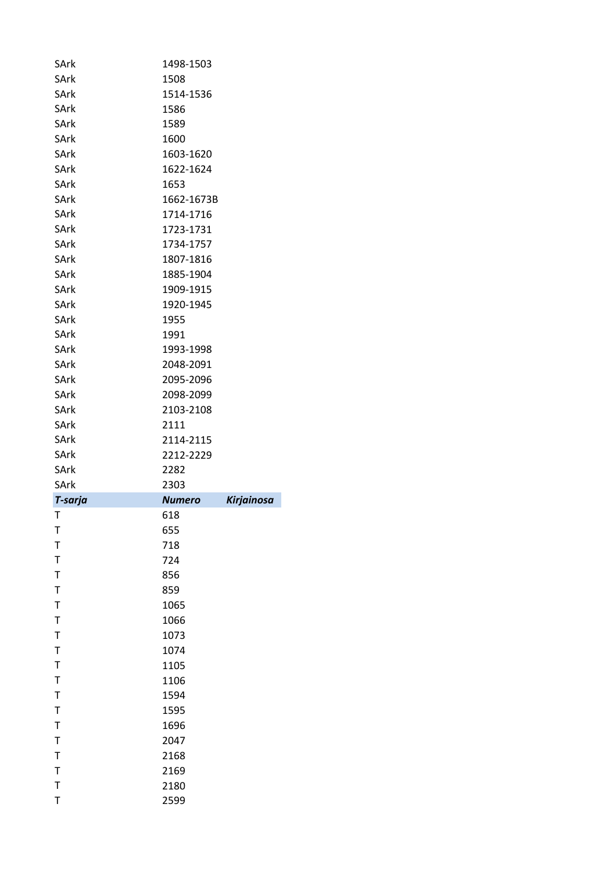| SArk        | 1498-1503     |                   |
|-------------|---------------|-------------------|
| SArk        | 1508          |                   |
| SArk        | 1514-1536     |                   |
| SArk        | 1586          |                   |
| SArk        | 1589          |                   |
| SArk        | 1600          |                   |
| SArk        | 1603-1620     |                   |
| SArk        | 1622-1624     |                   |
| SArk        | 1653          |                   |
| SArk        | 1662-1673B    |                   |
| SArk        | 1714-1716     |                   |
| SArk        | 1723-1731     |                   |
| SArk        | 1734-1757     |                   |
| SArk        | 1807-1816     |                   |
| SArk        | 1885-1904     |                   |
| SArk        | 1909-1915     |                   |
| SArk        | 1920-1945     |                   |
| SArk        | 1955          |                   |
| SArk        | 1991          |                   |
| SArk        | 1993-1998     |                   |
| SArk        | 2048-2091     |                   |
| SArk        | 2095-2096     |                   |
| SArk        | 2098-2099     |                   |
| SArk        | 2103-2108     |                   |
| SArk        | 2111          |                   |
| SArk        | 2114-2115     |                   |
| SArk        | 2212-2229     |                   |
| SArk        | 2282          |                   |
| SArk        | 2303          |                   |
| T-sarja     | <b>Numero</b> | <b>Kirjainosa</b> |
| т           | 618           |                   |
| Т           | 655           |                   |
| $\mathsf T$ | 718           |                   |
| $\mathsf T$ | 724           |                   |
| $\mathsf T$ | 856           |                   |
| $\mathsf T$ | 859           |                   |
| $\mathsf T$ | 1065          |                   |
| $\mathsf T$ | 1066          |                   |
| $\mathsf T$ | 1073          |                   |
| $\mathsf T$ | 1074          |                   |
| $\mathsf T$ | 1105          |                   |
| $\mathsf T$ | 1106          |                   |
| $\mathsf T$ | 1594          |                   |
| $\mathsf T$ | 1595          |                   |
| $\mathsf T$ | 1696          |                   |
| $\mathsf T$ |               |                   |
| $\mathsf T$ | 2047          |                   |
|             | 2168          |                   |
| $\mathsf T$ | 2169          |                   |
| $\mathsf T$ | 2180          |                   |
| $\mathsf T$ | 2599          |                   |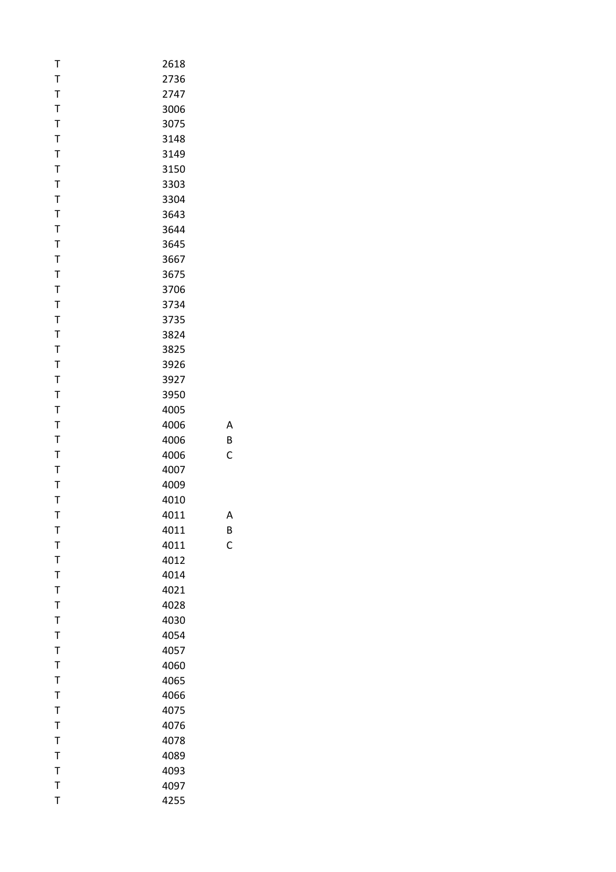| T           | 2618 |   |
|-------------|------|---|
| T           | 2736 |   |
| T           | 2747 |   |
| T           | 3006 |   |
| T           | 3075 |   |
| T           | 3148 |   |
| T           | 3149 |   |
| T           | 3150 |   |
| T           | 3303 |   |
| T           | 3304 |   |
| T           | 3643 |   |
| T           | 3644 |   |
| T           | 3645 |   |
| T           | 3667 |   |
| T           | 3675 |   |
| T           | 3706 |   |
| T           | 3734 |   |
| T           | 3735 |   |
| T           | 3824 |   |
| T           | 3825 |   |
| T           | 3926 |   |
| T           | 3927 |   |
| T           | 3950 |   |
| T           | 4005 |   |
| T           | 4006 | Α |
| T           | 4006 | B |
| T           | 4006 | C |
| T           | 4007 |   |
| T           | 4009 |   |
| T           | 4010 |   |
| T           | 4011 | А |
| Т           | 4011 | В |
| T           | 4011 | C |
| T           | 4012 |   |
| T           | 4014 |   |
| T           | 4021 |   |
| T           | 4028 |   |
| T           | 4030 |   |
| T           | 4054 |   |
| T           | 4057 |   |
| T           | 4060 |   |
| T           | 4065 |   |
| T           | 4066 |   |
| $\mathsf T$ | 4075 |   |
| T           | 4076 |   |
| T           | 4078 |   |
| T           | 4089 |   |
| T           | 4093 |   |
| T           | 4097 |   |
| $\mathsf T$ | 4255 |   |
|             |      |   |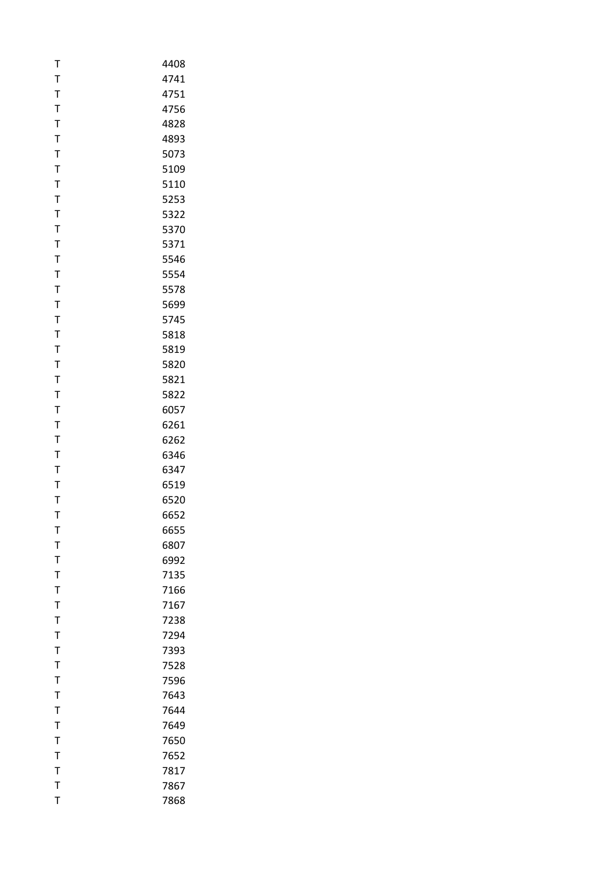| T            | 4408         |
|--------------|--------------|
| T            | 4741         |
| T            | 4751         |
| T            | 4756         |
| T            | 4828         |
| T            | 4893         |
| T            | 5073         |
| T            | 5109         |
| T            | 5110         |
| T            | 5253         |
| T            | 5322         |
| T            | 5370         |
| T            | 5371         |
| T            | 5546         |
| T            | 5554         |
| Τ            | 5578         |
| T            | 5699         |
| T            | 5745         |
| T            | 5818         |
| T            | 5819         |
| T            | 5820         |
| T            | 5821         |
| T            | 5822         |
| T            | 6057         |
| T            | 6261         |
| T            |              |
| T            | 6262<br>6346 |
| T            | 6347         |
| T            |              |
| T            | 6519         |
| T            | 6520<br>6652 |
|              |              |
| т            | 6655         |
| T            | 6807         |
| T            | 6992         |
| T            | 7135         |
| T            | 7166         |
| T            | 7167         |
| T            | 7238         |
| T            | 7294         |
| T            | 7393         |
| T            | 7528         |
| T            | 7596         |
| T            | 7643         |
| T            | 7644         |
| $\mathsf{T}$ | 7649         |
| T            | 7650         |
| T            | 7652         |
| T            | 7817         |
| T            | 7867         |
| T            | 7868         |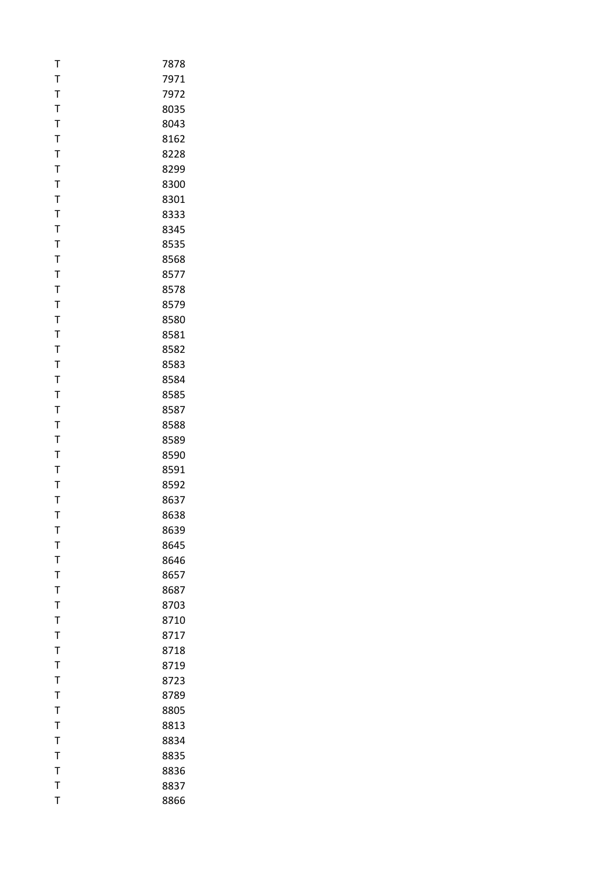| T            | 7878 |
|--------------|------|
| T            | 7971 |
| T            | 7972 |
| T            | 8035 |
| $\mathsf T$  | 8043 |
| T            | 8162 |
| T            | 8228 |
| T            | 8299 |
| T            | 8300 |
| T            | 8301 |
| T            | 8333 |
| T            | 8345 |
| T            | 8535 |
| T            | 8568 |
| T            | 8577 |
| Т            | 8578 |
| T            | 8579 |
| T            | 8580 |
| $\mathsf T$  | 8581 |
| T            | 8582 |
| T            | 8583 |
| T            | 8584 |
| T            | 8585 |
| T            | 8587 |
| T            | 8588 |
| T            | 8589 |
| T            | 8590 |
| T            | 8591 |
| T            | 8592 |
| T            | 8637 |
| T            | 8638 |
| т            | 8639 |
| T            | 8645 |
| T            | 8646 |
| T            | 8657 |
| T            | 8687 |
| T            | 8703 |
| Τ            | 8710 |
| T            | 8717 |
| T            | 8718 |
| $\mathsf{T}$ | 8719 |
| T            | 8723 |
| T            | 8789 |
| T            | 8805 |
| T            | 8813 |
| T            | 8834 |
| T            | 8835 |
| T            | 8836 |
| T            | 8837 |
| T            | 8866 |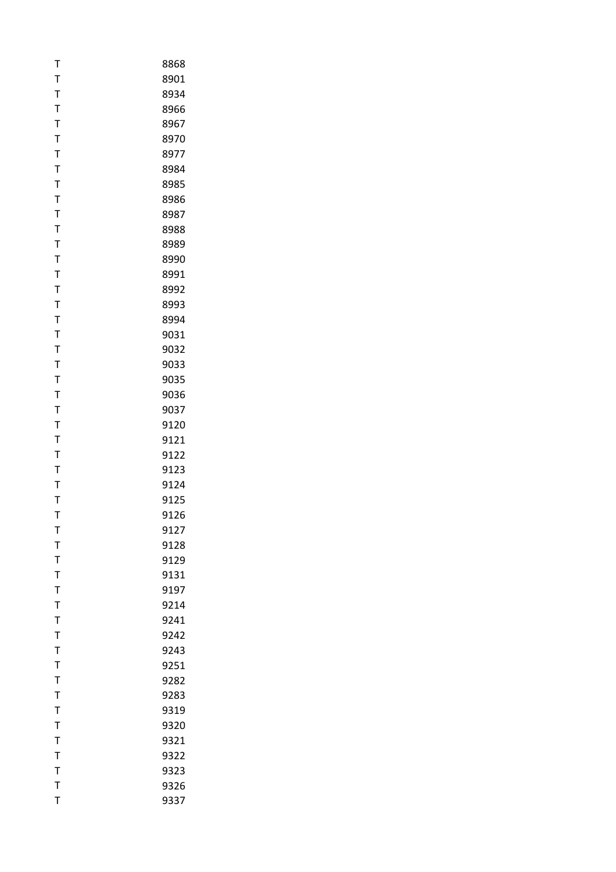| Т           | 8868 |
|-------------|------|
| T           | 8901 |
| T           | 8934 |
| T           | 8966 |
| T           | 8967 |
| T           | 8970 |
| T           | 8977 |
| T           | 8984 |
| T           | 8985 |
| T           | 8986 |
| Т           | 8987 |
| T           | 8988 |
| T           | 8989 |
| T           | 8990 |
| T           | 8991 |
| Т           | 8992 |
| T           | 8993 |
| T           | 8994 |
| T           | 9031 |
| T           | 9032 |
| T           | 9033 |
| T           | 9035 |
| T           | 9036 |
| T           | 9037 |
| T           | 9120 |
| Τ           | 9121 |
| T           | 9122 |
| T           | 9123 |
| T           | 9124 |
| Т           | 9125 |
| T           | 9126 |
| т           | 9127 |
| T           | 9128 |
| T           | 9129 |
| T           | 9131 |
| $\mathsf T$ | 9197 |
| T           | 9214 |
| T           | 9241 |
| T           | 9242 |
| T           | 9243 |
| T           | 9251 |
| T           | 9282 |
| T           | 9283 |
| T           | 9319 |
| T           | 9320 |
| T           | 9321 |
| T           | 9322 |
| $\mathsf T$ | 9323 |
| T           | 9326 |
| T           | 9337 |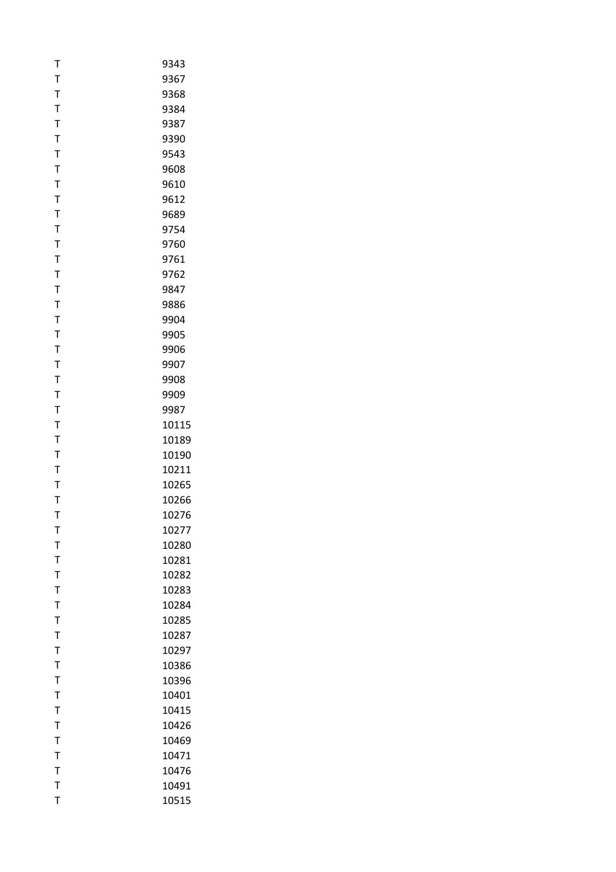| Т           | 9343  |
|-------------|-------|
| T           | 9367  |
| T           | 9368  |
| T           | 9384  |
| T           | 9387  |
| T           | 9390  |
| T           | 9543  |
| T           | 9608  |
| T           | 9610  |
| T           | 9612  |
| Т           | 9689  |
| T           | 9754  |
| T           | 9760  |
| T           | 9761  |
| T           | 9762  |
| Т           | 9847  |
| T           | 9886  |
| T           | 9904  |
| T           | 9905  |
| T           | 9906  |
| T           | 9907  |
| T           | 9908  |
| T           | 9909  |
| T           | 9987  |
| T           | 10115 |
| Τ           | 10189 |
| T           | 10190 |
| T           | 10211 |
| T           | 10265 |
| Т           | 10266 |
| T           | 10276 |
| т           | 10277 |
| T           | 10280 |
| T           | 10281 |
| T           | 10282 |
| $\mathsf T$ | 10283 |
| T           | 10284 |
| Τ           | 10285 |
| T           | 10287 |
| T           | 10297 |
| $\mathsf T$ | 10386 |
| Т           | 10396 |
| T           | 10401 |
| T           | 10415 |
| $\mathsf T$ | 10426 |
| T           | 10469 |
| T           | 10471 |
| T           | 10476 |
| T           | 10491 |
| T           | 10515 |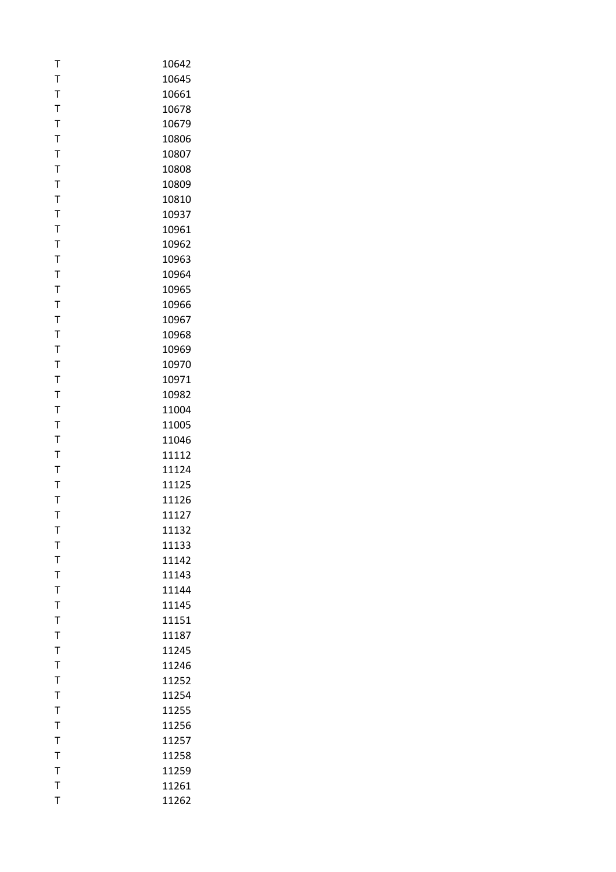| T              | 10642 |
|----------------|-------|
| T              | 10645 |
| T              | 10661 |
| T              | 10678 |
| $\mathsf T$    | 10679 |
| T              | 10806 |
| T              | 10807 |
| T              | 10808 |
| Τ              | 10809 |
| T              | 10810 |
| Т              | 10937 |
| T              | 10961 |
| T              | 10962 |
| T              | 10963 |
| T              | 10964 |
| Τ              | 10965 |
| T              | 10966 |
| T              | 10967 |
| T              | 10968 |
| Т              | 10969 |
| Τ              | 10970 |
| T              | 10971 |
| T              | 10982 |
| $\mathsf T$    | 11004 |
| T              | 11005 |
| Τ              | 11046 |
| T              | 11112 |
| Τ              | 11124 |
| T              | 11125 |
| Т              | 11126 |
| T              | 11127 |
| т              | 11132 |
| T              | 11133 |
| T              | 11142 |
| T              | 11143 |
| T              | 11144 |
| T              | 11145 |
| T              | 11151 |
| T              | 11187 |
| $\mathsf T$    | 11245 |
| T              | 11246 |
| T              | 11252 |
| $\mathsf T$    | 11254 |
| $\overline{1}$ | 11255 |
| $\mathsf T$    | 11256 |
| T              | 11257 |
| Τ              | 11258 |
| $\mathsf T$    | 11259 |
| T              | 11261 |
| T              | 11262 |
|                |       |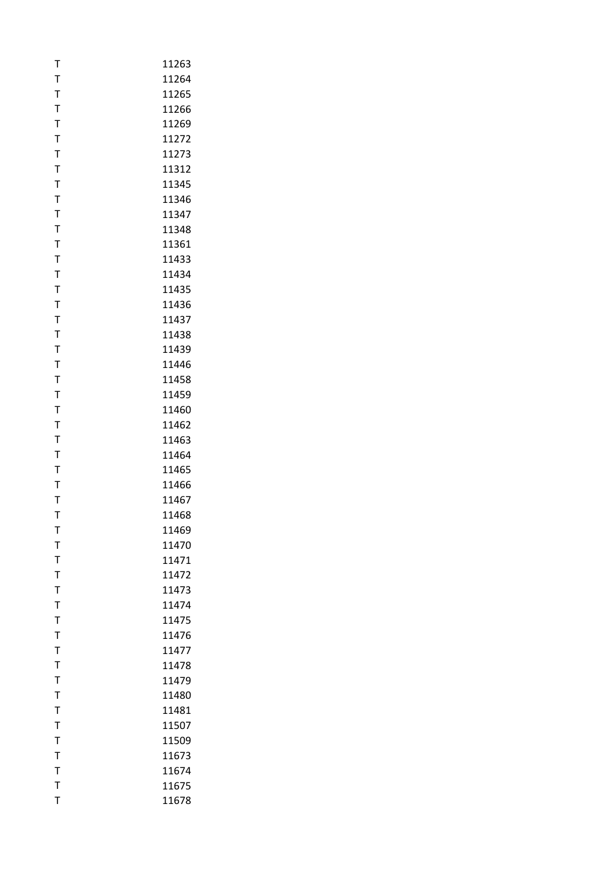| T            | 11263 |
|--------------|-------|
| T            | 11264 |
| T            | 11265 |
| T            | 11266 |
| T            | 11269 |
| T            | 11272 |
| T            | 11273 |
| T            | 11312 |
| T            | 11345 |
| T            | 11346 |
| T            | 11347 |
| T            | 11348 |
| T            | 11361 |
| T            | 11433 |
| T            | 11434 |
| T            | 11435 |
| T            | 11436 |
| T            | 11437 |
| T            | 11438 |
| T            | 11439 |
| T            | 11446 |
| T            | 11458 |
| T            | 11459 |
| T            | 11460 |
| T            | 11462 |
| T            | 11463 |
| T            | 11464 |
| T            | 11465 |
| $\mathsf{T}$ | 11466 |
| T            | 11467 |
| T            | 11468 |
| т            | 11469 |
| T            | 11470 |
| T            | 11471 |
| T            | 11472 |
| T            | 11473 |
| T            | 11474 |
| T            | 11475 |
| T            | 11476 |
| T            | 11477 |
| $\bar{1}$    | 11478 |
| T            | 11479 |
| $\mathsf{T}$ | 11480 |
| $\mathsf T$  | 11481 |
| $\mathsf{T}$ | 11507 |
| T            | 11509 |
| T            | 11673 |
| $\mathsf{T}$ | 11674 |
| T            | 11675 |
| T            | 11678 |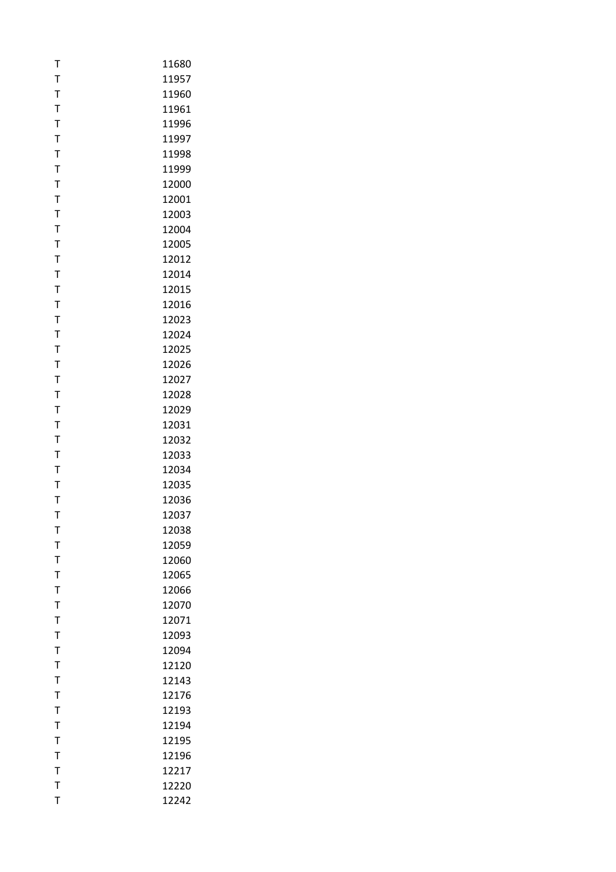| T            | 11680 |
|--------------|-------|
| T            | 11957 |
| T            | 11960 |
| $\mathsf T$  | 11961 |
| $\mathsf{T}$ | 11996 |
| T            | 11997 |
| T            | 11998 |
| T            | 11999 |
| T            | 12000 |
| T            | 12001 |
| T            | 12003 |
| T            | 12004 |
| T            | 12005 |
|              |       |
| T            | 12012 |
| T            | 12014 |
| Τ            | 12015 |
| T            | 12016 |
| $\bar{1}$    | 12023 |
| $\mathsf{T}$ | 12024 |
| T            | 12025 |
| T            | 12026 |
| T            | 12027 |
| $\mathsf T$  | 12028 |
| $\mathsf{T}$ | 12029 |
| T            | 12031 |
| Τ            | 12032 |
| T            | 12033 |
| T            | 12034 |
| T            | 12035 |
| T            | 12036 |
| T            | 12037 |
| т            | 12038 |
| T            | 12059 |
| T            | 12060 |
| T            | 12065 |
| T            | 12066 |
| T            | 12070 |
| T            | 12071 |
| T            | 12093 |
| $\mathsf{T}$ | 12094 |
| T            | 12120 |
| T            | 12143 |
| T            | 12176 |
| T            | 12193 |
| $\mathsf{T}$ | 12194 |
| T            | 12195 |
| Τ            | 12196 |
| T            | 12217 |
| T            | 12220 |
| T            | 12242 |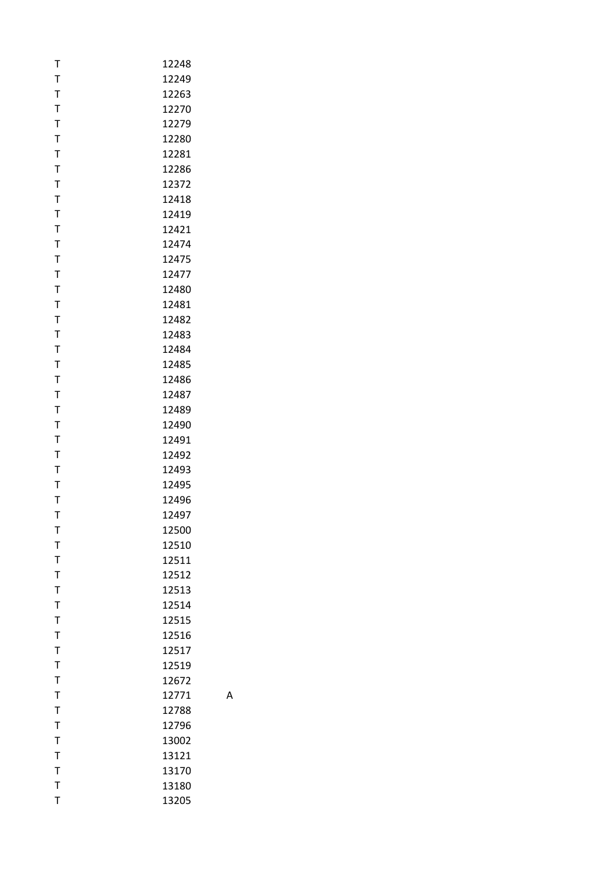| Т            | 12248 |
|--------------|-------|
| T            | 12249 |
| T            | 12263 |
| T            | 12270 |
| T            | 12279 |
| $\mathsf T$  | 12280 |
| T            | 12281 |
| T            | 12286 |
| T            | 12372 |
| T            | 12418 |
| T            | 12419 |
| T            | 12421 |
| T            | 12474 |
| T            | 12475 |
| T            | 12477 |
| Т            | 12480 |
| T            | 12481 |
| T            | 12482 |
| $\mathsf{T}$ | 12483 |
| T            | 12484 |
| T            | 12485 |
| T            | 12486 |
| T            | 12487 |
| T            | 12489 |
| T            | 12490 |
| T            | 12491 |
| T            | 12492 |
| T            | 12493 |
| T            | 12495 |
| T            | 12496 |
| T            | 12497 |
| т            | 12500 |
| T            | 12510 |
| T            | 12511 |
| $\mathsf{T}$ | 12512 |
| T            | 12513 |
| $\mathsf{T}$ | 12514 |
| $\mathsf{T}$ | 12515 |
| T            | 12516 |
| $\mathsf{T}$ | 12517 |
| T            | 12519 |
| T            | 12672 |
| $\mathsf{T}$ | 12771 |
| T            | 12788 |
| $\mathsf{T}$ | 12796 |
| T            | 13002 |
| T            | 13121 |
| $\mathsf{T}$ | 13170 |
| $\mathsf{T}$ | 13180 |
| T            | 13205 |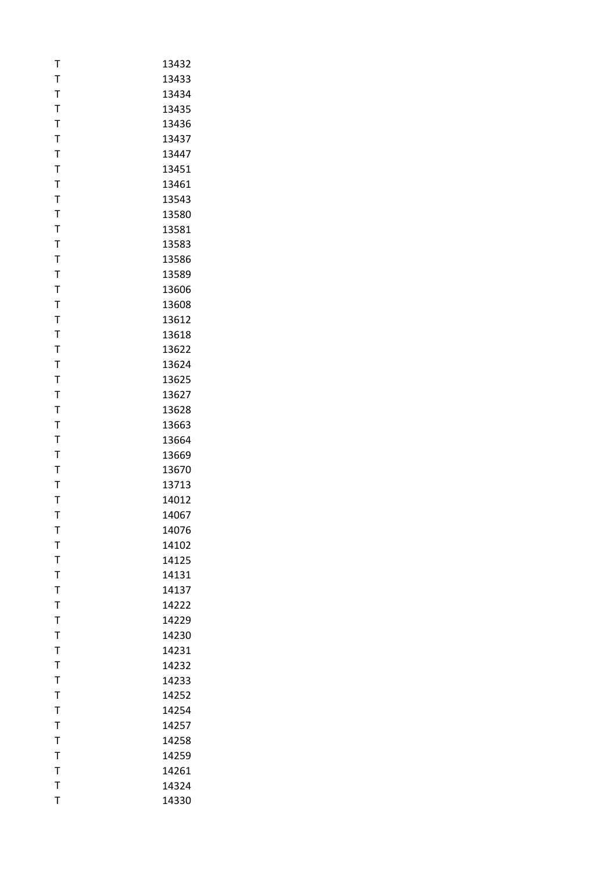| T            | 13432 |
|--------------|-------|
| T            | 13433 |
| T            | 13434 |
| T            | 13435 |
| $\mathsf T$  | 13436 |
| T            | 13437 |
| T            | 13447 |
| T            | 13451 |
| $\mathsf{T}$ | 13461 |
| T            | 13543 |
| T            | 13580 |
| T            | 13581 |
| T            | 13583 |
| $\mathsf{T}$ | 13586 |
| T            | 13589 |
| T            | 13606 |
| T            | 13608 |
| T            | 13612 |
| $\mathsf T$  | 13618 |
| T            | 13622 |
| T            | 13624 |
| T            | 13625 |
| T            | 13627 |
| $\mathsf T$  | 13628 |
| T            | 13663 |
| T            | 13664 |
| T            | 13669 |
| T            | 13670 |
| $\mathsf{T}$ | 13713 |
| T            | 14012 |
| T            | 14067 |
| т            | 14076 |
| T            | 14102 |
| T            | 14125 |
| T            | 14131 |
| T            | 14137 |
| T            | 14222 |
| T            | 14229 |
| T            | 14230 |
| T            | 14231 |
| T            | 14232 |
| T            | 14233 |
| T            | 14252 |
| $\mathsf T$  | 14254 |
| $\mathsf{T}$ | 14257 |
| T            | 14258 |
| T            | 14259 |
| $\mathsf{T}$ | 14261 |
| T            | 14324 |
| T            | 14330 |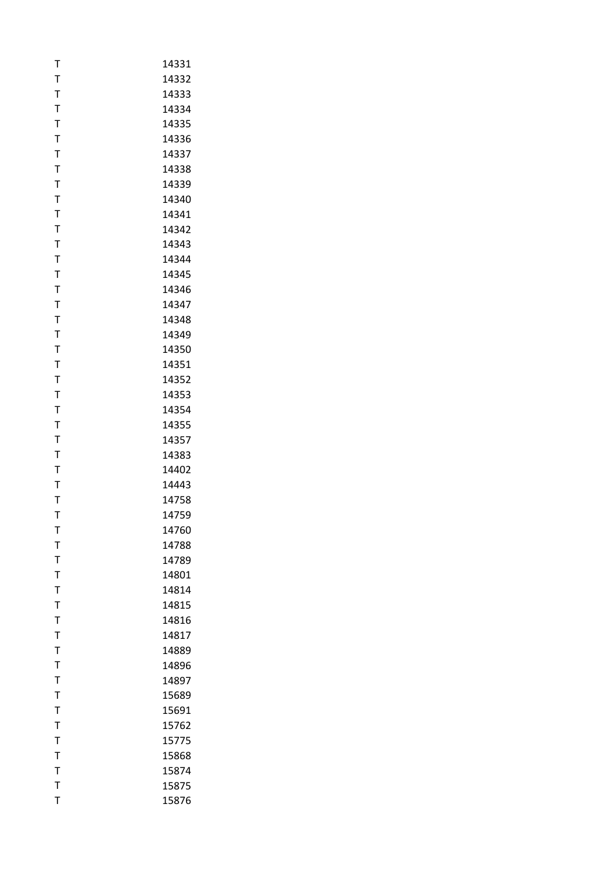| Т            | 14331 |
|--------------|-------|
| T            | 14332 |
| T            | 14333 |
| T            | 14334 |
| $\mathsf{T}$ | 14335 |
| T            | 14336 |
| T            | 14337 |
| T            | 14338 |
| $\mathsf{T}$ | 14339 |
| $\mathsf{T}$ | 14340 |
| Т            | 14341 |
| T            | 14342 |
| T            | 14343 |
| T            | 14344 |
| T            | 14345 |
| T            | 14346 |
| T            | 14347 |
| T            | 14348 |
| T            | 14349 |
| T            | 14350 |
| T            | 14351 |
| T            | 14352 |
| T            | 14353 |
| T            | 14354 |
| T            | 14355 |
| T            | 14357 |
| T            | 14383 |
| T            | 14402 |
| T            | 14443 |
| Т            | 14758 |
| T            | 14759 |
| т            | 14760 |
| T            | 14788 |
| T            | 14789 |
| T            | 14801 |
| T            | 14814 |
| T            | 14815 |
| T            | 14816 |
| $\mathsf T$  | 14817 |
| T            | 14889 |
| T            | 14896 |
| T            | 14897 |
| $\mathsf{T}$ | 15689 |
| T            | 15691 |
| $\mathsf{T}$ | 15762 |
| T            | 15775 |
| T            | 15868 |
| $\mathsf{T}$ | 15874 |
| $\mathsf{T}$ | 15875 |
| T            | 15876 |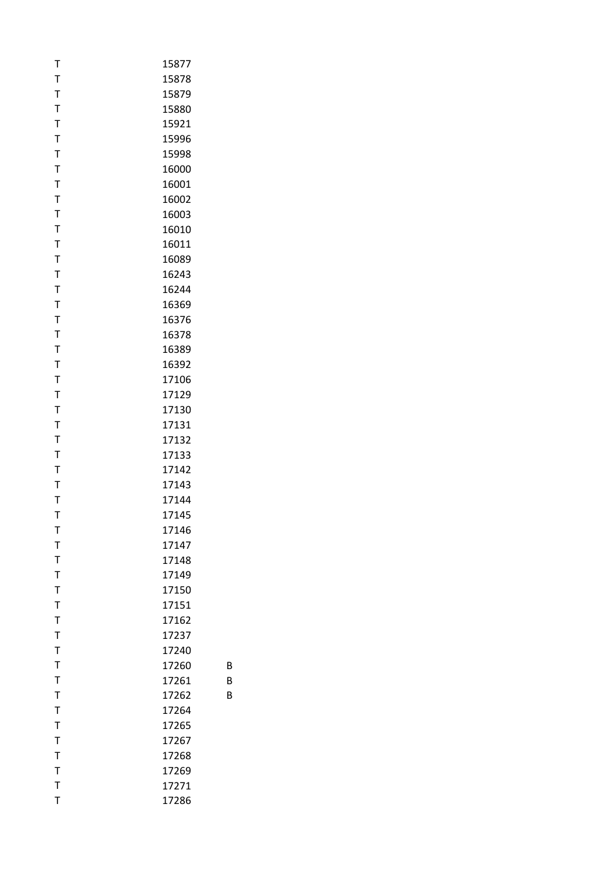| Т            | 15877 |   |
|--------------|-------|---|
| $\mathsf{T}$ | 15878 |   |
| T            | 15879 |   |
| T            | 15880 |   |
| T            | 15921 |   |
| $\mathsf T$  | 15996 |   |
| T            | 15998 |   |
| $\bar{1}$    | 16000 |   |
| T            | 16001 |   |
| T            | 16002 |   |
| T            | 16003 |   |
| T            | 16010 |   |
| $\mathsf{T}$ | 16011 |   |
| $\mathsf{T}$ | 16089 |   |
| T            | 16243 |   |
| T            | 16244 |   |
| $\mathsf{T}$ | 16369 |   |
| T            | 16376 |   |
| T            | 16378 |   |
| T            | 16389 |   |
| T            | 16392 |   |
| T            | 17106 |   |
| T            | 17129 |   |
| T            | 17130 |   |
| T            | 17131 |   |
| T            | 17132 |   |
| $\mathsf T$  | 17133 |   |
| T            | 17142 |   |
| T            | 17143 |   |
| T            | 17144 |   |
| T            | 17145 |   |
|              |       |   |
| т            | 17146 |   |
| T            | 17147 |   |
| T            | 17148 |   |
| T            | 17149 |   |
| $\mathsf{T}$ | 17150 |   |
| T            | 17151 |   |
| $\mathsf T$  | 17162 |   |
| $\bar{I}$    | 17237 |   |
| $\mathsf{T}$ | 17240 |   |
| $\mathsf{T}$ | 17260 | B |
| T            | 17261 | B |
| T            | 17262 | В |
| $\mathsf{T}$ | 17264 |   |
| T            | 17265 |   |
| $\bar{1}$    | 17267 |   |
| T            | 17268 |   |
| T            | 17269 |   |
| $\mathsf{T}$ | 17271 |   |
| T            | 17286 |   |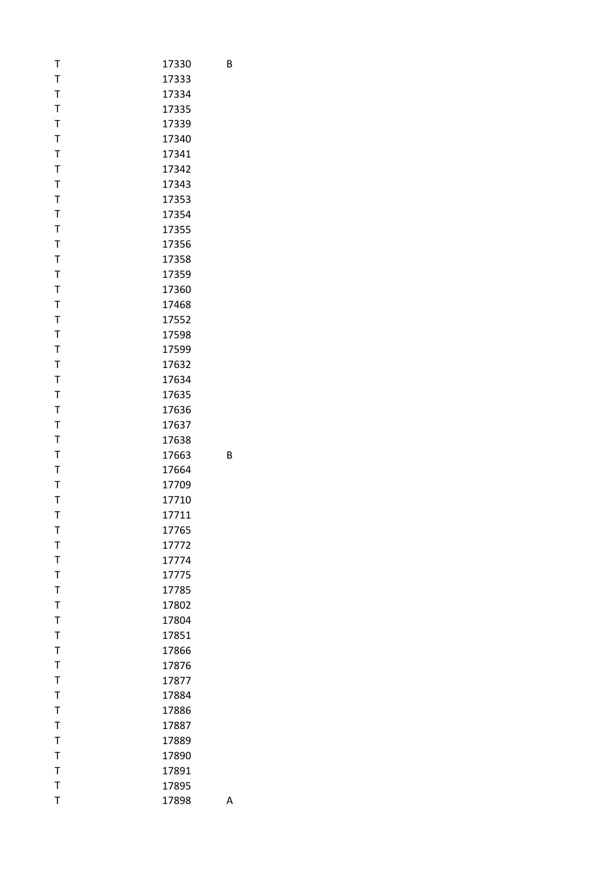| T            | 17330 | В |
|--------------|-------|---|
| $\mathsf T$  | 17333 |   |
| $\mathsf T$  | 17334 |   |
| $\mathsf T$  | 17335 |   |
| $\mathsf T$  | 17339 |   |
| $\mathsf T$  | 17340 |   |
| $\mathsf T$  | 17341 |   |
| $\mathsf T$  | 17342 |   |
| $\mathsf T$  | 17343 |   |
| $\mathsf T$  | 17353 |   |
| $\mathsf T$  | 17354 |   |
| $\mathsf T$  | 17355 |   |
| $\mathsf T$  | 17356 |   |
| $\mathsf T$  | 17358 |   |
| $\mathsf T$  | 17359 |   |
| T            | 17360 |   |
| $\mathsf T$  | 17468 |   |
|              | 17552 |   |
| $\mathsf T$  |       |   |
| $\mathsf{T}$ | 17598 |   |
| $\mathsf T$  | 17599 |   |
| $\mathsf T$  | 17632 |   |
| $\mathsf T$  | 17634 |   |
| $\mathsf T$  | 17635 |   |
| $\mathsf T$  | 17636 |   |
| $\mathsf T$  | 17637 |   |
| $\mathsf T$  | 17638 |   |
| $\mathsf T$  | 17663 | B |
| $\mathsf T$  | 17664 |   |
| $\mathsf T$  | 17709 |   |
| $\mathsf T$  | 17710 |   |
| $\mathsf{T}$ | 17711 |   |
| т            | 17765 |   |
| $\mathsf T$  | 17772 |   |
| $\mathsf T$  | 17774 |   |
| $\mathsf T$  | 17775 |   |
| $\mathsf T$  | 17785 |   |
| T            | 17802 |   |
| $\mathsf T$  | 17804 |   |
| $\mathsf T$  | 17851 |   |
| $\mathsf T$  | 17866 |   |
| $\mathsf T$  | 17876 |   |
| T            | 17877 |   |
| $\mathsf T$  | 17884 |   |
| $\mathsf T$  | 17886 |   |
| $\mathsf T$  | 17887 |   |
| T            | 17889 |   |
|              |       |   |
| T            | 17890 |   |
| $\mathsf T$  | 17891 |   |
| $\mathsf T$  | 17895 |   |
| T            | 17898 | А |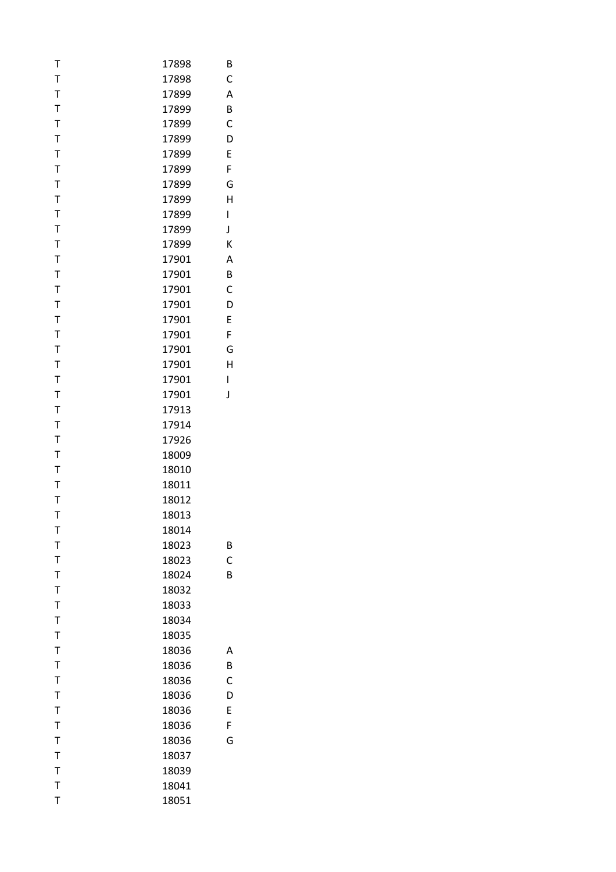| T            | 17898 | В |
|--------------|-------|---|
| $\mathsf T$  | 17898 | C |
| $\mathsf T$  | 17899 | A |
| $\mathsf T$  | 17899 | B |
| T            | 17899 | C |
| $\mathsf T$  | 17899 | D |
| $\mathsf T$  | 17899 | E |
| $\mathsf T$  | 17899 | F |
| $\mathsf T$  | 17899 | G |
| T            | 17899 | Н |
| $\mathsf T$  | 17899 | I |
| $\mathsf T$  | 17899 | J |
| $\mathsf T$  | 17899 | К |
| $\mathsf T$  | 17901 | Α |
| T            | 17901 | B |
| $\mathsf T$  | 17901 | C |
| $\mathsf T$  | 17901 | D |
| $\mathsf T$  | 17901 | E |
| $\mathsf T$  | 17901 | F |
| $\mathsf T$  | 17901 | G |
| $\mathsf T$  |       | Н |
| T            | 17901 |   |
|              | 17901 | I |
| $\mathsf T$  | 17901 | J |
| T            | 17913 |   |
| $\mathsf T$  | 17914 |   |
| $\mathsf T$  | 17926 |   |
| $\mathsf T$  | 18009 |   |
| $\mathsf T$  | 18010 |   |
| T            | 18011 |   |
| $\mathsf T$  | 18012 |   |
| T            | 18013 |   |
| Т            | 18014 |   |
| T            | 18023 | B |
| T            | 18023 | C |
| $\mathsf T$  | 18024 | B |
| T            | 18032 |   |
| $\mathsf T$  | 18033 |   |
| $\mathsf T$  | 18034 |   |
| $\mathsf T$  | 18035 |   |
| $\mathsf T$  | 18036 | Α |
| T            | 18036 | B |
| $\mathsf T$  | 18036 | C |
| $\mathsf T$  | 18036 | D |
| $\mathsf{T}$ | 18036 | E |
| $\mathsf T$  | 18036 | F |
| T            | 18036 | G |
| $\mathsf T$  | 18037 |   |
| $\mathsf{T}$ | 18039 |   |
| T            |       |   |
|              | 18041 |   |
| T            | 18051 |   |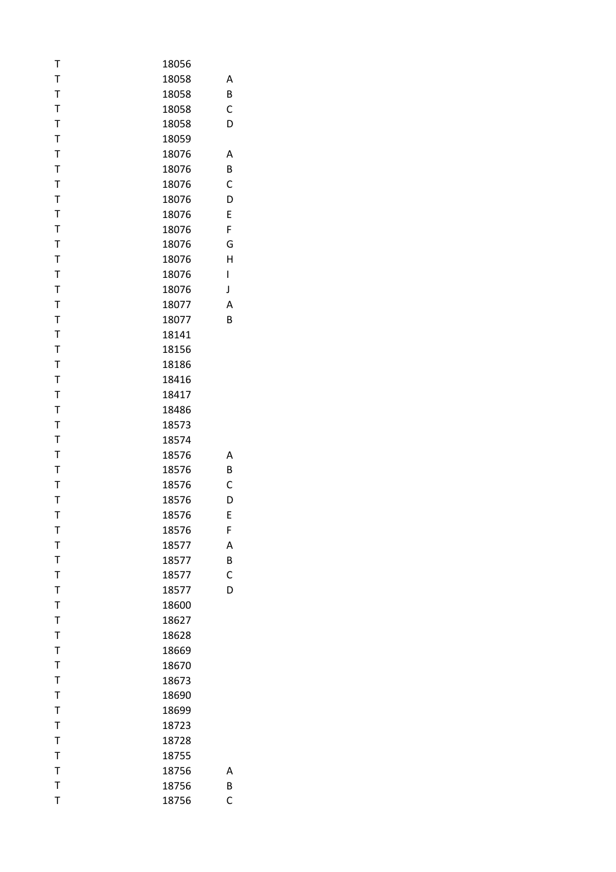| Т            | 18056 |   |
|--------------|-------|---|
| $\mathsf T$  | 18058 | Α |
| $\mathsf T$  | 18058 | B |
| $\mathsf T$  | 18058 | C |
| $\mathsf T$  | 18058 | D |
| T            | 18059 |   |
| $\mathsf T$  | 18076 | Α |
| $\mathsf T$  | 18076 | B |
| $\mathsf{T}$ | 18076 | C |
| $\mathsf T$  | 18076 | D |
| $\mathsf T$  | 18076 | E |
| $\mathsf T$  | 18076 | F |
| $\mathsf T$  | 18076 | G |
| $\mathsf T$  | 18076 | Н |
| T            | 18076 | I |
| $\mathsf T$  | 18076 | J |
| $\mathsf T$  | 18077 | A |
| $\mathsf T$  | 18077 | B |
| $\mathsf T$  | 18141 |   |
| T            | 18156 |   |
| $\mathsf T$  | 18186 |   |
| $\mathsf T$  | 18416 |   |
| $\mathsf{T}$ | 18417 |   |
| $\mathsf T$  | 18486 |   |
|              |       |   |
| T            | 18573 |   |
| $\mathsf T$  | 18574 |   |
| $\mathsf T$  | 18576 | Α |
| $\mathsf T$  | 18576 | B |
| $\mathsf T$  | 18576 | C |
| $\mathsf T$  | 18576 | D |
| T            | 18576 | E |
| Т            | 18576 | F |
| T            | 18577 | A |
| $\mathsf T$  | 18577 | B |
| $\mathsf{T}$ | 18577 | C |
| $\mathsf T$  | 18577 | D |
| $\mathsf T$  | 18600 |   |
| $\mathsf T$  | 18627 |   |
| $\mathsf{T}$ | 18628 |   |
| T            | 18669 |   |
| $\mathsf T$  | 18670 |   |
| $\mathsf T$  | 18673 |   |
| $\mathsf T$  | 18690 |   |
| $\mathsf{T}$ | 18699 |   |
| $\mathsf{T}$ | 18723 |   |
| T            | 18728 |   |
| $\mathsf T$  | 18755 |   |
| $\mathsf T$  | 18756 | Α |
| $\mathsf{T}$ | 18756 | B |
| T            | 18756 | C |
|              |       |   |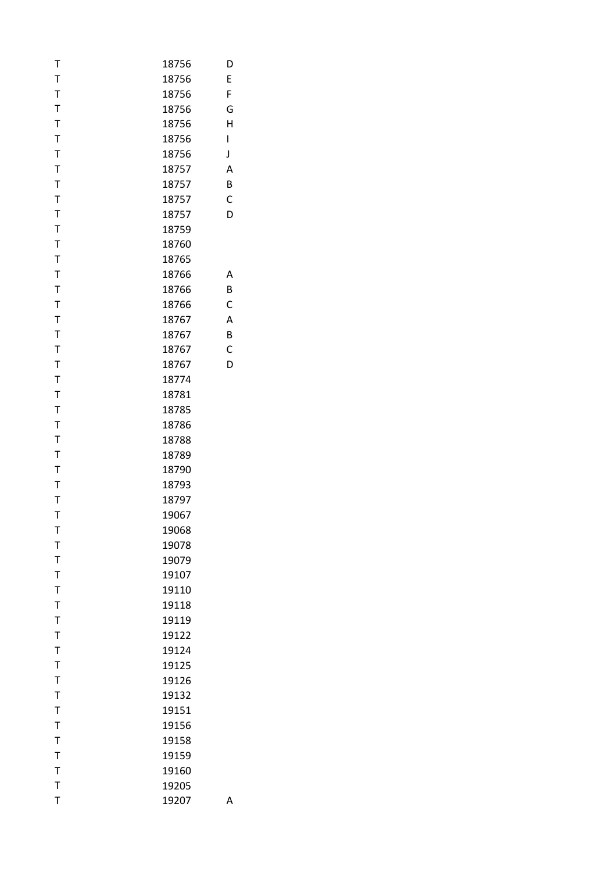| Т            | 18756 | D |
|--------------|-------|---|
| T            | 18756 | E |
| T            | 18756 | F |
| $\mathsf{T}$ | 18756 | G |
| T            | 18756 | Н |
| $\mathsf T$  | 18756 | I |
| T            | 18756 | J |
| T            | 18757 | A |
| T            | 18757 | B |
| T            | 18757 | C |
| $\mathsf T$  | 18757 | D |
| T            | 18759 |   |
| T            | 18760 |   |
| T            | 18765 |   |
| T            | 18766 | А |
| T            | 18766 | B |
| T            | 18766 | C |
| $\mathsf{T}$ | 18767 | Α |
| T            | 18767 | B |
| T            | 18767 | C |
| T            | 18767 | D |
| T            | 18774 |   |
| $\mathsf{T}$ | 18781 |   |
| T            |       |   |
|              | 18785 |   |
| $\mathsf T$  | 18786 |   |
| T            | 18788 |   |
| T            | 18789 |   |
| T            | 18790 |   |
| T            | 18793 |   |
| T            | 18797 |   |
| T            | 19067 |   |
| Τ            | 19068 |   |
| T            | 19078 |   |
| $\mathsf{T}$ | 19079 |   |
| $\mathsf T$  | 19107 |   |
| T            | 19110 |   |
| $\mathsf T$  | 19118 |   |
| T            | 19119 |   |
| $\mathsf{T}$ | 19122 |   |
| T            | 19124 |   |
| T            | 19125 |   |
| $\mathsf T$  | 19126 |   |
| $\mathsf T$  | 19132 |   |
| $\mathsf T$  | 19151 |   |
| T            | 19156 |   |
| T            | 19158 |   |
| $\mathsf T$  | 19159 |   |
| T            | 19160 |   |
| $\mathsf{T}$ | 19205 |   |
| T            | 19207 | Α |
|              |       |   |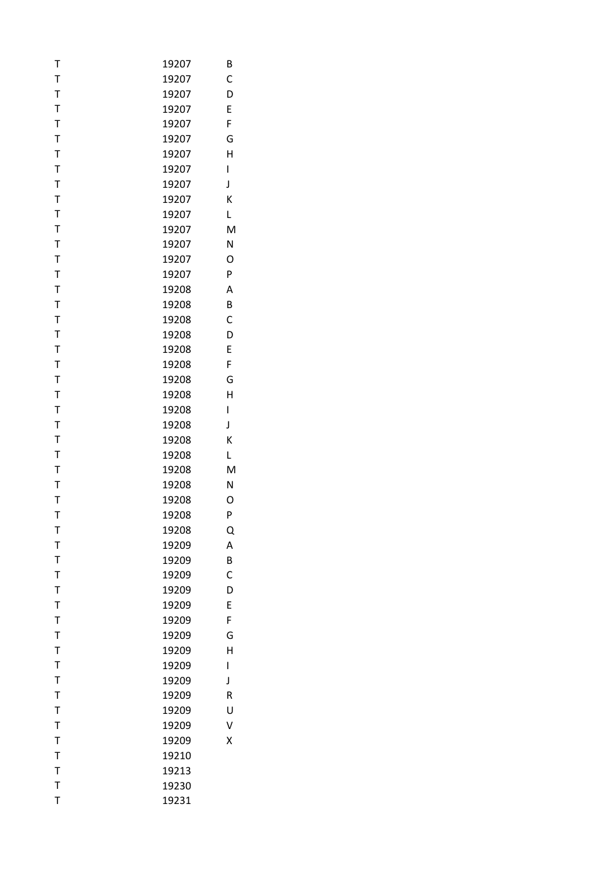| Т           | 19207          | В |
|-------------|----------------|---|
| T           | 19207          | C |
| $\mathsf T$ | 19207          | D |
| $\mathsf T$ | 19207          | E |
| $\mathsf T$ | 19207          | F |
| T           | 19207          | G |
| $\mathsf T$ | 19207          | Н |
| T           | 19207          | I |
| $\mathsf T$ | 19207          | J |
| $\mathsf T$ | 19207          | К |
| T           | 19207          | L |
| $\mathsf T$ | 19207          | M |
| $\mathsf T$ | 19207          | N |
| $\mathsf T$ | 19207          | O |
| $\mathsf T$ | 19207          | P |
| $\mathsf T$ | 19208          | A |
| $\mathsf T$ | 19208          | B |
| $\mathsf T$ | 19208          | C |
| $\mathsf T$ | 19208          | D |
| T           | 19208          | E |
| $\mathsf T$ | 19208          | F |
| $\mathsf T$ | 19208          | G |
| $\mathsf T$ | 19208          | Н |
| $\mathsf T$ | 19208          | I |
| T           | 19208          | J |
| $\mathsf T$ | 19208          | К |
| $\mathsf T$ | 19208          | L |
| $\mathsf T$ | 19208          | M |
| $\mathsf T$ |                | N |
| $\mathsf T$ | 19208          | O |
| T           | 19208<br>19208 | P |
|             |                |   |
| Т           | 19208          | Q |
| T           | 19209          | A |
| $\mathsf T$ | 19209          | B |
| $\mathsf T$ | 19209          | C |
| $\mathsf T$ | 19209          | D |
| T           | 19209          | E |
| T           | 19209          | F |
| $\mathsf T$ | 19209          | G |
| T           | 19209          | Н |
| $\mathsf T$ | 19209          | I |
| $\mathsf T$ | 19209          | J |
| $\mathsf T$ | 19209          | R |
| $\mathsf T$ | 19209          | U |
| $\bar{1}$   | 19209          | V |
| T           | 19209          | X |
| $\mathsf T$ | 19210          |   |
| $\mathsf T$ | 19213          |   |
| $\mathsf T$ | 19230          |   |
| T           | 19231          |   |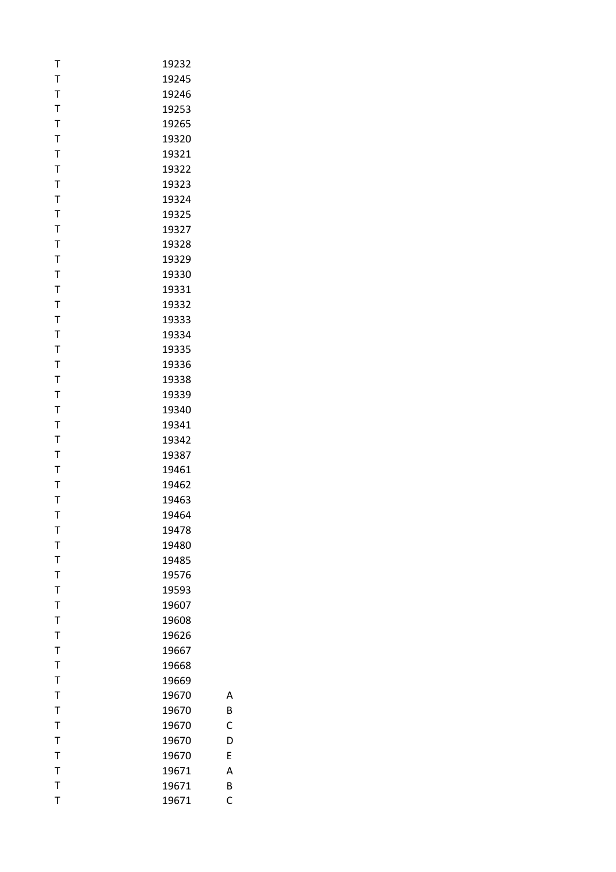| Т         | 19232 |
|-----------|-------|
| T         | 19245 |
| T         | 19246 |
| T         | 19253 |
| T         | 19265 |
| T         | 19320 |
| T         | 19321 |
| T         | 19322 |
| T         | 19323 |
| T         | 19324 |
| T         | 19325 |
| T         | 19327 |
| T         | 19328 |
| T         | 19329 |
| T         | 19330 |
| Т         | 19331 |
| T         | 19332 |
| T         | 19333 |
| T         | 19334 |
| T         | 19335 |
| T         | 19336 |
| T         | 19338 |
| T         | 19339 |
| T         | 19340 |
| T         | 19341 |
| Т         | 19342 |
| T         | 19387 |
| T         | 19461 |
| T         | 19462 |
| Т         | 19463 |
| T         | 19464 |
| т         | 19478 |
| T         | 19480 |
| T         | 19485 |
| T         | 19576 |
| T         | 19593 |
| T         | 19607 |
| T         | 19608 |
| T         | 19626 |
| T         | 19667 |
| T         | 19668 |
| Т         | 19669 |
| T         | 19670 |
| $\bar{1}$ | 19670 |
| T         | 19670 |
| T         | 19670 |
| Т         | 19670 |
| T         | 19671 |
| T         | 19671 |
| T         | 19671 |
|           |       |

B

C

D

E

A

B

C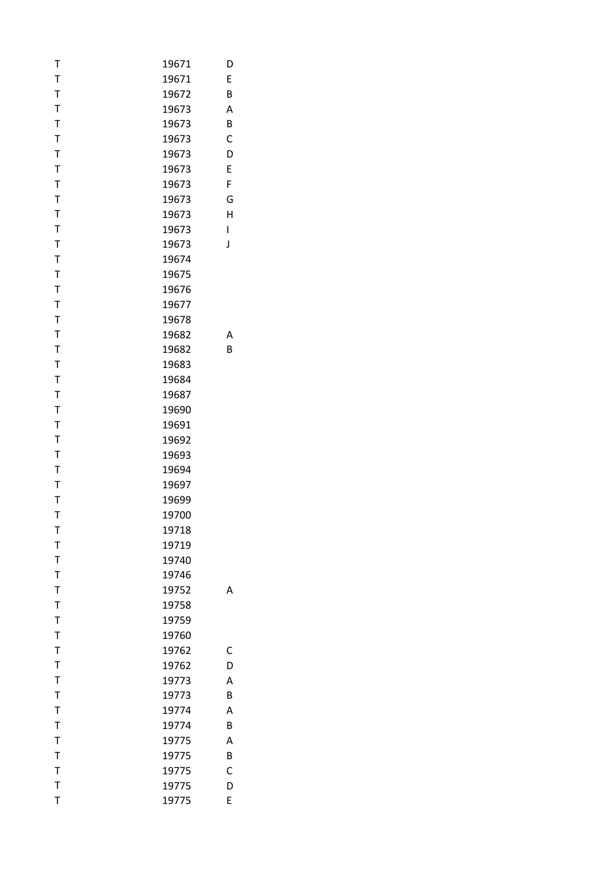| Т            | 19671 | D            |
|--------------|-------|--------------|
| $\mathsf T$  | 19671 | E            |
| $\mathsf T$  | 19672 | B            |
| $\mathsf T$  | 19673 | A            |
| $\mathsf T$  | 19673 | B            |
| $\mathsf T$  | 19673 | C            |
| $\mathsf T$  | 19673 | D            |
| T            | 19673 | E            |
| $\mathsf T$  | 19673 | F            |
| T            | 19673 | G            |
| $\mathsf T$  | 19673 | H            |
| $\mathsf T$  | 19673 | I            |
| $\mathsf T$  | 19673 | J            |
| $\mathsf T$  | 19674 |              |
| T            | 19675 |              |
| $\mathsf T$  | 19676 |              |
| $\mathsf T$  | 19677 |              |
| $\mathsf T$  | 19678 |              |
| $\mathsf T$  | 19682 | Α            |
| T            | 19682 | B            |
| $\mathsf T$  |       |              |
| $\mathsf T$  | 19683 |              |
|              | 19684 |              |
| $\mathsf T$  | 19687 |              |
| $\mathsf T$  | 19690 |              |
| $\mathsf T$  | 19691 |              |
| $\mathsf T$  | 19692 |              |
| T            | 19693 |              |
| $\mathsf T$  | 19694 |              |
| T            | 19697 |              |
| $\mathsf T$  | 19699 |              |
| $\mathsf{T}$ | 19700 |              |
| Т            | 19718 |              |
| $\mathsf T$  | 19719 |              |
| $\mathsf T$  | 19740 |              |
| $\mathsf T$  | 19746 |              |
| $\mathsf T$  | 19752 | A            |
| $\mathsf T$  | 19758 |              |
| $\mathsf T$  | 19759 |              |
| $\mathsf T$  | 19760 |              |
| $\mathsf T$  | 19762 | C            |
| T            | 19762 | D            |
| $\mathsf T$  | 19773 | A            |
| $\mathsf T$  | 19773 | B            |
| $\mathsf T$  | 19774 | A            |
| $\mathsf T$  | 19774 | B            |
| T            | 19775 | A            |
| $\mathsf T$  | 19775 | B            |
| $\mathsf T$  | 19775 | $\mathsf{C}$ |
| $\mathsf T$  | 19775 | D            |
| T            | 19775 | E            |
|              |       |              |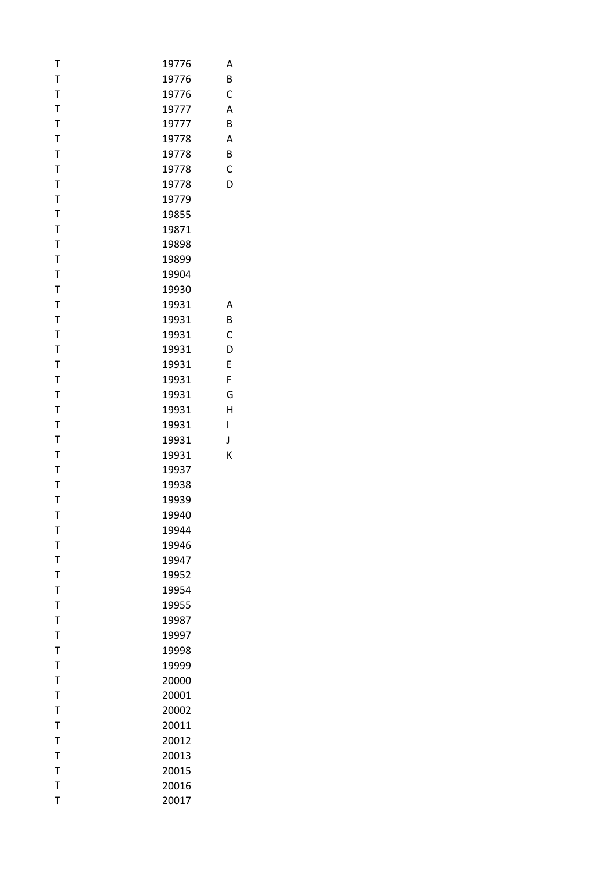| Τ            | 19776 | Α |
|--------------|-------|---|
| $\mathsf T$  | 19776 | B |
| $\mathsf T$  | 19776 | C |
| $\mathsf T$  | 19777 | A |
| $\mathsf T$  | 19777 | B |
| $\mathsf T$  | 19778 | Α |
| $\mathsf T$  | 19778 | B |
| $\mathsf T$  | 19778 | C |
| $\mathsf T$  | 19778 | D |
| $\mathsf T$  | 19779 |   |
| $\mathsf T$  | 19855 |   |
| $\mathsf T$  | 19871 |   |
| $\mathsf{T}$ | 19898 |   |
| $\mathsf T$  | 19899 |   |
| $\mathsf T$  | 19904 |   |
| $\mathsf T$  | 19930 |   |
| $\mathsf T$  | 19931 | Α |
| $\mathsf{T}$ | 19931 | B |
| $\mathsf{T}$ | 19931 | С |
| $\mathsf T$  | 19931 | D |
| $\mathsf T$  | 19931 | E |
| $\mathsf T$  | 19931 | F |
| $\mathsf T$  | 19931 | G |
| $\mathsf T$  | 19931 | H |
| $\mathsf T$  | 19931 | I |
| $\mathsf T$  | 19931 | J |
| $\mathsf T$  | 19931 | K |
| $\mathsf T$  | 19937 |   |
| $\mathsf T$  | 19938 |   |
| $\mathsf{T}$ | 19939 |   |
| $\mathsf{T}$ | 19940 |   |
| Т            | 19944 |   |
| $\mathsf T$  | 19946 |   |
| $\mathsf T$  | 19947 |   |
| $\mathsf T$  | 19952 |   |
| $\mathsf T$  | 19954 |   |
| $\mathsf T$  | 19955 |   |
| $\mathsf T$  | 19987 |   |
| $\mathsf T$  | 19997 |   |
| $\mathsf T$  | 19998 |   |
| $\mathsf T$  | 19999 |   |
| $\mathsf T$  | 20000 |   |
| $\mathsf T$  | 20001 |   |
| $\mathsf{T}$ | 20002 |   |
| $\mathsf T$  | 20011 |   |
| $\mathsf T$  | 20012 |   |
| $\mathsf T$  | 20013 |   |
| $\mathsf T$  | 20015 |   |
| $\mathsf{T}$ | 20016 |   |
| $\mathsf T$  | 20017 |   |
|              |       |   |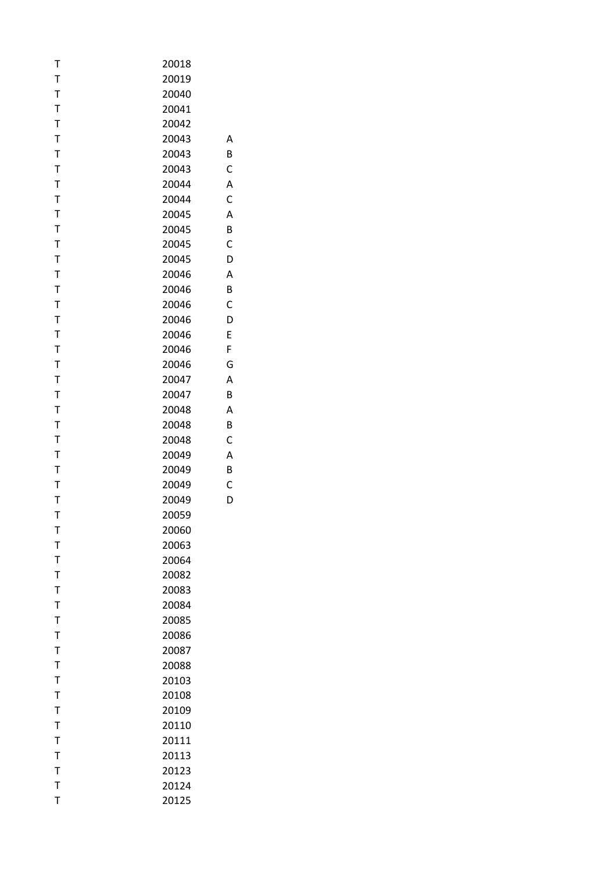| Т           | 20018 |   |
|-------------|-------|---|
| $\mathsf T$ | 20019 |   |
| T           | 20040 |   |
| $\mathsf T$ | 20041 |   |
| $\mathsf T$ | 20042 |   |
| T           | 20043 | Α |
| $\mathsf T$ | 20043 | В |
| T           | 20043 | C |
| $\mathsf T$ | 20044 | Α |
| $\mathsf T$ | 20044 | C |
| T           | 20045 | A |
| $\mathsf T$ | 20045 | В |
| $\mathsf T$ | 20045 | C |
| $\mathsf T$ | 20045 | D |
| $\mathsf T$ | 20046 | A |
| $\mathsf T$ | 20046 | B |
| $\mathsf T$ | 20046 | C |
| T           | 20046 | D |
| $\mathsf T$ | 20046 | E |
| T           | 20046 | F |
| $\mathsf T$ | 20046 | G |
| $\mathsf T$ | 20047 | A |
| T           | 20047 | В |
| T           | 20048 | A |
| T           | 20048 | В |
| $\mathsf T$ | 20048 | C |
| T           | 20049 | A |
| $\mathsf T$ | 20049 | B |
| $\mathsf T$ | 20049 | C |
| T           | 20049 | D |
| T           | 20059 |   |
| т           | 20060 |   |
| $\mathsf T$ | 20063 |   |
| T           | 20064 |   |
| $\mathsf T$ | 20082 |   |
| $\mathsf T$ | 20083 |   |
| T           | 20084 |   |
| $\mathsf T$ | 20085 |   |
| T           | 20086 |   |
| $\mathsf T$ | 20087 |   |
| T           | 20088 |   |
| $\mathsf T$ | 20103 |   |
| $\mathsf T$ | 20108 |   |
| T           | 20109 |   |
| $\mathsf T$ | 20110 |   |
| T           | 20111 |   |
| T           | 20113 |   |
| T           | 20123 |   |
| $\mathsf T$ | 20124 |   |
| T           | 20125 |   |
|             |       |   |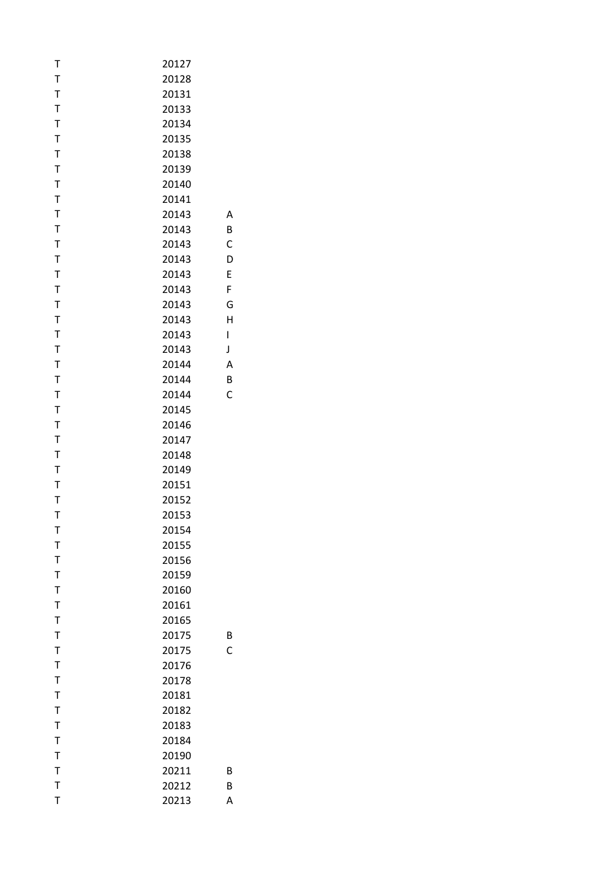| T                | 20213          | Α |
|------------------|----------------|---|
| $\mathsf{T}$     | 20212          | B |
| $\mathsf T$      | 20211          | B |
| T                | 20190          |   |
| T                | 20184          |   |
| $\mathsf T$      | 20183          |   |
| T                | 20182          |   |
| $\mathsf T$      | 20181          |   |
| T                | 20178          |   |
| $\mathsf T$      | 20176          |   |
| $\mathsf T$      | 20175          | C |
| $\mathsf T$      | 20175          | B |
| T                | 20165          |   |
| T                | 20161          |   |
| $\mathsf T$      | 20160          |   |
| T                | 20159          |   |
| $\mathsf T$      | 20156          |   |
| $\mathsf T$      | 20155          |   |
| Т                | 20154          |   |
| $\mathsf{T}$     | 20153          |   |
| T                | 20152          |   |
| T                | 20151          |   |
| $\mathsf T$      | 20149          |   |
| $\mathsf T$      | 20148          |   |
| $\mathsf T$      | 20147          |   |
| T                | 20146          |   |
| $\mathsf{T}$     | 20145          |   |
| T                | 20144          | C |
| $\mathsf T$      | 20144          | B |
| $\mathsf T$      | 20144          | A |
| T                | 20143          | J |
| $\mathsf T$      | 20143          | I |
| T                | 20143          | Η |
| $\mathsf T$      | 20143          | G |
| T                | 20143          | F |
|                  | 20143          | E |
| $\mathsf T$<br>T | 20143          | D |
| $\mathsf T$      | 20143          | C |
| $\mathsf T$      | 20143          | B |
| T                | 20143          | А |
| T                | 20141          |   |
|                  | 20140          |   |
| $\mathsf T$      | 20139          |   |
| $\mathsf T$      |                |   |
| T<br>$\mathsf T$ | 20135<br>20138 |   |
| $\mathsf T$      | 20134          |   |
| $\mathsf T$      | 20133          |   |
| $\bar{1}$        | 20131          |   |
| $\mathsf T$      | 20128          |   |
| Т                | 20127          |   |
|                  |                |   |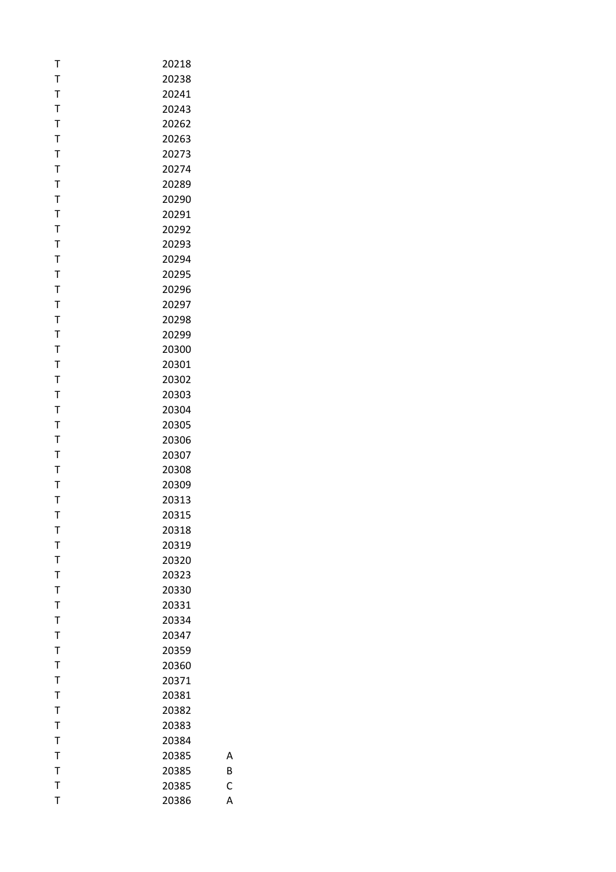| Т      | 20218          |
|--------|----------------|
| T      | 20238          |
| T      | 20241          |
| Т      | 20243          |
| T      | 20262          |
| Т      | 20263          |
| T      | 20273          |
| T      | 20274          |
| T      | 20289          |
| T      | 20290          |
| Т      | 20291          |
| T      | 20292          |
| T      | 20293          |
| T      | 20294          |
| Т      | 20295          |
| Т      | 20296          |
| Т      | 20297          |
| Т      | 20298          |
| T      | 20299          |
| Т      | 20300          |
| T      | 20301          |
| T      | 20302          |
| Т      | 20303          |
| T      | 20304          |
| Т      | 20305          |
| T      | 20306          |
| Т      | 20307          |
| T      | 20308          |
| T      | 20309          |
| Т      | 20313          |
| T      | 20315          |
| т      | 20318          |
| T<br>T | 20319<br>20320 |
| T      | 20323          |
| T      | 20330          |
| Т      | 20331          |
| T      | 20334          |
| T      | 20347          |
| T      | 20359          |
| T      | 20360          |
| Т      | 20371          |
| T      | 20381          |
| T      | 20382          |
| T      | 20383          |
| T      | 20384          |
| Т      | 20385          |
| T      | 20385          |
| T      | 20385          |
| T      | 20386          |
|        |                |

B

 $\mathsf{C}$ 

A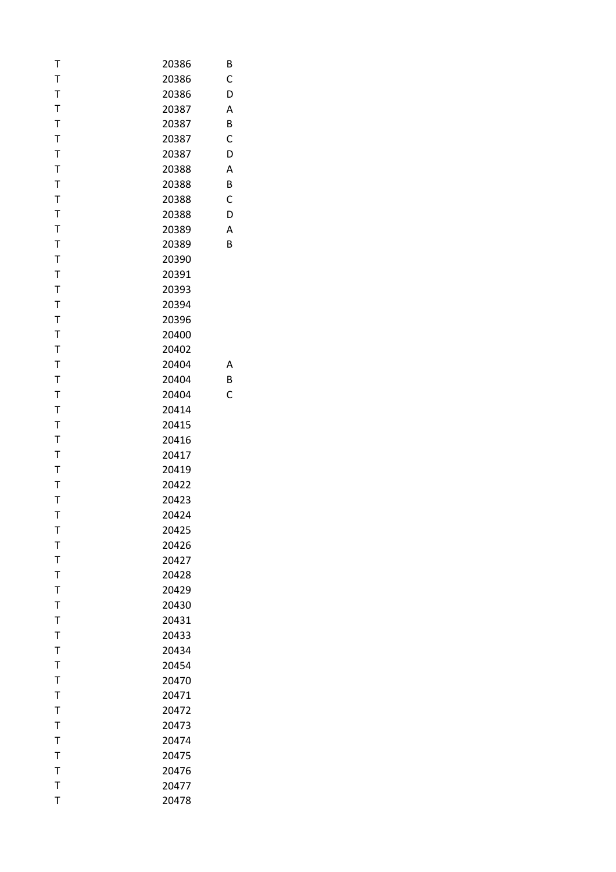| Т            | 20386 | В |
|--------------|-------|---|
| $\mathsf T$  | 20386 | C |
| $\mathsf{T}$ | 20386 | D |
| $\mathsf{T}$ | 20387 | Α |
| $\mathsf T$  | 20387 | B |
| $\mathsf T$  | 20387 | C |
| T            | 20387 | D |
| $\mathsf{T}$ | 20388 | Α |
| $\mathsf{T}$ | 20388 | B |
| $\mathsf T$  | 20388 | C |
| $\mathsf T$  | 20388 | D |
| T            | 20389 | Α |
| T            | 20389 | B |
| $\mathsf T$  | 20390 |   |
| T            | 20391 |   |
| $\mathsf T$  | 20393 |   |
| $\mathsf T$  | 20394 |   |
| $\mathsf{T}$ | 20396 |   |
| T            | 20400 |   |
| T            | 20402 |   |
| $\mathsf T$  | 20404 | Α |
| $\bar{1}$    | 20404 | B |
| $\mathsf{T}$ | 20404 | C |
| T            | 20414 |   |
|              |       |   |
| $\mathsf T$  | 20415 |   |
| $\mathsf T$  | 20416 |   |
| $\mathsf T$  | 20417 |   |
| $\mathsf{T}$ | 20419 |   |
| T            | 20422 |   |
| $\mathsf T$  | 20423 |   |
| T            | 20424 |   |
| Т            | 20425 |   |
| $\mathsf{T}$ | 20426 |   |
| $\mathsf{T}$ | 20427 |   |
| $\mathsf T$  | 20428 |   |
| $\mathsf{T}$ | 20429 |   |
| T            | 20430 |   |
| $\mathsf{T}$ | 20431 |   |
| $\mathsf{T}$ | 20433 |   |
| $\mathsf{T}$ | 20434 |   |
| $\mathsf{T}$ | 20454 |   |
| $\mathsf T$  | 20470 |   |
| $\mathsf{T}$ | 20471 |   |
| $\mathsf T$  | 20472 |   |
| $\mathsf{T}$ | 20473 |   |
| T            | 20474 |   |
| $\mathsf T$  | 20475 |   |
| $\mathsf{T}$ | 20476 |   |
| $\mathsf{T}$ | 20477 |   |
| T            | 20478 |   |
|              |       |   |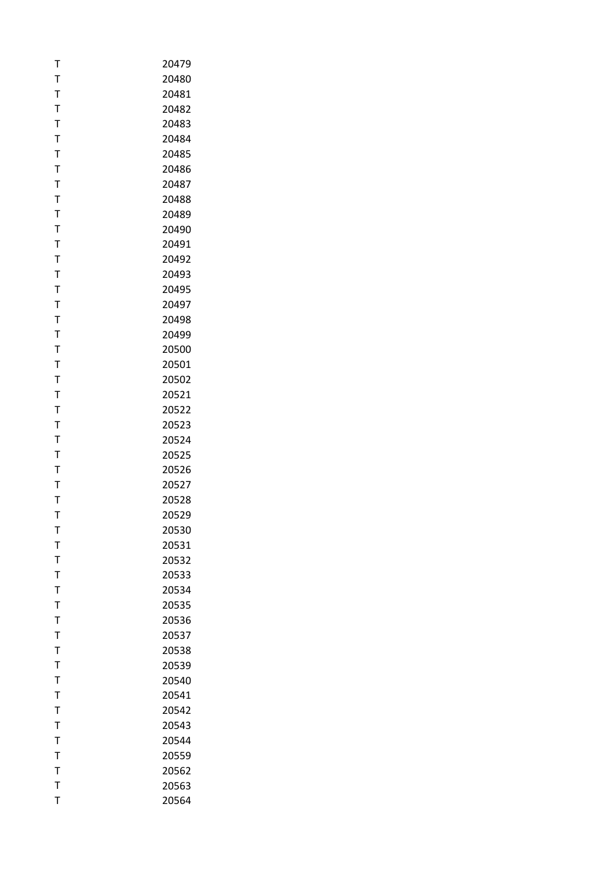| т            | 20479 |
|--------------|-------|
| T            | 20480 |
| T            | 20481 |
| T            | 20482 |
| T            | 20483 |
| Т            | 20484 |
| T            | 20485 |
| T            | 20486 |
| T            | 20487 |
| T            | 20488 |
| Т            | 20489 |
| T            | 20490 |
| T            | 20491 |
| T            | 20492 |
| T            | 20493 |
| T            | 20495 |
| T            | 20497 |
| T            | 20498 |
| T            | 20499 |
| T            | 20500 |
| Τ            | 20501 |
| T            | 20502 |
| T            | 20521 |
| T            | 20522 |
| Т            | 20523 |
| T            | 20524 |
| T            | 20525 |
| T            | 20526 |
| T            | 20527 |
| Т            | 20528 |
| T            | 20529 |
| т            | 20530 |
| T            | 20531 |
| T            | 20532 |
| $\mathsf{T}$ | 20533 |
| T            | 20534 |
| T            | 20535 |
| T            | 20536 |
| T            | 20537 |
| $\mathsf T$  | 20538 |
| $\mathsf{T}$ | 20539 |
| T            | 20540 |
| T            | 20541 |
| T            | 20542 |
| $\mathsf{T}$ | 20543 |
| T            | 20544 |
| T            | 20559 |
| $\mathsf{T}$ | 20562 |
| T            | 20563 |
| T            | 20564 |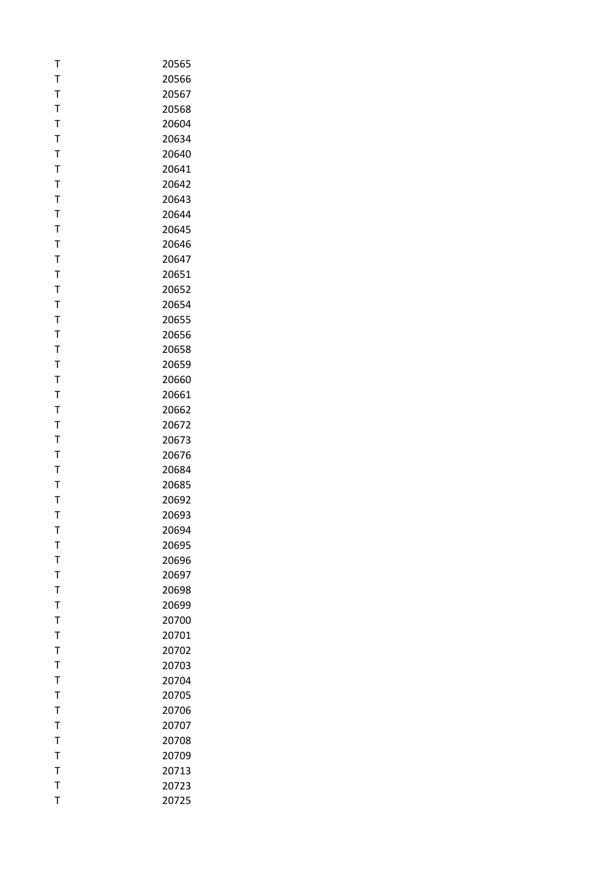| T           | 20565 |
|-------------|-------|
| T           | 20566 |
| T           | 20567 |
| T           | 20568 |
| T           | 20604 |
| T           | 20634 |
| T           | 20640 |
| T           | 20641 |
| T           | 20642 |
| T           | 20643 |
| Т           | 20644 |
| T           | 20645 |
| T           | 20646 |
| T           | 20647 |
| T           | 20651 |
| Т           | 20652 |
| T           | 20654 |
| T           | 20655 |
| T           | 20656 |
| T           | 20658 |
| T           | 20659 |
| T           | 20660 |
| T           | 20661 |
| T           | 20662 |
| T           | 20672 |
| Τ           | 20673 |
| $\mathsf T$ | 20676 |
| T           | 20684 |
| T           | 20685 |
| Т           | 20692 |
| T           | 20693 |
| т           | 20694 |
| T           | 20695 |
| T           | 20696 |
| T           | 20697 |
| T           | 20698 |
| T           | 20699 |
| Τ           | 20700 |
| T           | 20701 |
| T           | 20702 |
| T           | 20703 |
| Т           | 20704 |
| T           | 20705 |
| T           | 20706 |
| T           | 20707 |
| T           | 20708 |
| Т           | 20709 |
| T           | 20713 |
| T           | 20723 |
| T           | 20725 |
|             |       |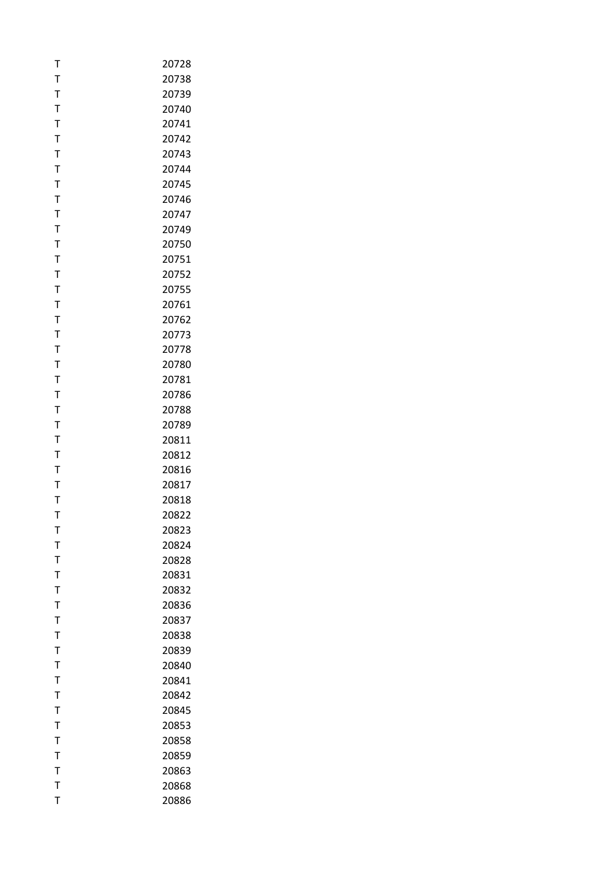| T            | 20728 |
|--------------|-------|
| T            | 20738 |
| T            | 20739 |
| $\mathsf T$  | 20740 |
| $\mathsf{T}$ | 20741 |
| T            | 20742 |
| T            | 20743 |
| T            | 20744 |
| T            | 20745 |
| T            | 20746 |
| Т            | 20747 |
| T            | 20749 |
| T            | 20750 |
| T            | 20751 |
| T            | 20752 |
|              |       |
| Т            | 20755 |
| T            | 20761 |
| T            | 20762 |
| T            | 20773 |
| T            | 20778 |
| T            | 20780 |
| T            | 20781 |
| $\mathsf T$  | 20786 |
| T            | 20788 |
| T            | 20789 |
| Τ            | 20811 |
| $\mathsf T$  | 20812 |
| T            | 20816 |
| T            | 20817 |
| Т            | 20818 |
| T            | 20822 |
| т            | 20823 |
| T            | 20824 |
| T            | 20828 |
| T            | 20831 |
| T            | 20832 |
| T            | 20836 |
| Τ            | 20837 |
| T            | 20838 |
| T            | 20839 |
| $\mathsf{T}$ | 20840 |
| Т            | 20841 |
| T            | 20842 |
| T            | 20845 |
| T            | 20853 |
| T            | 20858 |
| T            | 20859 |
| T            | 20863 |
| T            | 20868 |
| T            | 20886 |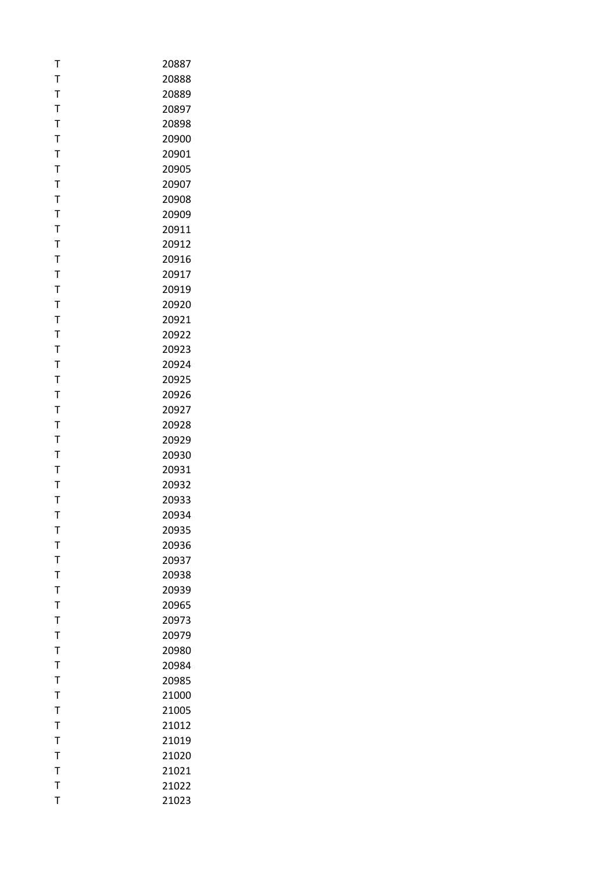| т            | 20887 |
|--------------|-------|
| T            | 20888 |
| T            | 20889 |
| T            | 20897 |
| T            | 20898 |
| T            | 20900 |
| T            | 20901 |
| T            | 20905 |
| T            | 20907 |
| T            | 20908 |
| Т            | 20909 |
| T            | 20911 |
| T            | 20912 |
| T            | 20916 |
| T            | 20917 |
| T            | 20919 |
| T            | 20920 |
| T            | 20921 |
| T            | 20922 |
| Т            | 20923 |
| Τ            | 20924 |
| T            | 20925 |
| T            | 20926 |
| T            | 20927 |
| Т            | 20928 |
| T            | 20929 |
| T            | 20930 |
| T            | 20931 |
| T            | 20932 |
| Т            | 20933 |
| T            | 20934 |
| т            | 20935 |
| T            | 20936 |
| T            | 20937 |
| $\mathsf{T}$ | 20938 |
| T            | 20939 |
| T            | 20965 |
| Τ            | 20973 |
| T            | 20979 |
| T            | 20980 |
| T            | 20984 |
| Т            | 20985 |
| T            | 21000 |
| T            | 21005 |
| $\mathsf{T}$ | 21012 |
| T            | 21019 |
| T            | 21020 |
| T            | 21021 |
| T            | 21022 |
| T            | 21023 |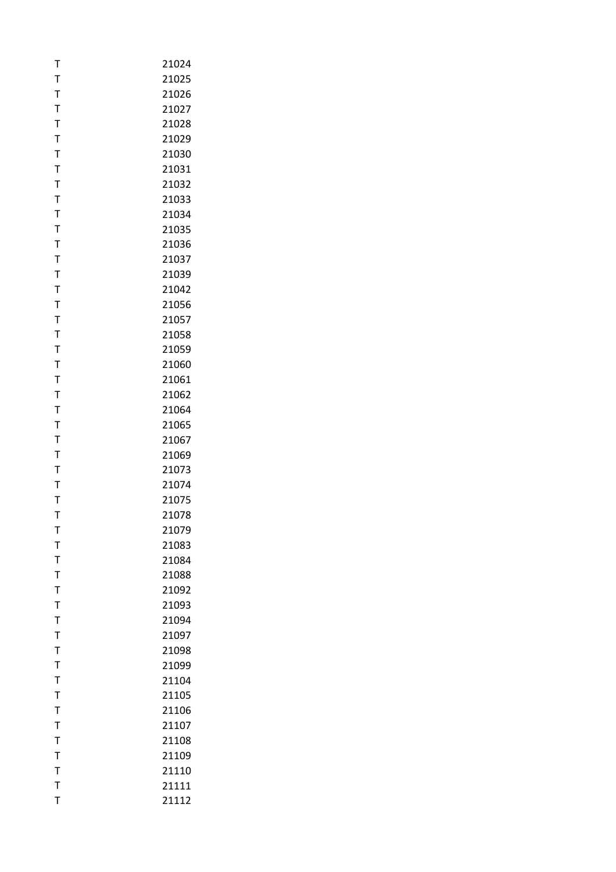| Т              | 21024 |
|----------------|-------|
| T              | 21025 |
| T              | 21026 |
| T              | 21027 |
| T              | 21028 |
| T              | 21029 |
| T              | 21030 |
| T              | 21031 |
| T              | 21032 |
| T              | 21033 |
| T              | 21034 |
| T              | 21035 |
| T              | 21036 |
| T              | 21037 |
| T              | 21039 |
| Τ              | 21042 |
| T              | 21056 |
| T              | 21057 |
| T              | 21058 |
| T              | 21059 |
| T              | 21060 |
| T              | 21061 |
| T              | 21062 |
| T              | 21064 |
| T              | 21065 |
| T              | 21067 |
| T              | 21069 |
| T              | 21073 |
| T              | 21074 |
| T              | 21075 |
| T              | 21078 |
| т              | 21079 |
| T              | 21083 |
| T              | 21084 |
| T              | 21088 |
| T              | 21092 |
| T              | 21093 |
| T              | 21094 |
| T              | 21097 |
| T              | 21098 |
| T              | 21099 |
| T              | 21104 |
| T              | 21105 |
| $\overline{1}$ | 21106 |
| T              | 21107 |
| T              | 21108 |
| T              | 21109 |
| $\mathsf{T}$   | 21110 |
| T              | 21111 |
| T              | 21112 |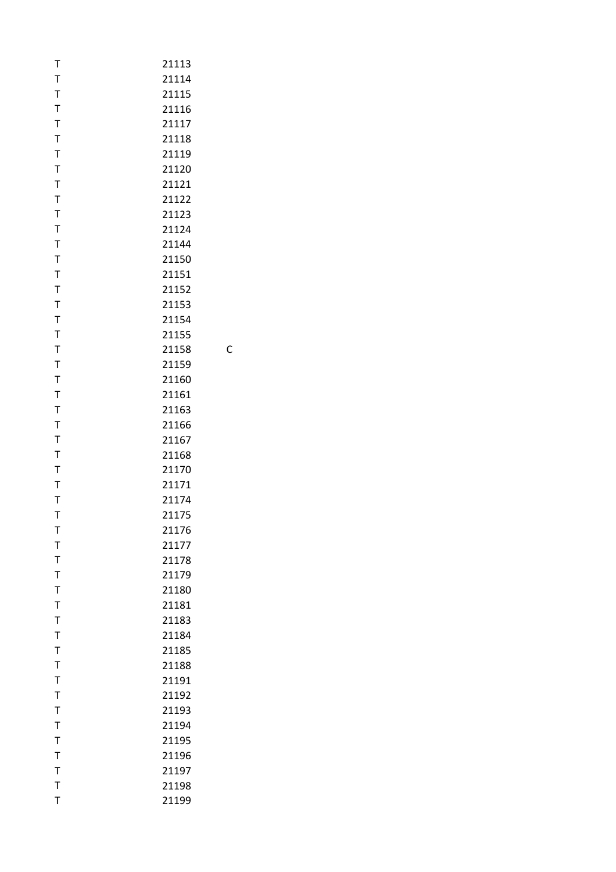| T            | 21113 |   |
|--------------|-------|---|
| T            | 21114 |   |
| $\mathsf T$  | 21115 |   |
| T            | 21116 |   |
| $\mathsf T$  | 21117 |   |
| T            | 21118 |   |
| T            | 21119 |   |
| T            | 21120 |   |
| T            | 21121 |   |
| $\mathsf T$  | 21122 |   |
| T            | 21123 |   |
| T            | 21124 |   |
| T            | 21144 |   |
| T            | 21150 |   |
| T            | 21151 |   |
| T            | 21152 |   |
| T            | 21153 |   |
| T            | 21154 |   |
| $\mathsf T$  | 21155 |   |
| T            |       |   |
|              | 21158 | С |
| T            | 21159 |   |
| $\mathsf T$  | 21160 |   |
| T            | 21161 |   |
| $\mathsf T$  | 21163 |   |
| T            | 21166 |   |
| T            | 21167 |   |
| T            | 21168 |   |
| T            | 21170 |   |
| $\mathsf T$  | 21171 |   |
| T            | 21174 |   |
| $\mathsf{T}$ | 21175 |   |
| т            | 21176 |   |
| T            | 21177 |   |
| T            | 21178 |   |
| T            | 21179 |   |
| T            | 21180 |   |
| T            | 21181 |   |
| T            | 21183 |   |
| T            | 21184 |   |
| T            | 21185 |   |
| $\mathsf T$  | 21188 |   |
| T            | 21191 |   |
| $\mathsf{T}$ | 21192 |   |
| $\mathsf T$  | 21193 |   |
| T            | 21194 |   |
| T            | 21195 |   |
| T            |       |   |
|              | 21196 |   |
| $\mathsf T$  | 21197 |   |
| $\mathsf{T}$ | 21198 |   |
| T            | 21199 |   |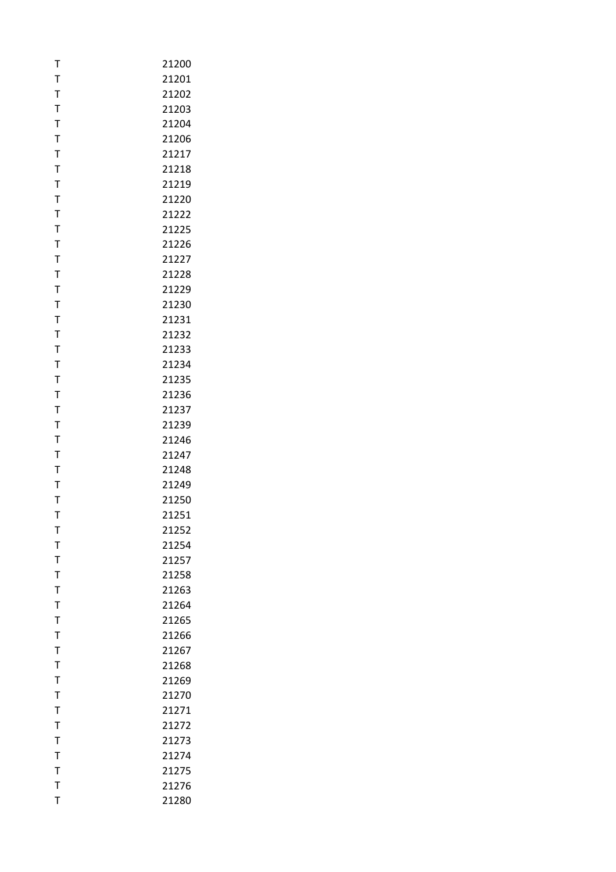| т              | 21200 |
|----------------|-------|
| T              | 21201 |
| T              | 21202 |
| T              | 21203 |
| T              | 21204 |
| T              | 21206 |
| T              | 21217 |
| T              | 21218 |
| T              | 21219 |
| T              | 21220 |
| T              | 21222 |
| T              | 21225 |
| $\mathsf T$    | 21226 |
| $\mathsf{T}$   | 21227 |
| T              | 21228 |
| T              | 21229 |
| T              | 21230 |
| $\mathsf T$    | 21231 |
| $\mathsf{T}$   | 21232 |
| T              | 21233 |
| T              | 21234 |
| T              | 21235 |
| T              | 21236 |
| T              | 21237 |
| T              | 21239 |
| T              | 21246 |
| T              | 21247 |
| T              | 21248 |
| T              | 21249 |
| Т              | 21250 |
| T              | 21251 |
| т              | 21252 |
| T              | 21254 |
| $\mathsf T$    | 21257 |
| T              | 21258 |
| $\overline{1}$ | 21263 |
| T              | 21264 |
| T              | 21265 |
| T              | 21266 |
| T              | 21267 |
| T              | 21268 |
| T              | 21269 |
| T              | 21270 |
| $\mathsf T$    | 21271 |
| $\mathsf T$    | 21272 |
| T              | 21273 |
| T              | 21274 |
| $\mathsf T$    | 21275 |
| T              | 21276 |
| T              | 21280 |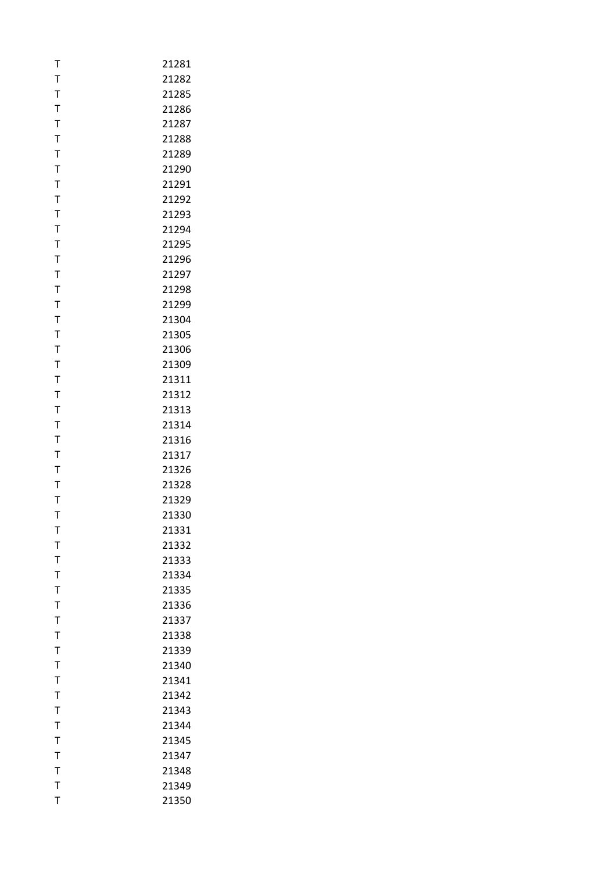| T            | 21281 |
|--------------|-------|
| T            | 21282 |
| $\mathsf T$  | 21285 |
| T            | 21286 |
| $\mathsf{T}$ | 21287 |
| T            | 21288 |
| T            | 21289 |
| $\mathsf T$  | 21290 |
| T            | 21291 |
| T            | 21292 |
| T            | 21293 |
| T            | 21294 |
| $\mathsf T$  | 21295 |
| T            | 21296 |
| T            | 21297 |
| T            | 21298 |
| T            | 21299 |
| $\bar{1}$    | 21304 |
| $\mathsf{T}$ | 21305 |
| T            | 21306 |
| T            | 21309 |
| T            | 21311 |
| T            | 21312 |
| $\mathsf T$  | 21313 |
| T            | 21314 |
| T            | 21316 |
| T            | 21317 |
| T            | 21326 |
| $\mathsf T$  | 21328 |
| T            | 21329 |
| T            | 21330 |
| т            | 21331 |
| T            | 21332 |
| T            | 21333 |
| T            | 21334 |
| $\bar{I}$    | 21335 |
| T            | 21336 |
| T            | 21337 |
| $\mathsf T$  | 21338 |
| T            | 21339 |
| $\bar{1}$    | 21340 |
| T            | 21341 |
| $\mathsf{T}$ | 21342 |
| $\bar{1}$    | 21343 |
| $\mathsf{T}$ | 21344 |
| T            | 21345 |
| T            | 21347 |
| $\mathsf{T}$ | 21348 |
| $\mathsf{T}$ | 21349 |
| T            | 21350 |
|              |       |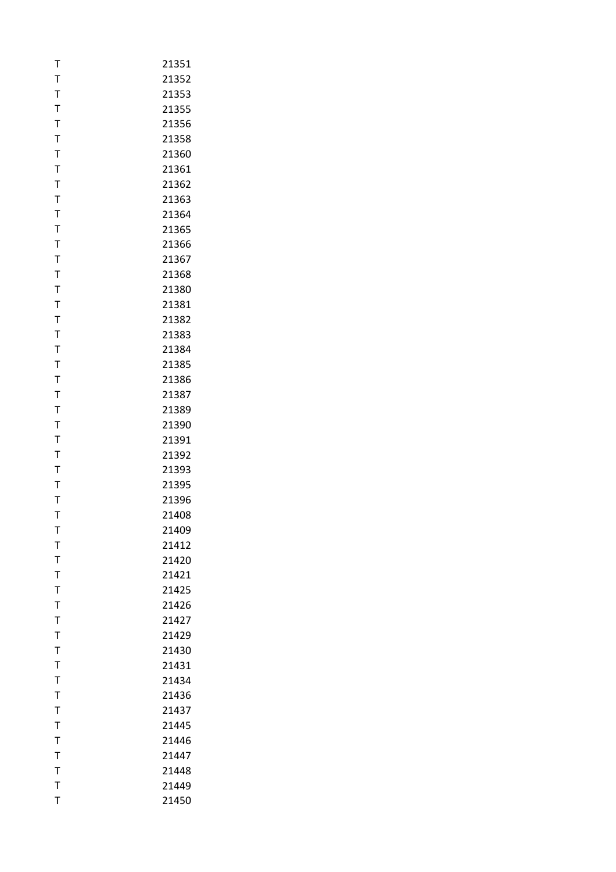| T            | 21351 |
|--------------|-------|
| T            | 21352 |
| $\mathsf{T}$ | 21353 |
| T            | 21355 |
| $\mathsf{T}$ | 21356 |
| T            | 21358 |
| T            | 21360 |
| T            | 21361 |
| T            | 21362 |
| T            | 21363 |
| T            | 21364 |
| T            | 21365 |
| $\mathsf T$  | 21366 |
| $\mathsf{T}$ | 21367 |
| T            | 21368 |
| T            | 21380 |
| T            | 21381 |
| $\bar{1}$    | 21382 |
| $\mathsf{T}$ | 21383 |
| T            | 21384 |
| T            | 21385 |
| T            | 21386 |
| T            | 21387 |
| $\mathsf{T}$ | 21389 |
| T            | 21390 |
| T            | 21391 |
| T            | 21392 |
| T            | 21393 |
| $\mathsf{T}$ | 21395 |
| T            | 21396 |
| T            | 21408 |
| т            | 21409 |
| T            | 21412 |
| T            | 21420 |
| T            | 21421 |
| T            | 21425 |
| T            | 21426 |
| T            | 21427 |
| T            | 21429 |
| T            | 21430 |
| T            | 21431 |
| T            | 21434 |
| $\mathsf{T}$ | 21436 |
| $\mathsf T$  | 21437 |
| $\mathsf{T}$ | 21445 |
| T            | 21446 |
| T            | 21447 |
| $\mathsf{T}$ | 21448 |
| $\mathsf{T}$ | 21449 |
| T            | 21450 |
|              |       |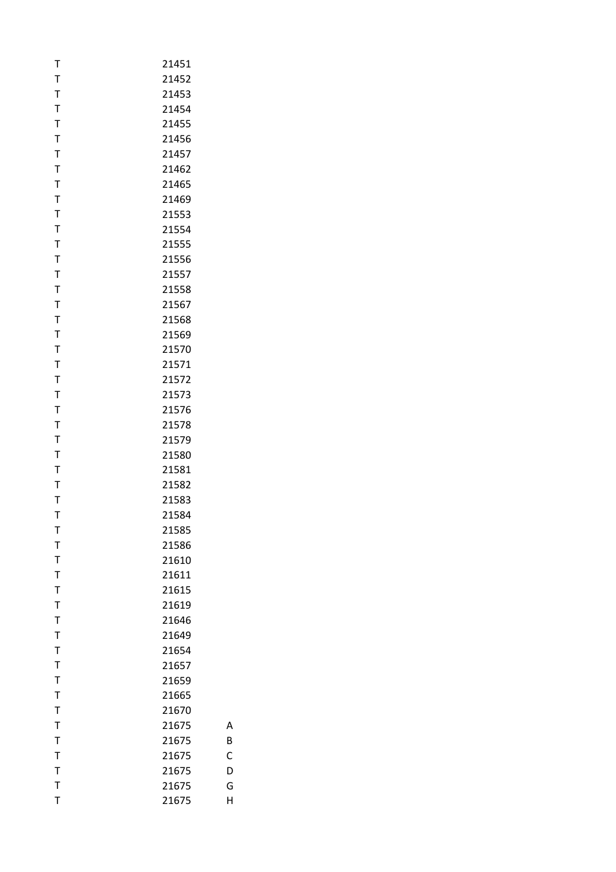| Т      | 21451          |
|--------|----------------|
| T      | 21452          |
| T      | 21453          |
| T      | 21454          |
| T      | 21455          |
| T      | 21456          |
| T      | 21457          |
| T      | 21462          |
| T      | 21465          |
| T      | 21469          |
| T      | 21553          |
| T      | 21554          |
| T      | 21555          |
| T      | 21556          |
| T      | 21557          |
| Τ      | 21558          |
| T      | 21567          |
| T      | 21568          |
| T      | 21569          |
| T      | 21570          |
| T      | 21571          |
| T      | 21572          |
| T      | 21573          |
| T      | 21576          |
| T      | 21578          |
| T      | 21579          |
| T      | 21580          |
| T      | 21581          |
| T      | 21582          |
| T      | 21583          |
| T      | 21584          |
| т      | 21585          |
| T      | 21586          |
| T      | 21610          |
| T      | 21611          |
| T      | 21615          |
| T<br>T | 21619          |
| T      | 21646          |
| T      | 21649          |
| T      | 21654          |
|        | 21657<br>21659 |
| Т<br>T |                |
| T      | 21665<br>21670 |
| T      |                |
| T      | 21675<br>21675 |
| Т      | 21675          |
| T      | 21675          |
| T      | 21675          |
| T      | 21675          |
|        |                |

B

C

D

G

H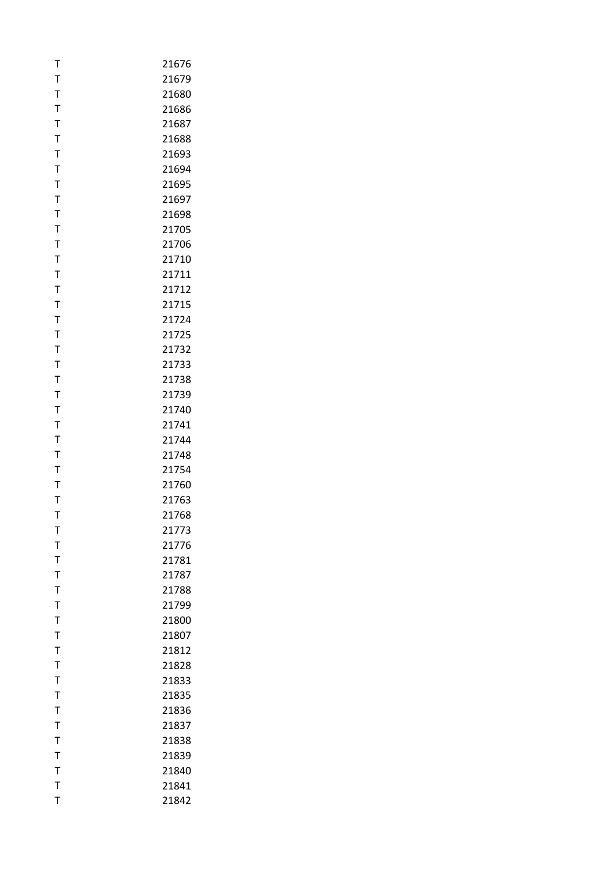| T              | 21676 |
|----------------|-------|
| T              | 21679 |
| T              | 21680 |
| T              | 21686 |
| $\mathsf{T}$   | 21687 |
| T              | 21688 |
| T              | 21693 |
| T              | 21694 |
| T              | 21695 |
| T              | 21697 |
| T              | 21698 |
| T              | 21705 |
| T              | 21706 |
| T              | 21710 |
| T              | 21711 |
| T              | 21712 |
| T              | 21715 |
| $\mathsf T$    | 21724 |
| $\mathsf T$    | 21725 |
| T              | 21732 |
| T              | 21733 |
| T              | 21738 |
| T              | 21739 |
| $\mathsf T$    | 21740 |
| T              | 21741 |
| T              | 21744 |
| T              | 21748 |
| T              | 21754 |
| $\mathsf T$    | 21760 |
| T              | 21763 |
| T              | 21768 |
| т              | 21773 |
| T              | 21776 |
| T              | 21781 |
| T              | 21787 |
| $\overline{1}$ | 21788 |
| T              | 21799 |
| T              | 21800 |
| $\mathsf T$    | 21807 |
| T              | 21812 |
| T              | 21828 |
| T              | 21833 |
| $\mathsf T$    | 21835 |
| $\overline{1}$ | 21836 |
| $\mathsf T$    | 21837 |
| T              | 21838 |
| T              | 21839 |
| $\mathsf T$    | 21840 |
| T              | 21841 |
| T              | 21842 |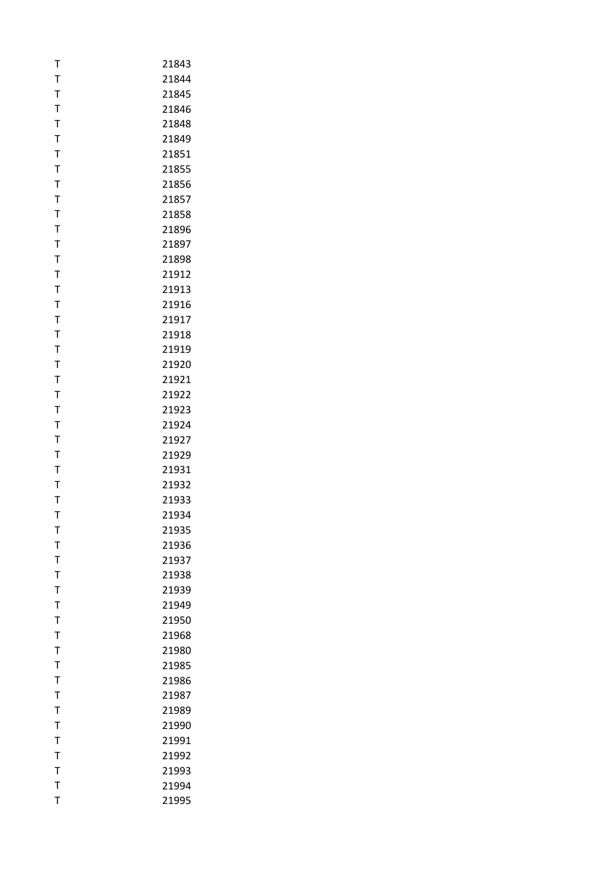| T            | 21843 |
|--------------|-------|
| T            | 21844 |
| T            | 21845 |
| T            | 21846 |
| $\mathsf{T}$ | 21848 |
| T            | 21849 |
| T            | 21851 |
| T            | 21855 |
| T            | 21856 |
| $\bar{1}$    | 21857 |
| T            | 21858 |
| T            | 21896 |
| $\mathsf T$  | 21897 |
| T            | 21898 |
| T            | 21912 |
| T            | 21913 |
| T            | 21916 |
| T            | 21917 |
| $\mathsf{T}$ | 21918 |
| T            | 21919 |
| T            | 21920 |
| T            | 21921 |
| T            | 21922 |
| $\mathsf{T}$ | 21923 |
| T            | 21924 |
| T            | 21927 |
| T            | 21929 |
| T            | 21931 |
| T            | 21932 |
| T            | 21933 |
| T            | 21934 |
| т            | 21935 |
| T            | 21936 |
| $\mathsf T$  | 21937 |
| T            | 21938 |
| T            | 21939 |
| T            | 21949 |
| Τ            | 21950 |
| T            | 21968 |
| T            | 21980 |
| $\mathsf T$  | 21985 |
| T            | 21986 |
| $\mathsf T$  | 21987 |
| T            | 21989 |
| $\mathsf T$  | 21990 |
| T            | 21991 |
| T            | 21992 |
| $\mathsf T$  | 21993 |
| T            | 21994 |
| T            | 21995 |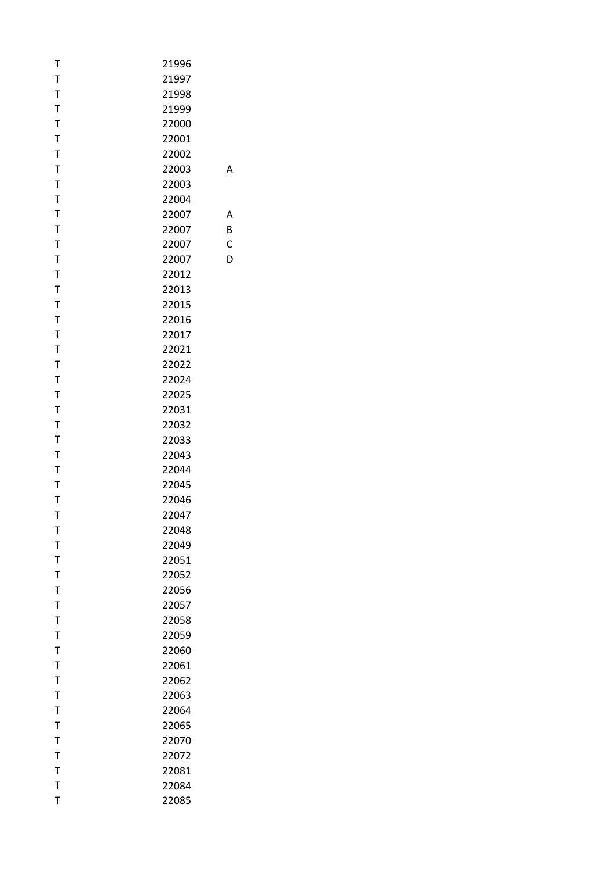| Т                | 21996 |   |
|------------------|-------|---|
| $\mathsf{T}$     | 21997 |   |
| $\mathsf T$      | 21998 |   |
| $\mathsf T$      | 21999 |   |
| $\mathsf T$      | 22000 |   |
| T                | 22001 |   |
| $\mathsf T$      | 22002 |   |
| $\mathsf T$      | 22003 | А |
| $\mathsf T$      | 22003 |   |
| $\mathsf T$      | 22004 |   |
| T                | 22007 | А |
| $\mathsf T$      | 22007 | B |
| $\mathsf T$      | 22007 | C |
| $\mathsf{T}$     | 22007 | D |
| T                | 22012 |   |
| $\mathsf T$      | 22013 |   |
| $\mathsf T$      | 22015 |   |
| T                | 22016 |   |
| $\mathsf T$      | 22017 |   |
| T                | 22021 |   |
| $\mathsf T$      | 22022 |   |
| $\mathsf T$      | 22024 |   |
| $\mathsf T$      | 22025 |   |
| $\mathsf T$      | 22031 |   |
| T                | 22032 |   |
| $\mathsf T$      | 22033 |   |
| $\mathsf T$      | 22043 |   |
| $\mathsf T$      | 22044 |   |
| $\mathsf T$      | 22045 |   |
| T                | 22046 |   |
| T                | 22047 |   |
| т                | 22048 |   |
| $\mathsf T$      | 22049 |   |
| $\mathsf T$      | 22051 |   |
| T                | 22052 |   |
| $\mathsf T$      | 22056 |   |
| $\mathsf T$      | 22057 |   |
| $\mathsf T$      | 22058 |   |
| $\mathsf T$      | 22059 |   |
| $\mathsf{T}$     | 22060 |   |
| $\mathsf T$      | 22061 |   |
| T                | 22062 |   |
| $\mathsf T$      | 22063 |   |
|                  |       |   |
| T<br>$\mathsf T$ | 22064 |   |
|                  | 22065 |   |
| T                | 22070 |   |
| $\mathsf T$      | 22072 |   |
| $\mathsf T$      | 22081 |   |
| $\mathsf{T}$     | 22084 |   |
| T                | 22085 |   |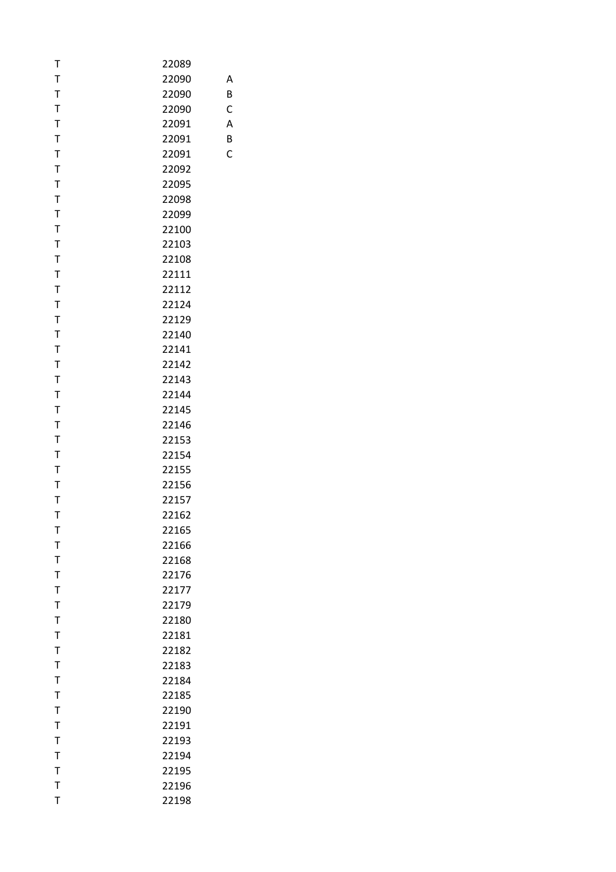| т            | 22089 |   |
|--------------|-------|---|
| $\mathsf T$  | 22090 | А |
| T            | 22090 | B |
| T            | 22090 | C |
| $\mathsf{T}$ | 22091 | Α |
| T            | 22091 | B |
| $\mathsf T$  | 22091 | C |
| T            | 22092 |   |
| T            | 22095 |   |
| T            | 22098 |   |
| T            | 22099 |   |
| $\mathsf T$  | 22100 |   |
| $\mathsf{T}$ | 22103 |   |
| $\mathsf T$  | 22108 |   |
| T            | 22111 |   |
| $\mathsf T$  | 22112 |   |
| T            | 22124 |   |
| $\mathsf T$  | 22129 |   |
| $\mathsf T$  | 22140 |   |
| T            | 22141 |   |
| $\mathsf T$  | 22142 |   |
| T            | 22143 |   |
| T            | 22144 |   |
| T            | 22145 |   |
| T            | 22146 |   |
| $\mathsf T$  | 22153 |   |
| T            | 22154 |   |
| T            | 22155 |   |
| T            | 22156 |   |
| T            | 22157 |   |
| T            | 22162 |   |
| т            | 22165 |   |
| $\mathsf T$  | 22166 |   |
| T            | 22168 |   |
| $\mathsf T$  | 22176 |   |
| T            | 22177 |   |
| T            | 22179 |   |
| $\mathsf T$  | 22180 |   |
| T            | 22181 |   |
| $\mathsf T$  | 22182 |   |
| $\mathsf{T}$ | 22183 |   |
| T            | 22184 |   |
| $\mathsf T$  | 22185 |   |
| $\mathsf{T}$ | 22190 |   |
| $\mathsf{T}$ | 22191 |   |
| $\mathsf{T}$ | 22193 |   |
| $\mathsf T$  | 22194 |   |
| $\mathsf T$  | 22195 |   |
| $\mathsf{T}$ | 22196 |   |
| T            | 22198 |   |
|              |       |   |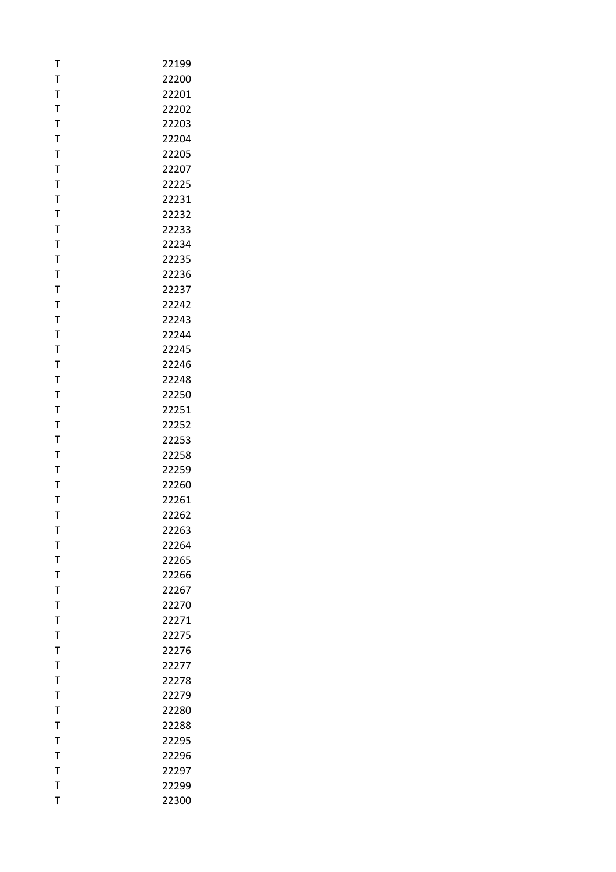| т            | 22199 |
|--------------|-------|
| T            | 22200 |
| T            | 22201 |
| $\mathsf{T}$ | 22202 |
| $\mathsf{T}$ | 22203 |
| T            | 22204 |
| T            | 22205 |
| T            | 22207 |
| T            | 22225 |
| T            | 22231 |
| Τ            | 22232 |
| T            | 22233 |
| $\mathsf T$  | 22234 |
| $\mathsf{T}$ | 22235 |
| T            | 22236 |
| T            | 22237 |
| T            | 22242 |
| $\mathsf{T}$ | 22243 |
| T            | 22244 |
| T            | 22245 |
| T            | 22246 |
| T            | 22248 |
| T            | 22250 |
| T            | 22251 |
| T            | 22252 |
| T            | 22253 |
| T            | 22258 |
| T            | 22259 |
| T            | 22260 |
| Т            | 22261 |
| T            | 22262 |
| т            | 22263 |
| T            | 22264 |
| T            | 22265 |
| $\mathsf{T}$ | 22266 |
| $\bar{1}$    | 22267 |
| T            | 22270 |
| T            | 22271 |
| T            | 22275 |
| T            | 22276 |
| $\mathsf{T}$ | 22277 |
| T            | 22278 |
| T            | 22279 |
| $\mathsf T$  | 22280 |
| T            | 22288 |
| T            | 22295 |
| T            | 22296 |
| $\mathsf{T}$ | 22297 |
| T            | 22299 |
| T            | 22300 |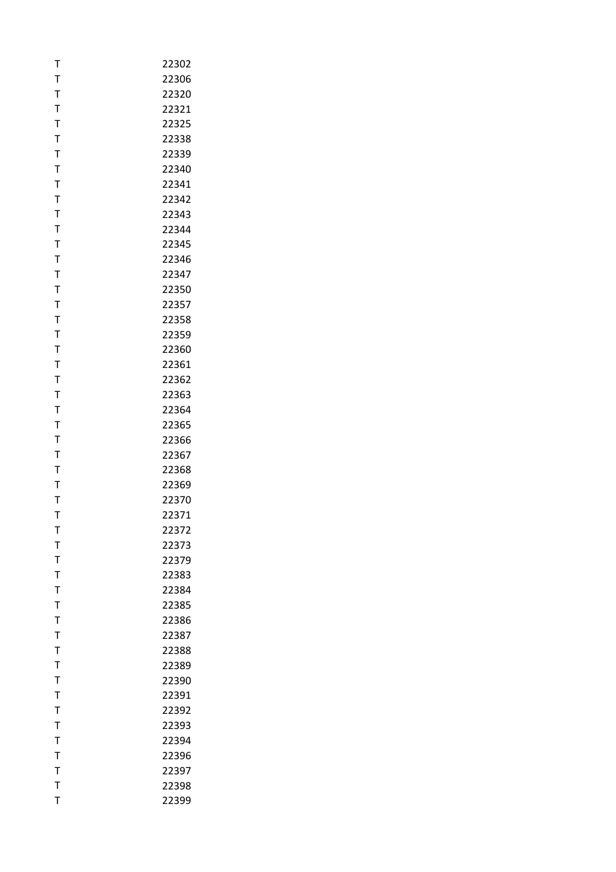| T            | 22302 |
|--------------|-------|
| T            | 22306 |
| T            | 22320 |
| T            | 22321 |
| $\mathsf{T}$ | 22325 |
| T            | 22338 |
| T            | 22339 |
| T            | 22340 |
| $\mathsf{T}$ | 22341 |
| T            | 22342 |
| T            | 22343 |
| T            | 22344 |
| $\mathsf T$  | 22345 |
| $\mathsf{T}$ | 22346 |
| T            | 22347 |
| T            | 22350 |
| T            | 22357 |
| $\bar{1}$    | 22358 |
| $\mathsf{T}$ | 22359 |
| T            | 22360 |
| T            | 22361 |
| T            | 22362 |
| T            | 22363 |
| $\mathsf{T}$ | 22364 |
| T            | 22365 |
| T            | 22366 |
| T            | 22367 |
| T            | 22368 |
| T            | 22369 |
| T            | 22370 |
| T            | 22371 |
| т            | 22372 |
| T            | 22373 |
| T            | 22379 |
| T            | 22383 |
| T            | 22384 |
| T            | 22385 |
| T            | 22386 |
| T            | 22387 |
| T            | 22388 |
| T            | 22389 |
| T            | 22390 |
| $\mathsf{T}$ | 22391 |
| T            | 22392 |
| $\mathsf{T}$ | 22393 |
| T            | 22394 |
| T            | 22396 |
| $\mathsf{T}$ | 22397 |
| T            | 22398 |
| T            | 22399 |
|              |       |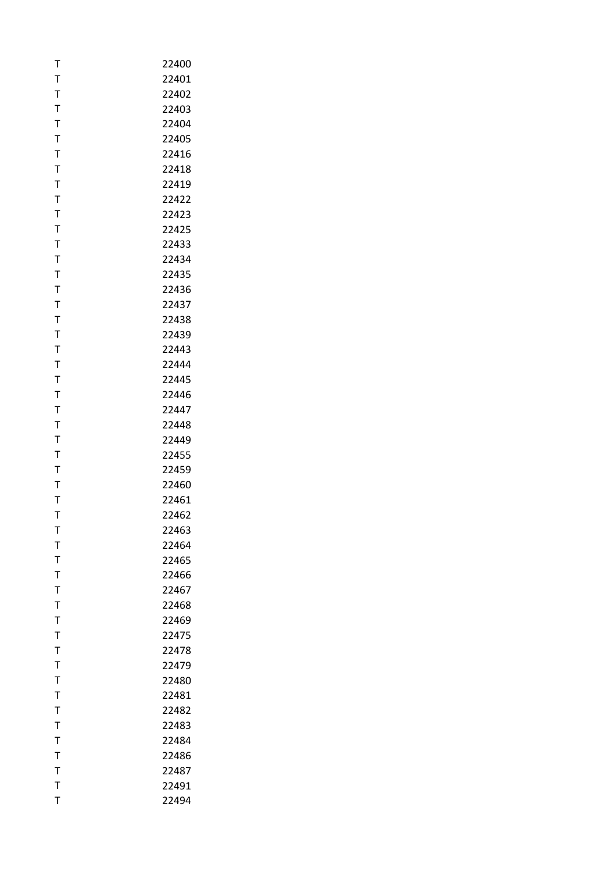| т            | 22400 |
|--------------|-------|
| T            | 22401 |
| T            | 22402 |
| $\mathsf{T}$ | 22403 |
| $\mathsf T$  | 22404 |
| T            | 22405 |
| T            | 22416 |
| T            | 22418 |
| T            | 22419 |
| T            | 22422 |
| Т            | 22423 |
| T            | 22425 |
| T            | 22433 |
| $\mathsf T$  | 22434 |
| T            | 22435 |
| T            | 22436 |
| $\mathsf T$  | 22437 |
| $\mathsf T$  | 22438 |
| T            | 22439 |
| Т            | 22443 |
| T            | 22444 |
| $\mathsf T$  | 22445 |
| T            | 22446 |
| T            | 22447 |
| Т            | 22448 |
| T            | 22449 |
| T            | 22455 |
| T            | 22459 |
| T            | 22460 |
| Т            | 22461 |
| T            | 22462 |
| т            | 22463 |
| T            | 22464 |
| T            | 22465 |
| $\mathsf T$  | 22466 |
| T            | 22467 |
| T            | 22468 |
| T            | 22469 |
| $\mathsf T$  | 22475 |
| $\mathsf T$  | 22478 |
| $\mathsf{T}$ | 22479 |
| T            | 22480 |
| T            | 22481 |
| $\bar{1}$    | 22482 |
| $\mathsf{T}$ | 22483 |
| T            | 22484 |
| T            | 22486 |
| $\mathsf{T}$ | 22487 |
| T            | 22491 |
| T            | 22494 |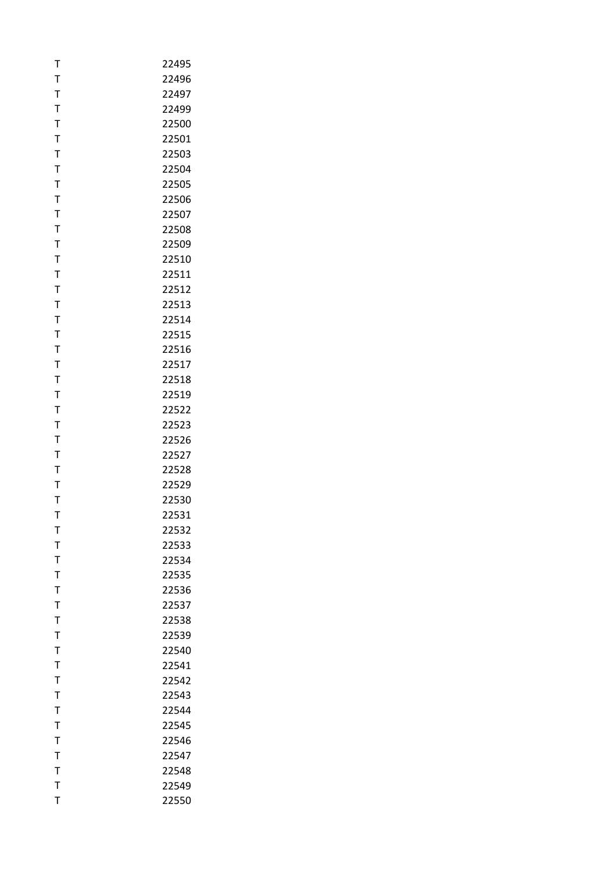| T            | 22495 |
|--------------|-------|
| T            | 22496 |
| T            | 22497 |
| T            | 22499 |
| $\mathsf{T}$ | 22500 |
| T            | 22501 |
| T            | 22503 |
| $\mathsf T$  | 22504 |
| $\mathsf{T}$ | 22505 |
| T            | 22506 |
| T            | 22507 |
| T            | 22508 |
| T            | 22509 |
| $\mathsf{T}$ | 22510 |
| T            | 22511 |
| T            | 22512 |
| T            | 22513 |
| T            | 22514 |
| $\mathsf{T}$ | 22515 |
| T            | 22516 |
| T            | 22517 |
| T            | 22518 |
| $\mathsf T$  | 22519 |
| $\mathsf{T}$ | 22522 |
| T            | 22523 |
| T            | 22526 |
| T            | 22527 |
| T            | 22528 |
| T            | 22529 |
| T            | 22530 |
| T            | 22531 |
| т            | 22532 |
| T            | 22533 |
| T            | 22534 |
| T            | 22535 |
| T            | 22536 |
| T            | 22537 |
| T            | 22538 |
| T            | 22539 |
| T            | 22540 |
| $\bar{1}$    | 22541 |
| T            | 22542 |
| T            | 22543 |
| T            | 22544 |
| $\mathsf{T}$ | 22545 |
| $\mathsf{T}$ | 22546 |
| T            | 22547 |
| $\mathsf{T}$ | 22548 |
| $\mathsf{T}$ | 22549 |
| T            | 22550 |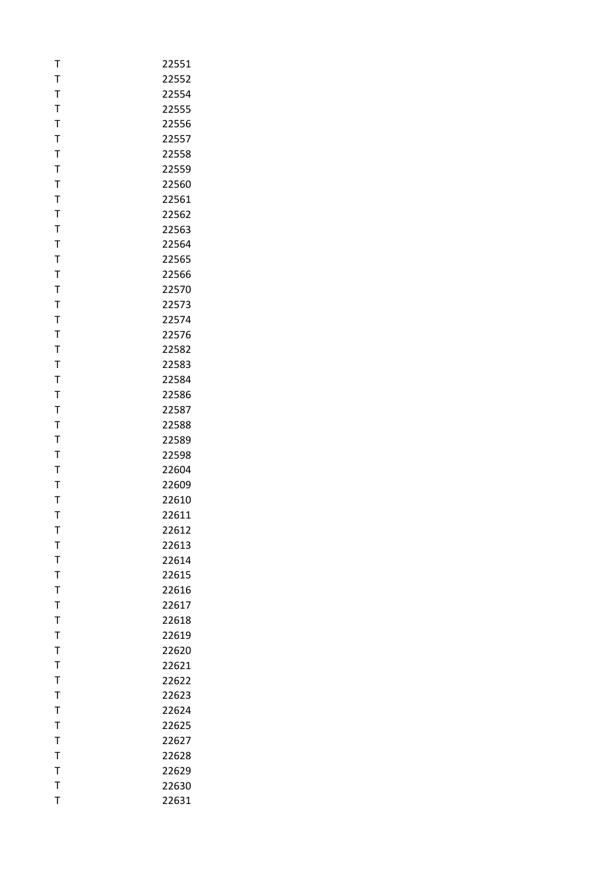| T            | 22551 |
|--------------|-------|
| T            | 22552 |
| T            | 22554 |
| T            | 22555 |
| $\mathsf{T}$ | 22556 |
| T            | 22557 |
| T            | 22558 |
| $\mathsf T$  | 22559 |
| $\mathsf{T}$ | 22560 |
| T            | 22561 |
| T            | 22562 |
| T            | 22563 |
| T            | 22564 |
| $\mathsf{T}$ | 22565 |
| T            | 22566 |
| T            | 22570 |
| T            | 22573 |
| T            | 22574 |
| $\mathsf{T}$ | 22576 |
| T            | 22582 |
| T            | 22583 |
| T            | 22584 |
| $\mathsf T$  | 22586 |
| $\mathsf{T}$ | 22587 |
| T            | 22588 |
| T            | 22589 |
| T            | 22598 |
| T            | 22604 |
| $\mathsf{T}$ | 22609 |
| T            | 22610 |
| T            | 22611 |
| т            | 22612 |
| T            | 22613 |
| T            | 22614 |
| T            | 22615 |
| $\bar{1}$    | 22616 |
| T            | 22617 |
| T            | 22618 |
| $\mathsf T$  | 22619 |
| T            | 22620 |
| T            | 22621 |
| T            | 22622 |
| T            | 22623 |
| T            | 22624 |
| T            | 22625 |
| $\mathsf{T}$ | 22627 |
| T            | 22628 |
| $\mathsf{T}$ | 22629 |
| $\mathsf{T}$ | 22630 |
| T            | 22631 |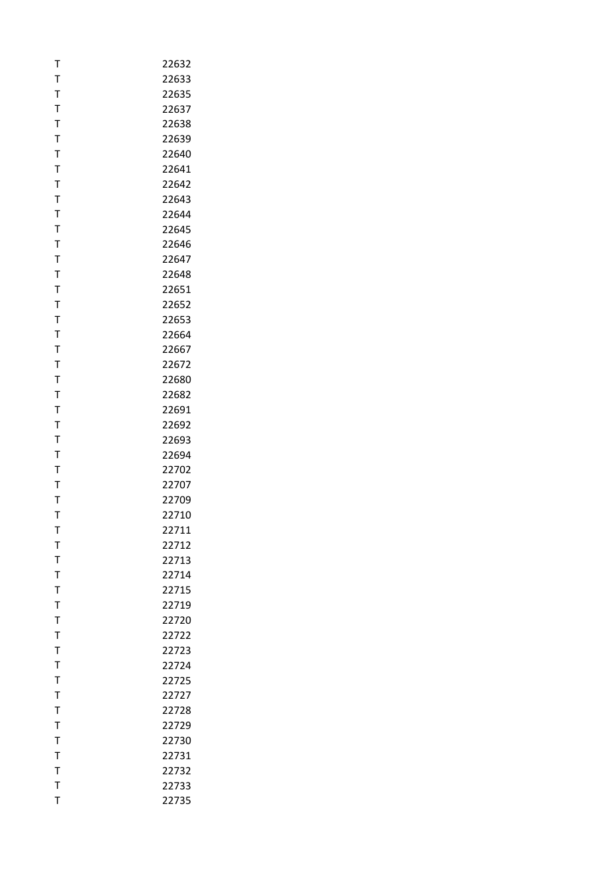| T            | 22632 |
|--------------|-------|
| T            | 22633 |
| T            | 22635 |
| T            | 22637 |
| $\mathsf{T}$ | 22638 |
| T            | 22639 |
| T            | 22640 |
| T            | 22641 |
| $\mathsf{T}$ | 22642 |
| T            | 22643 |
| Τ            | 22644 |
| T            | 22645 |
| T            | 22646 |
| $\mathsf{T}$ | 22647 |
| T            | 22648 |
| T            | 22651 |
| T            | 22652 |
| $\mathsf T$  | 22653 |
| $\mathsf{T}$ | 22664 |
| T            | 22667 |
| T            | 22672 |
| T            | 22680 |
| $\mathsf T$  | 22682 |
| $\mathsf{T}$ | 22691 |
| T            | 22692 |
| T            | 22693 |
| T            | 22694 |
| T            | 22702 |
| T            | 22707 |
| T            | 22709 |
| T            | 22710 |
| т            | 22711 |
| T            | 22712 |
| T            | 22713 |
| $\bar{1}$    | 22714 |
| T            | 22715 |
| T            | 22719 |
| T            | 22720 |
| T            | 22722 |
| T            | 22723 |
| $\bar{1}$    | 22724 |
| T            | 22725 |
| T            | 22727 |
| $\bar{1}$    | 22728 |
| T            | 22729 |
| T            | 22730 |
| T            | 22731 |
| $\mathsf{T}$ | 22732 |
| $\mathsf{T}$ | 22733 |
| T            | 22735 |
|              |       |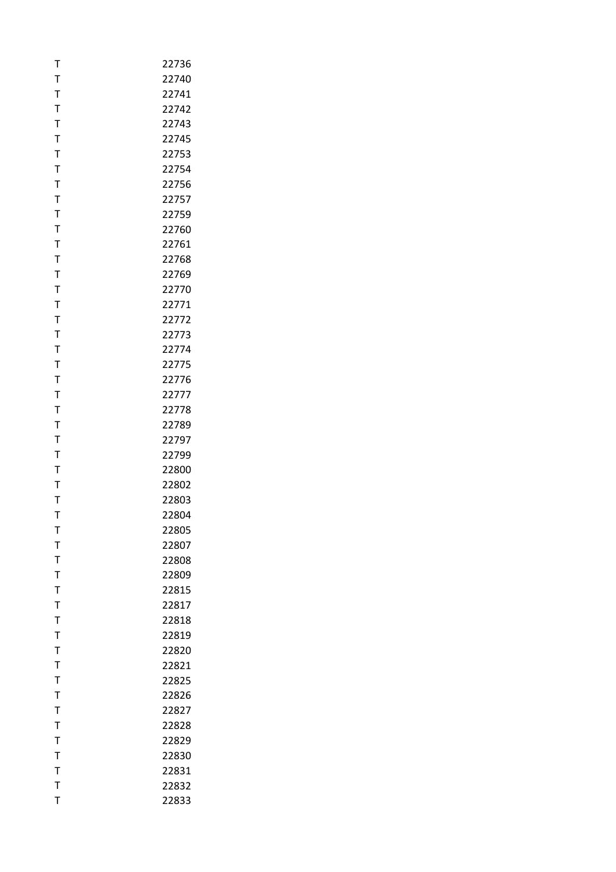| T              | 22736          |
|----------------|----------------|
| T              | 22740          |
| $\mathsf{T}$   | 22741          |
| T              | 22742          |
| $\mathsf{T}$   | 22743          |
| T              | 22745          |
| T              | 22753          |
| T              | 22754          |
| $\mathsf{T}$   | 22756          |
| T              | 22757          |
| T              | 22759          |
| T              | 22760          |
| T              | 22761          |
| $\mathsf{T}$   | 22768          |
| T              | 22769          |
| T              | 22770          |
| T              | 22771          |
| $\bar{1}$      | 22772          |
| $\mathsf{T}$   | 22773          |
| T              | 22774          |
| T              | 22775          |
| T              | 22776          |
| T              | 22777          |
| $\mathsf{T}$   | 22778          |
| T              | 22789          |
| T              | 22797          |
| T              | 22799          |
| T              | 22800          |
| T              | 22802          |
| T              | 22803          |
| T              | 22804          |
| т              | 22805          |
| T              | 22807          |
| T              | 22808          |
| $\bar{1}$      | 22809          |
| $\bar{1}$<br>T | 22815          |
| T              | 22817          |
| T              | 22818          |
| T              | 22819<br>22820 |
| T              | 22821          |
| T              | 22825          |
| $\mathsf{T}$   |                |
| $\bar{1}$      | 22826<br>22827 |
| $\mathsf{T}$   | 22828          |
| T              | 22829          |
| T              | 22830          |
| $\mathsf{T}$   | 22831          |
| $\mathsf{T}$   | 22832          |
| T              | 22833          |
|                |                |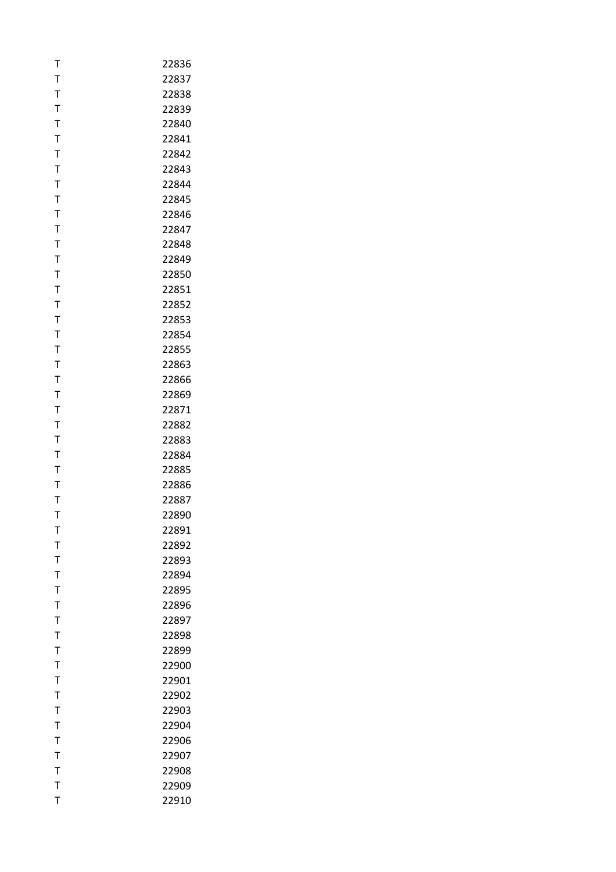| Т            | 22836 |
|--------------|-------|
| T            | 22837 |
| T            | 22838 |
| T            | 22839 |
| $\mathsf{T}$ | 22840 |
| T            | 22841 |
| T            | 22842 |
| T            | 22843 |
| $\mathsf{T}$ | 22844 |
| $\mathsf{T}$ | 22845 |
| Т            | 22846 |
| T            | 22847 |
| $\mathsf T$  | 22848 |
| T            | 22849 |
| T            | 22850 |
| Τ            | 22851 |
| T            | 22852 |
| T            | 22853 |
| T            | 22854 |
| $\mathsf T$  | 22855 |
| T            | 22863 |
| $\mathsf{T}$ | 22866 |
| T            | 22869 |
| T            | 22871 |
| T            | 22882 |
| T            | 22883 |
| T            | 22884 |
| T            | 22885 |
| T            | 22886 |
| Т            | 22887 |
| T            | 22890 |
| т            | 22891 |
| T            | 22892 |
| T            | 22893 |
| T            | 22894 |
| T            | 22895 |
| T            | 22896 |
| T            | 22897 |
| T            | 22898 |
| T            | 22899 |
| T            | 22900 |
| T            | 22901 |
| $\mathsf{T}$ | 22902 |
| T            | 22903 |
| $\mathsf T$  | 22904 |
| T            | 22906 |
| T            | 22907 |
| $\mathsf T$  | 22908 |
| T            | 22909 |
| T            | 22910 |
|              |       |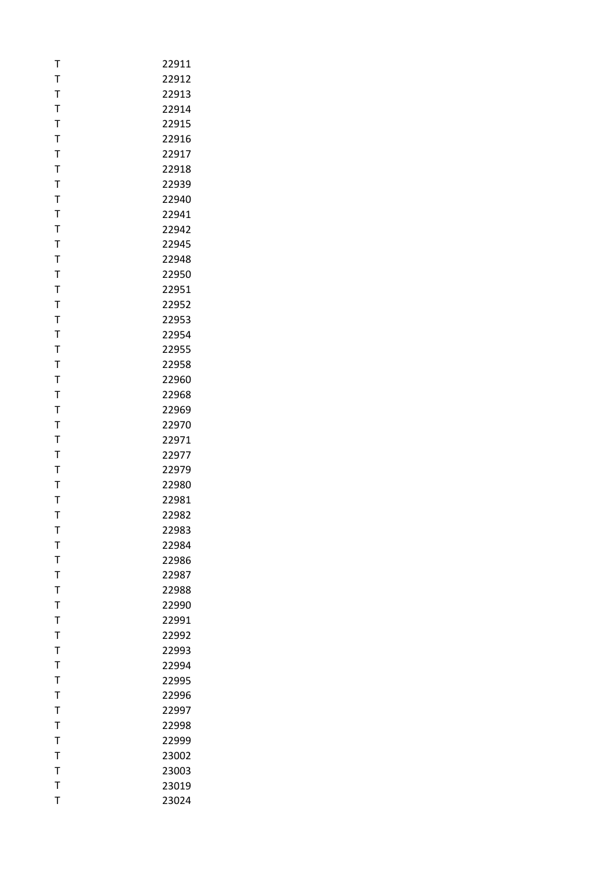| Т            | 22911 |
|--------------|-------|
| T            | 22912 |
| T            | 22913 |
| T            | 22914 |
| $\mathsf{T}$ | 22915 |
| T            | 22916 |
| T            | 22917 |
| T            | 22918 |
| $\mathsf T$  | 22939 |
| T            | 22940 |
| T            | 22941 |
| T            | 22942 |
| T            | 22945 |
| $\mathsf T$  | 22948 |
| T            | 22950 |
| Τ            | 22951 |
| T            | 22952 |
| $\bar{1}$    | 22953 |
| $\mathsf{T}$ | 22954 |
| T            | 22955 |
| T            | 22958 |
| T            | 22960 |
| T            | 22968 |
| $\mathsf T$  | 22969 |
| T            | 22970 |
| T            | 22971 |
| T            | 22977 |
| T            | 22979 |
| T            | 22980 |
| T            | 22981 |
| T            | 22982 |
| т            | 22983 |
| T            | 22984 |
| T            | 22986 |
| $\mathsf T$  | 22987 |
| T            | 22988 |
| T            | 22990 |
| Τ            | 22991 |
| T            | 22992 |
| T            | 22993 |
| $\mathsf T$  | 22994 |
| T            | 22995 |
| $\mathsf{T}$ | 22996 |
| T            | 22997 |
| $\mathsf{T}$ | 22998 |
| T            | 22999 |
| T            | 23002 |
| $\mathsf{T}$ | 23003 |
| T            | 23019 |
| T            | 23024 |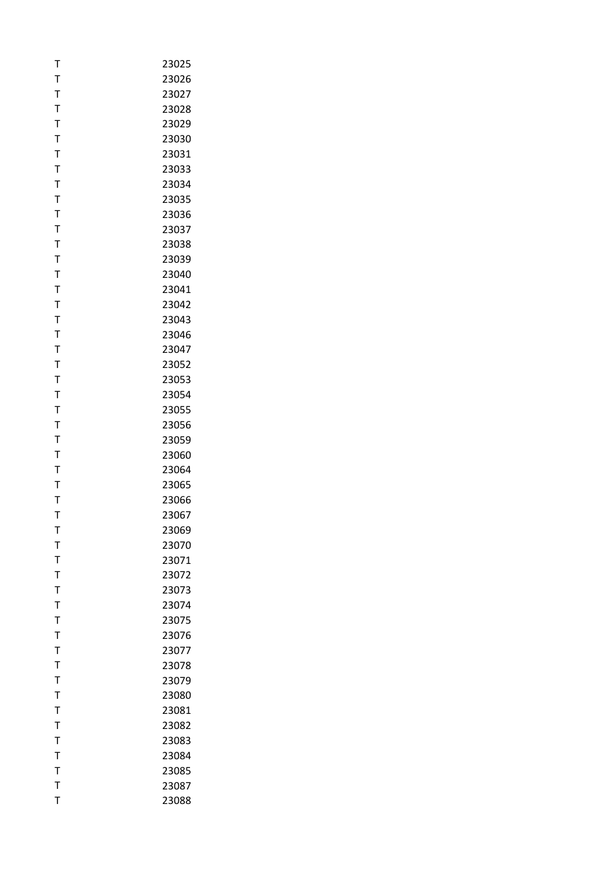| Т            | 23025 |
|--------------|-------|
| T            | 23026 |
| T            | 23027 |
| T            | 23028 |
| $\mathsf{T}$ | 23029 |
| T            | 23030 |
| T            | 23031 |
| T            | 23033 |
| T            | 23034 |
| T            | 23035 |
| T            | 23036 |
| T            | 23037 |
| T            | 23038 |
| T            | 23039 |
| T            | 23040 |
| Τ            | 23041 |
| T            | 23042 |
| T            | 23043 |
| T            | 23046 |
| T            | 23047 |
| T            | 23052 |
| T            | 23053 |
| T            | 23054 |
| $\mathsf T$  | 23055 |
| T            | 23056 |
| T            | 23059 |
| T            | 23060 |
| T            | 23064 |
| T            | 23065 |
| T            | 23066 |
| T            | 23067 |
| т            | 23069 |
| T            | 23070 |
| T            | 23071 |
| T            | 23072 |
| T            | 23073 |
| T            | 23074 |
| T            | 23075 |
| T            | 23076 |
| T            | 23077 |
| $\mathsf{T}$ | 23078 |
| T            | 23079 |
| $\mathsf{T}$ | 23080 |
| T            | 23081 |
| $\mathsf{T}$ | 23082 |
| T            | 23083 |
| T            | 23084 |
| $\mathsf{T}$ | 23085 |
| T            | 23087 |
| T            | 23088 |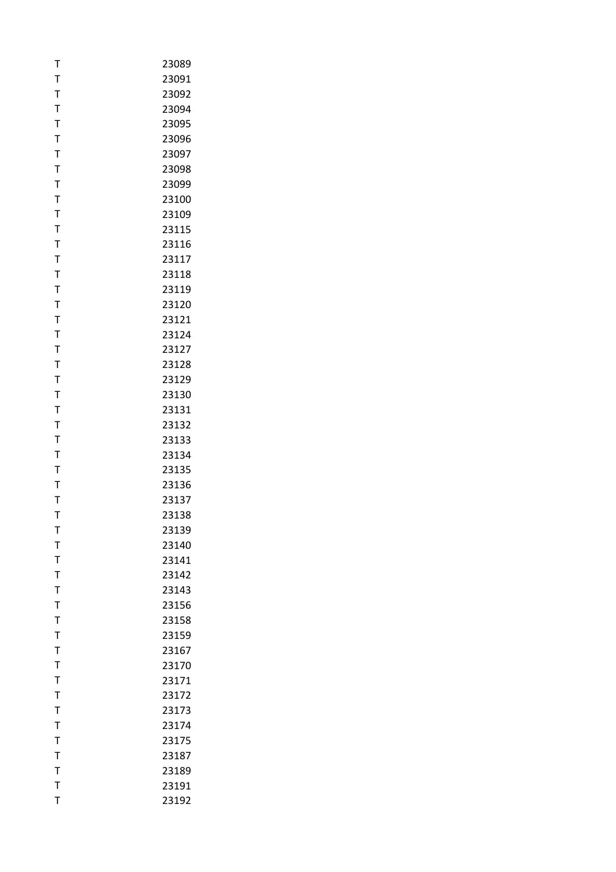| T              | 23089 |
|----------------|-------|
| T              | 23091 |
| T              | 23092 |
| T              | 23094 |
| $\mathsf{T}$   | 23095 |
| T              | 23096 |
| T              | 23097 |
| T              | 23098 |
| T              | 23099 |
| T              | 23100 |
| T              | 23109 |
| T              | 23115 |
| T              | 23116 |
| $\mathsf{T}$   | 23117 |
| T              | 23118 |
| T              | 23119 |
| T              | 23120 |
| $\mathsf T$    | 23121 |
| $\mathsf T$    | 23124 |
| T              | 23127 |
| T              | 23128 |
| T              | 23129 |
| T              | 23130 |
| $\mathsf{T}$   | 23131 |
| T              | 23132 |
| T              | 23133 |
| T              | 23134 |
| T              | 23135 |
| $\mathsf{T}$   | 23136 |
| T              | 23137 |
| T              | 23138 |
| т              | 23139 |
| T              | 23140 |
| T              | 23141 |
| T              | 23142 |
| T              | 23143 |
| T              | 23156 |
| T              | 23158 |
| T              | 23159 |
| T              | 23167 |
| T              | 23170 |
| T              | 23171 |
| T              | 23172 |
| $\overline{1}$ | 23173 |
| T              | 23174 |
| $\mathsf{T}$   | 23175 |
| T              | 23187 |
| $\mathsf{T}$   | 23189 |
| $\mathsf{T}$   | 23191 |
| T              | 23192 |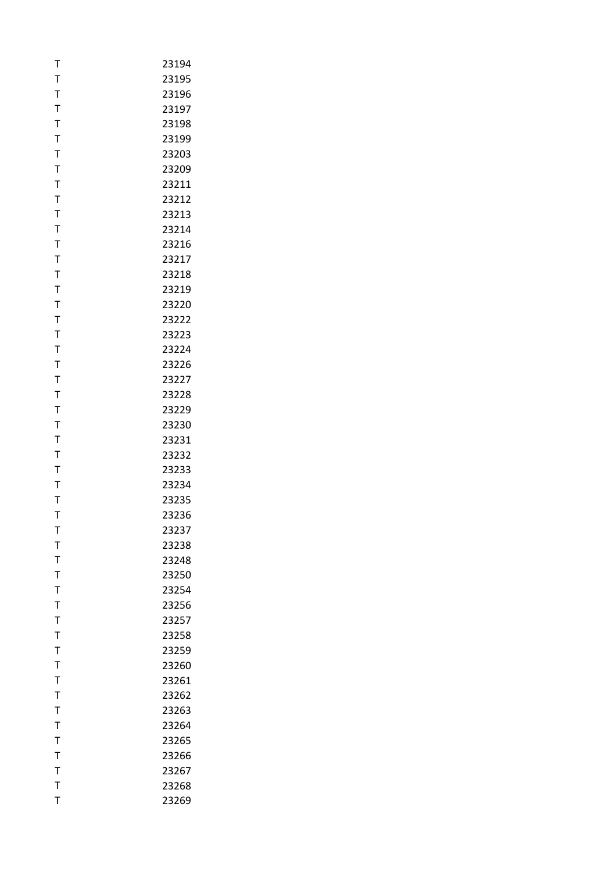| T              | 23194 |
|----------------|-------|
| T              | 23195 |
| T              | 23196 |
| T              | 23197 |
| $\mathsf{T}$   | 23198 |
| T              | 23199 |
| T              | 23203 |
| T              | 23209 |
| T              | 23211 |
| $\mathsf T$    | 23212 |
| T              | 23213 |
| T              | 23214 |
| T              | 23216 |
| T              | 23217 |
| T              | 23218 |
| T              | 23219 |
| T              | 23220 |
| T              | 23222 |
| $\mathsf{T}$   | 23223 |
| T              | 23224 |
| T              | 23226 |
| T              | 23227 |
| T              | 23228 |
| $\mathsf{T}$   | 23229 |
| T              | 23230 |
| T              | 23231 |
| T              | 23232 |
| T              | 23233 |
| T              | 23234 |
| T              | 23235 |
| T              | 23236 |
| т              | 23237 |
| T              | 23238 |
| T              | 23248 |
| T              | 23250 |
| T              | 23254 |
| T              | 23256 |
| T              | 23257 |
| T              | 23258 |
| T              | 23259 |
| T              | 23260 |
| T              | 23261 |
| $\mathsf{T}$   | 23262 |
| $\overline{1}$ | 23263 |
| T              | 23264 |
| $\mathsf{T}$   | 23265 |
| T              | 23266 |
| $\mathsf{T}$   | 23267 |
| T              | 23268 |
| T              | 23269 |
|                |       |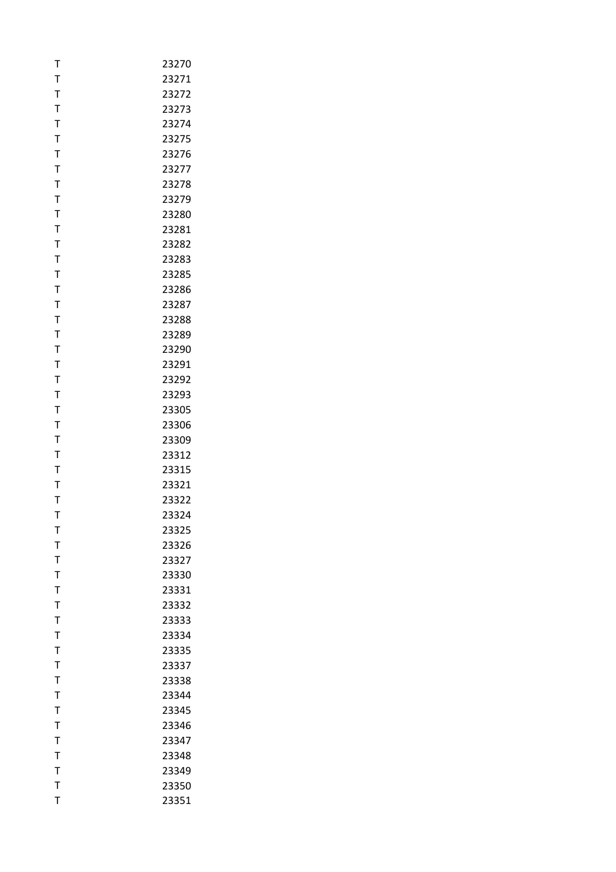| т            | 23270 |
|--------------|-------|
| T            | 23271 |
| T            | 23272 |
| T            | 23273 |
| T            | 23274 |
| T            | 23275 |
| $\mathsf{T}$ | 23276 |
| T            | 23277 |
| T            | 23278 |
| T            | 23279 |
| Τ            | 23280 |
| T            | 23281 |
| $\mathsf T$  | 23282 |
| $\mathsf{T}$ | 23283 |
| T            | 23285 |
| T            | 23286 |
| T            | 23287 |
| $\mathsf T$  | 23288 |
| $\mathsf{T}$ | 23289 |
| T            | 23290 |
| T            | 23291 |
| T            | 23292 |
| T            | 23293 |
| T            | 23305 |
| T            | 23306 |
| T            | 23309 |
| T            | 23312 |
| T            | 23315 |
| T            | 23321 |
| Т            | 23322 |
| T            | 23324 |
| т            | 23325 |
| T            | 23326 |
| T            | 23327 |
| $\mathsf{T}$ | 23330 |
| $\bar{1}$    | 23331 |
| T            | 23332 |
| T            | 23333 |
| T            | 23334 |
| T            | 23335 |
| $\mathsf{T}$ | 23337 |
| T            | 23338 |
| T            | 23344 |
| $\bar{1}$    | 23345 |
| T            | 23346 |
| T            | 23347 |
| T            | 23348 |
| $\mathsf{T}$ | 23349 |
| T            | 23350 |
| T            | 23351 |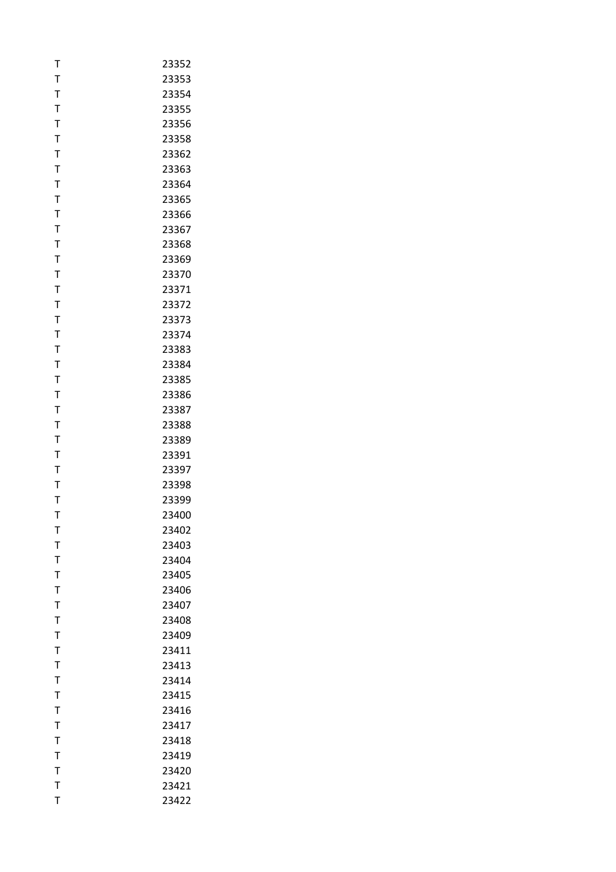| T            | 23352 |
|--------------|-------|
| T            | 23353 |
| $\mathsf{T}$ | 23354 |
| T            | 23355 |
| $\mathsf{T}$ | 23356 |
| T            | 23358 |
| T            | 23362 |
| T            | 23363 |
| $\mathsf{T}$ | 23364 |
| T            | 23365 |
| T            | 23366 |
| T            | 23367 |
| T            | 23368 |
| $\mathsf{T}$ | 23369 |
| T            | 23370 |
| T            | 23371 |
| T            | 23372 |
| $\mathsf{T}$ | 23373 |
| $\mathsf{T}$ | 23374 |
| T            | 23383 |
| T            | 23384 |
| T            | 23385 |
| T            | 23386 |
| $\mathsf{T}$ | 23387 |
| T            | 23388 |
| T            | 23389 |
| T            | 23391 |
| T            | 23397 |
| $\mathsf{T}$ | 23398 |
| T            | 23399 |
| T            | 23400 |
| т            | 23402 |
| T            | 23403 |
| T            | 23404 |
| T            | 23405 |
| T            | 23406 |
| T            | 23407 |
| T            | 23408 |
| $\mathsf T$  | 23409 |
| T            | 23411 |
| T            | 23413 |
| T            | 23414 |
| $\mathsf{T}$ | 23415 |
| T            | 23416 |
| $\mathsf{T}$ | 23417 |
| T            | 23418 |
| T            | 23419 |
| $\mathsf{T}$ | 23420 |
| $\bar{1}$    | 23421 |
| T            | 23422 |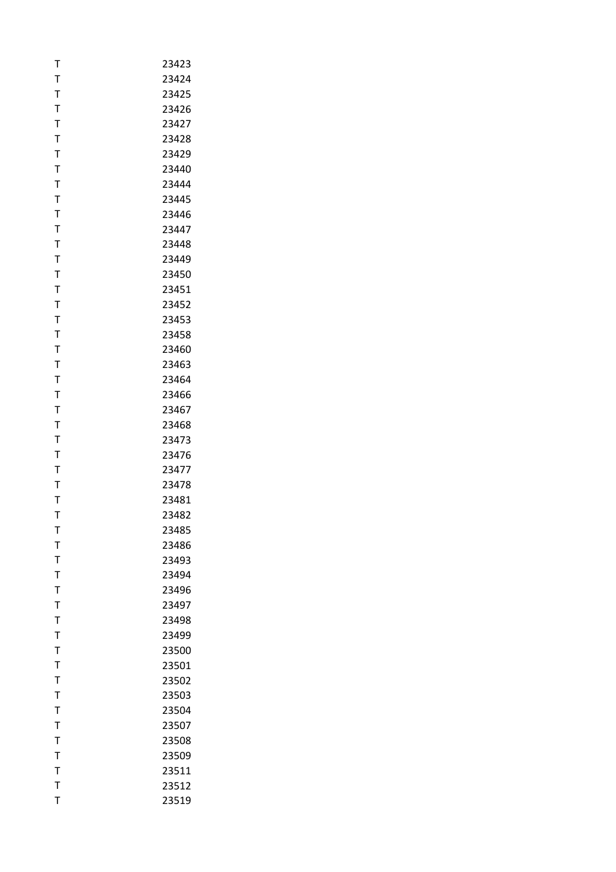| Т            | 23423 |
|--------------|-------|
| T            | 23424 |
| T            | 23425 |
| T            | 23426 |
| $\mathsf{T}$ | 23427 |
| T            | 23428 |
| T            | 23429 |
| T            | 23440 |
| $\mathsf{T}$ | 23444 |
| $\mathsf{T}$ | 23445 |
| Т            | 23446 |
| T            | 23447 |
| T            | 23448 |
| T            | 23449 |
| T            | 23450 |
| Т            | 23451 |
| $\mathsf{T}$ | 23452 |
| T            | 23453 |
| T            | 23458 |
| T            | 23460 |
| T            | 23463 |
| $\mathsf{T}$ | 23464 |
| T            | 23466 |
| $\mathsf{T}$ | 23467 |
| T            | 23468 |
| T            | 23473 |
| T            | 23476 |
| T            | 23477 |
| T            | 23478 |
| Т            | 23481 |
| T            | 23482 |
| т            | 23485 |
| T            | 23486 |
| T            | 23493 |
| T            | 23494 |
| T            | 23496 |
| T            | 23497 |
| T            | 23498 |
| $\mathsf T$  | 23499 |
| T            | 23500 |
| T            | 23501 |
| T            | 23502 |
| $\mathsf{T}$ | 23503 |
| T            | 23504 |
| $\mathsf{T}$ | 23507 |
| T            | 23508 |
| T            | 23509 |
| $\mathsf{T}$ | 23511 |
| $\mathsf{T}$ | 23512 |
| T            | 23519 |
|              |       |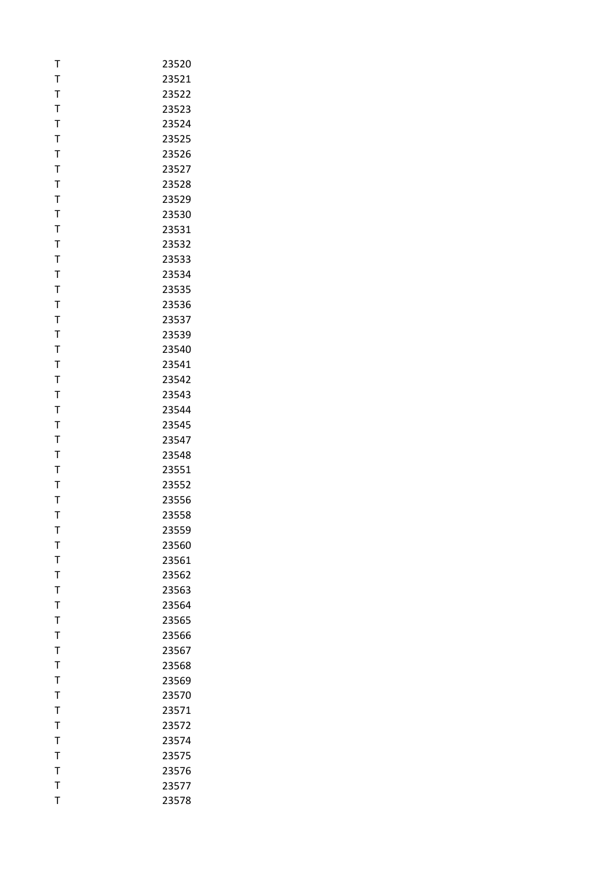| T              | 23520 |
|----------------|-------|
| T              | 23521 |
| $\mathsf{T}$   | 23522 |
| T              | 23523 |
| $\mathsf{T}$   | 23524 |
| T              | 23525 |
| T              | 23526 |
| $\mathsf T$    | 23527 |
| $\mathsf{T}$   | 23528 |
| T              | 23529 |
| T              | 23530 |
| T              | 23531 |
| T              | 23532 |
| $\mathsf{T}$   | 23533 |
| T              | 23534 |
| T              | 23535 |
| T              | 23536 |
| $\bar{1}$      | 23537 |
| $\mathsf{T}$   | 23539 |
| T              | 23540 |
| T              | 23541 |
| T              | 23542 |
| $\bar{1}$      | 23543 |
| $\mathsf{T}$   | 23544 |
| T              | 23545 |
| T              | 23547 |
| T              | 23548 |
| T              | 23551 |
| $\mathsf T$    | 23552 |
| T              | 23556 |
| T              | 23558 |
| т              | 23559 |
| T              | 23560 |
| T              | 23561 |
| $\overline{1}$ | 23562 |
| T              | 23563 |
| T              | 23564 |
| T              | 23565 |
| T              | 23566 |
| T              | 23567 |
| T              | 23568 |
| T              | 23569 |
| T              | 23570 |
| T              | 23571 |
| T              | 23572 |
| $\mathsf T$    | 23574 |
| T              | 23575 |
| $\mathsf T$    | 23576 |
| $\mathsf T$    | 23577 |
| T              | 23578 |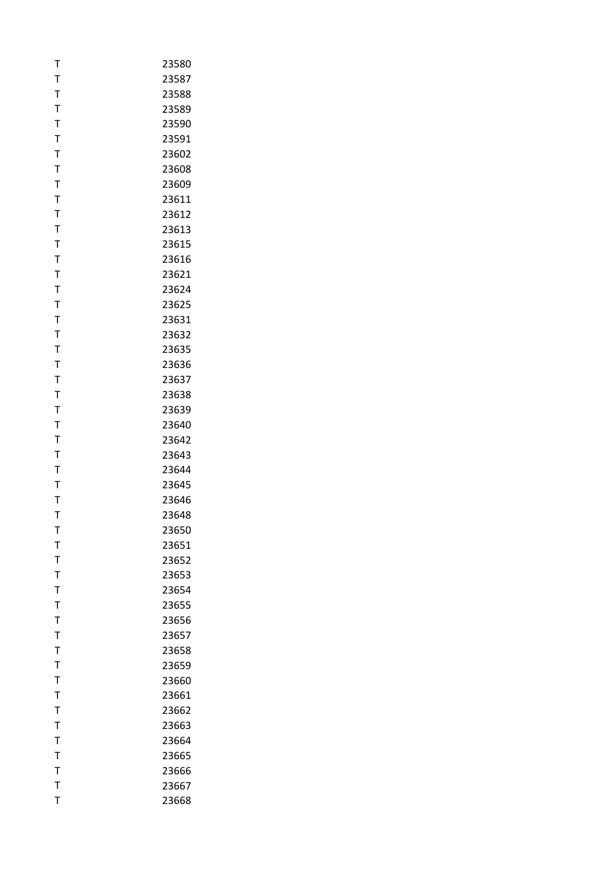| T            | 23580 |
|--------------|-------|
| T            | 23587 |
| T            | 23588 |
| T            | 23589 |
| $\mathsf{T}$ | 23590 |
| T            | 23591 |
| T            | 23602 |
| $\mathsf T$  | 23608 |
| $\mathsf T$  | 23609 |
| T            | 23611 |
| T            | 23612 |
| T            | 23613 |
| T            | 23615 |
| $\mathsf{T}$ | 23616 |
| T            | 23621 |
| T            | 23624 |
| T            | 23625 |
| T            | 23631 |
| $\mathsf{T}$ | 23632 |
| T            | 23635 |
| T            | 23636 |
| T            | 23637 |
| $\mathsf T$  | 23638 |
| $\mathsf{T}$ | 23639 |
| T            | 23640 |
| T            | 23642 |
| T            | 23643 |
| T            | 23644 |
| $\mathsf T$  | 23645 |
| T            | 23646 |
| T            | 23648 |
| т            | 23650 |
| T            | 23651 |
| T            | 23652 |
| $\bar{I}$    | 23653 |
| $\bar{1}$    | 23654 |
| T            | 23655 |
| T            | 23656 |
| $\mathsf T$  | 23657 |
| T            | 23658 |
| T            | 23659 |
| T            | 23660 |
| T            | 23661 |
| T            | 23662 |
| T            | 23663 |
| $\mathsf{T}$ | 23664 |
| T            | 23665 |
| $\mathsf{T}$ | 23666 |
| T            | 23667 |
| T            | 23668 |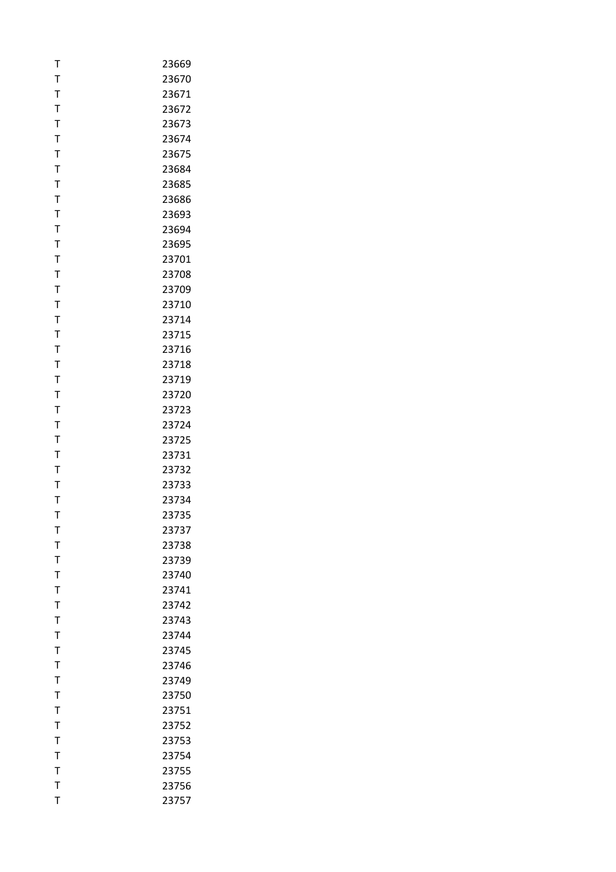| T            | 23669 |
|--------------|-------|
| T            | 23670 |
| T            | 23671 |
| T            | 23672 |
| $\mathsf{T}$ | 23673 |
| T            | 23674 |
| $\mathsf T$  | 23675 |
| T            | 23684 |
| T            | 23685 |
| T            | 23686 |
| T            | 23693 |
| $\mathsf{T}$ | 23694 |
| T            | 23695 |
| T            | 23701 |
| T            | 23708 |
| T            | 23709 |
| T            | 23710 |
| $\bar{T}$    | 23714 |
| $\mathsf{T}$ | 23715 |
| T            | 23716 |
| T            | 23718 |
| T            | 23719 |
| T            | 23720 |
| $\mathsf{T}$ | 23723 |
| T            | 23724 |
| T            | 23725 |
| T            | 23731 |
| T            | 23732 |
| T            | 23733 |
| T            | 23734 |
| T            | 23735 |
| т            | 23737 |
| T            | 23738 |
| T            | 23739 |
| T            | 23740 |
| T            | 23741 |
| T            | 23742 |
| T            | 23743 |
| T            | 23744 |
| $\mathsf{T}$ | 23745 |
| T            | 23746 |
| T            | 23749 |
| $\mathsf{T}$ | 23750 |
| T            | 23751 |
| $\mathsf{T}$ | 23752 |
| T            | 23753 |
| Τ            | 23754 |
| T            | 23755 |
| $\mathsf{T}$ | 23756 |
| T            | 23757 |
|              |       |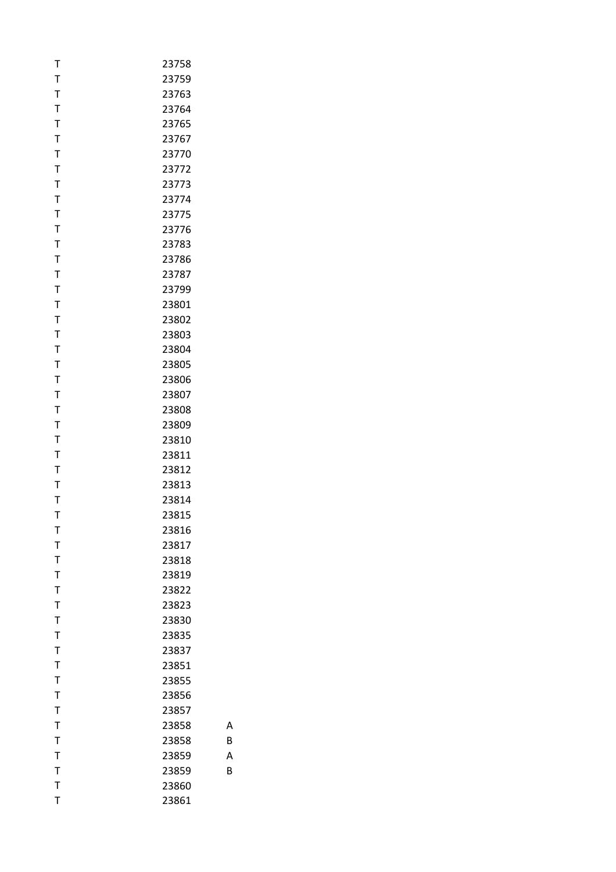| T            | 23758 |
|--------------|-------|
| $\mathsf{T}$ | 23759 |
| $\mathsf T$  | 23763 |
| T            | 23764 |
| $\mathsf{T}$ | 23765 |
| $\mathsf T$  | 23767 |
| T            | 23770 |
| $\mathsf{T}$ | 23772 |
| T            | 23773 |
| T            | 23774 |
| Τ            | 23775 |
| T            | 23776 |
| T            | 23783 |
| $\mathsf{T}$ | 23786 |
| T            | 23787 |
| $\mathsf T$  | 23799 |
| T            | 23801 |
| T            | 23802 |
| $\mathsf{T}$ | 23803 |
| $\mathsf T$  | 23804 |
| T            | 23805 |
| T            | 23806 |
| T            | 23807 |
| T            | 23808 |
| $\mathsf T$  | 23809 |
| T            | 23810 |
| $\mathsf T$  | 23811 |
| T            | 23812 |
| T            | 23813 |
| Τ            | 23814 |
| T            | 23815 |
| т            | 23816 |
| $\mathsf{T}$ | 23817 |
| T            | 23818 |
| $\mathsf{T}$ | 23819 |
| $\mathsf{T}$ | 23822 |
| T            | 23823 |
| $\mathsf{T}$ | 23830 |
| T            | 23835 |
| $\mathsf{T}$ | 23837 |
| $\mathsf{T}$ | 23851 |
| T            | 23855 |
| $\mathsf{T}$ | 23856 |
| $\mathsf{T}$ | 23857 |
| $\mathsf{T}$ | 23858 |
| $\mathsf{T}$ | 23858 |
| T            | 23859 |
| $\mathsf{T}$ | 23859 |
| $\mathsf{T}$ | 23860 |
| T            | 23861 |

B

A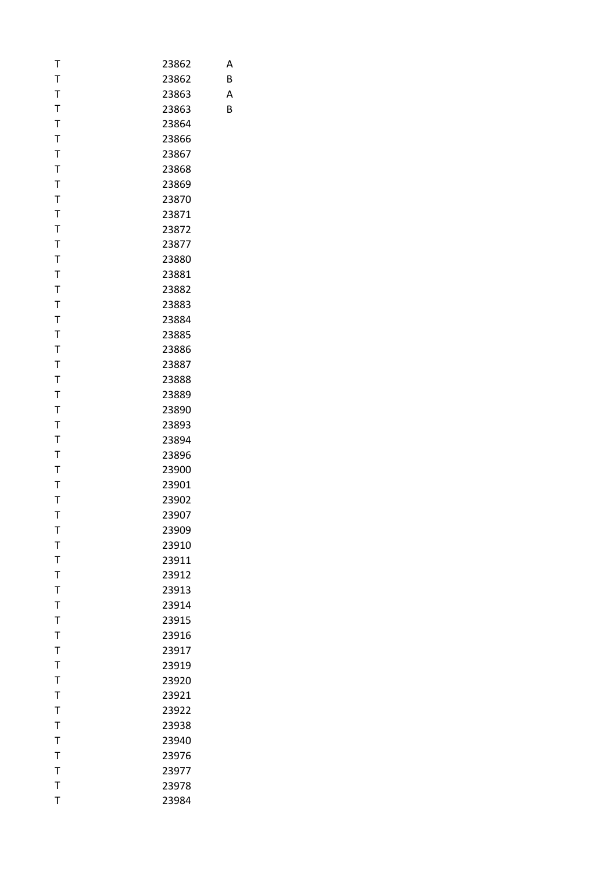| T            | 23862 |
|--------------|-------|
| $\mathsf{T}$ | 23862 |
| $\mathsf{T}$ | 23863 |
| T            | 23863 |
| T            | 23864 |
| $\mathsf T$  | 23866 |
| T            | 23867 |
| $\mathsf{T}$ | 23868 |
| T            | 23869 |
| T            | 23870 |
| Τ            | 23871 |
| T            | 23872 |
| T            | 23877 |
| $\mathsf{T}$ | 23880 |
| T            | 23881 |
| T            | 23882 |
| T            | 23883 |
| T            | 23884 |
| T            | 23885 |
| T            | 23886 |
| T            | 23887 |
| T            | 23888 |
| T            | 23889 |
| T            | 23890 |
| T            | 23893 |
| T            | 23894 |
| T            | 23896 |
| T            | 23900 |
| T            | 23901 |
| Τ            | 23902 |
| T            | 23907 |
| т            | 23909 |
| $\mathsf T$  | 23910 |
| $\mathsf T$  | 23911 |
| $\mathsf{T}$ | 23912 |
| $\mathsf{T}$ | 23913 |
| T            | 23914 |
| $\mathsf T$  | 23915 |
| $\bar{1}$    | 23916 |
| $\mathsf{T}$ | 23917 |
| $\mathsf{T}$ | 23919 |
| T            | 23920 |
| $\mathsf T$  | 23921 |
| $\mathsf{T}$ | 23922 |
| $\mathsf{T}$ | 23938 |
| $\mathsf{T}$ | 23940 |
| $\mathsf T$  | 23976 |
| $\mathsf T$  | 23977 |
| $\mathsf{T}$ | 23978 |
| T            | 23984 |

B

A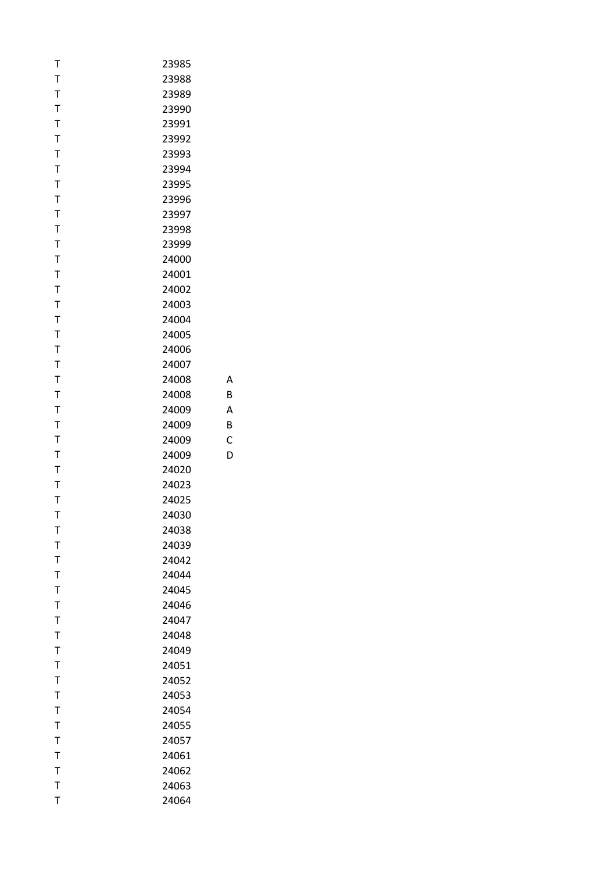| T            | 23985 |
|--------------|-------|
| T            | 23988 |
| T            | 23989 |
| T            | 23990 |
| T            | 23991 |
| $\mathsf T$  | 23992 |
| T            | 23993 |
| $\mathsf T$  | 23994 |
| T            | 23995 |
| $\mathsf T$  | 23996 |
| T            | 23997 |
| T            | 23998 |
| T            | 23999 |
| T            | 24000 |
| T            | 24001 |
| Τ            | 24002 |
| T            | 24003 |
| T            | 24004 |
| T            | 24005 |
| T            | 24006 |
| T            | 24007 |
| $\mathsf T$  | 24008 |
| T            | 24008 |
| T            | 24009 |
| $\mathsf T$  | 24009 |
| T            | 24009 |
| T            | 24009 |
| T            | 24020 |
| T            | 24023 |
| Τ            | 24025 |
| T            | 24030 |
| т            | 24038 |
| T            | 24039 |
| T            | 24042 |
| T            | 24044 |
| $\mathsf{T}$ | 24045 |
| T            | 24046 |
| T            | 24047 |
| T            | 24048 |
| T            | 24049 |
| T            | 24051 |
| T            | 24052 |
| T            | 24053 |
| $\mathsf T$  | 24054 |
| T            | 24055 |
| T            | 24057 |
| Т            | 24061 |
| T            | 24062 |
| T            | 24063 |
| T            | 24064 |

B

A

B

C

D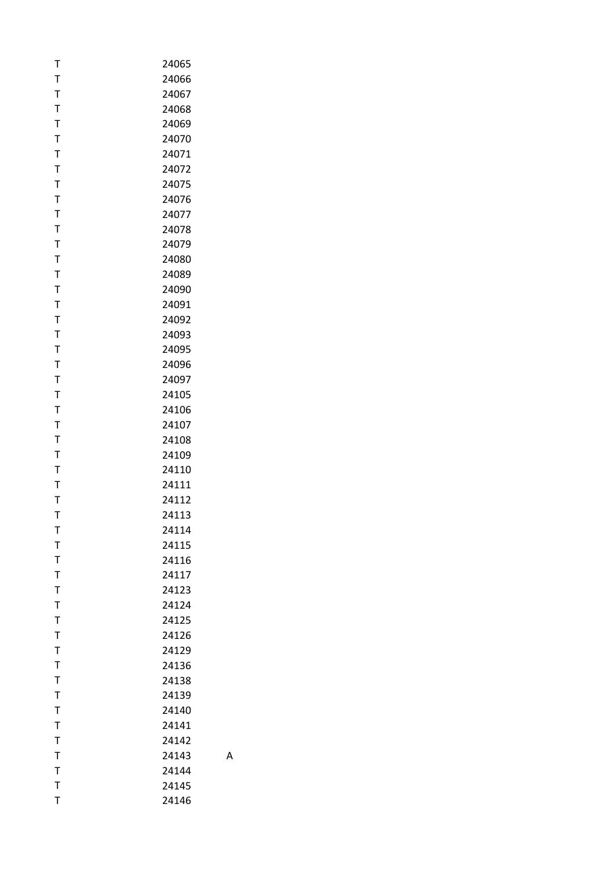| T            | 24065 |
|--------------|-------|
| T            | 24066 |
| T            | 24067 |
| T            | 24068 |
| T            | 24069 |
| $\mathsf T$  | 24070 |
| T            | 24071 |
| T            | 24072 |
| T            | 24075 |
| T            | 24076 |
| Τ            | 24077 |
| T            | 24078 |
| T            | 24079 |
| T            | 24080 |
| T            | 24089 |
| Τ            | 24090 |
| T            | 24091 |
| T            | 24092 |
| T            | 24093 |
| T            | 24095 |
| T            | 24096 |
| T            | 24097 |
| T            | 24105 |
| T            | 24106 |
| $\mathsf T$  | 24107 |
| T            | 24108 |
| T            | 24109 |
| T            | 24110 |
| T            | 24111 |
| Т            | 24112 |
| T            | 24113 |
| т            | 24114 |
| T            | 24115 |
| T            | 24116 |
| $\mathsf{T}$ | 24117 |
| T            | 24123 |
| T            | 24124 |
| T            | 24125 |
| $\mathsf T$  | 24126 |
| $\mathsf{T}$ | 24129 |
| T            | 24136 |
| T            | 24138 |
| $\mathsf{T}$ | 24139 |
| T            | 24140 |
| $\mathsf{T}$ | 24141 |
| T            | 24142 |
| T            | 24143 |
| $\mathsf T$  | 24144 |
| $\mathsf{T}$ | 24145 |
| T            | 24146 |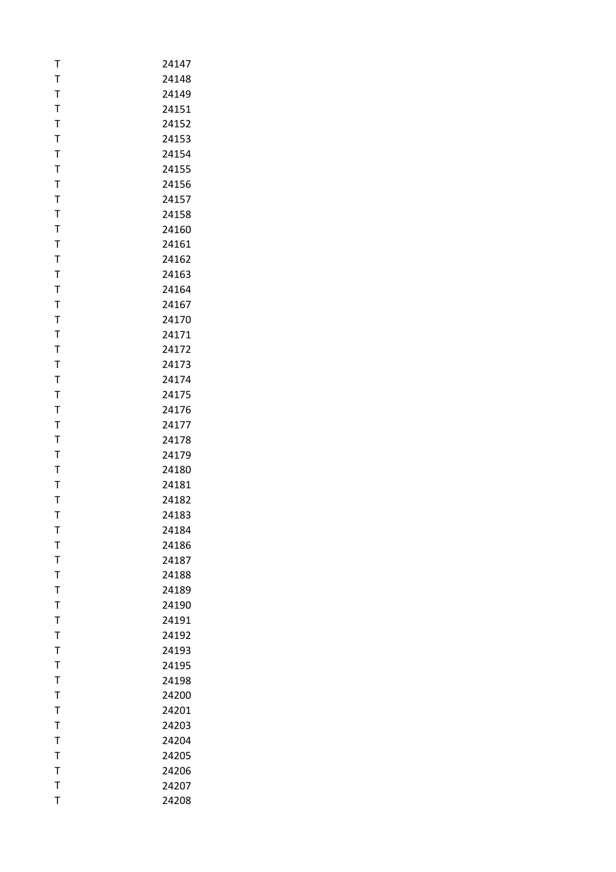| T            | 24147 |
|--------------|-------|
| T            | 24148 |
| T            | 24149 |
| T            | 24151 |
| $\mathsf{T}$ | 24152 |
| T            | 24153 |
| T            | 24154 |
| T            | 24155 |
| T            | 24156 |
| T            | 24157 |
| T            | 24158 |
| T            | 24160 |
| $\mathsf T$  | 24161 |
| T            | 24162 |
| T            | 24163 |
| Τ            | 24164 |
| T            | 24167 |
| T            | 24170 |
| T            | 24171 |
| T            | 24172 |
| T            | 24173 |
| T            | 24174 |
| T            | 24175 |
| T            | 24176 |
| T            | 24177 |
| T            | 24178 |
| T            | 24179 |
| T            | 24180 |
| T            | 24181 |
| Т            | 24182 |
| T            | 24183 |
| т            | 24184 |
| T            | 24186 |
| T            | 24187 |
| $\mathsf{T}$ | 24188 |
| T            | 24189 |
| T            | 24190 |
| T            | 24191 |
| T            | 24192 |
| $\mathsf{T}$ | 24193 |
| $\mathsf{T}$ | 24195 |
| T            | 24198 |
| T            | 24200 |
| T            | 24201 |
| T            | 24203 |
| T            | 24204 |
| T            | 24205 |
| $\mathsf{T}$ | 24206 |
| $\bar{1}$    | 24207 |
| T            | 24208 |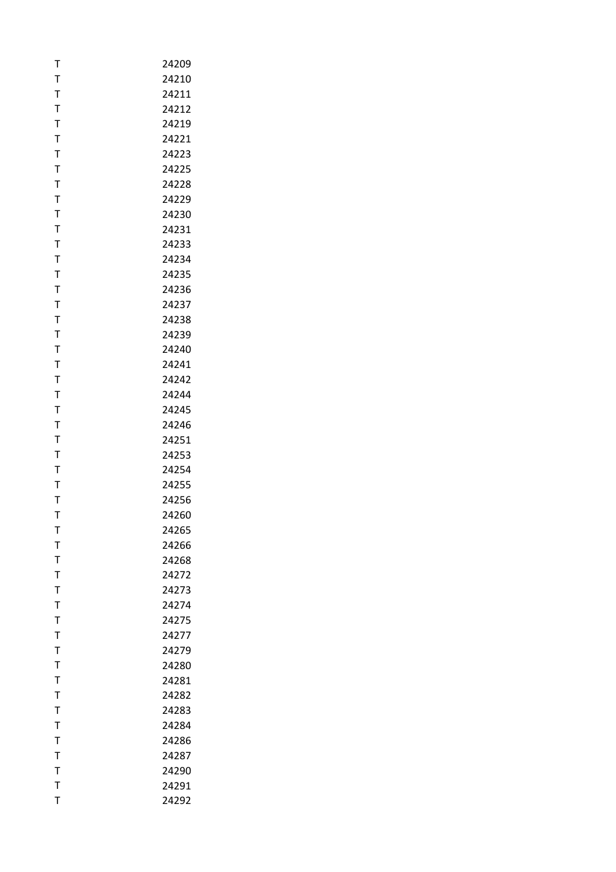| T            | 24209 |
|--------------|-------|
| T            | 24210 |
| T            | 24211 |
| T            | 24212 |
| $\mathsf{T}$ | 24219 |
| T            | 24221 |
| T            | 24223 |
| T            | 24225 |
| $\mathsf{T}$ | 24228 |
| $\mathsf{T}$ | 24229 |
| Τ            | 24230 |
| T            | 24231 |
| T            | 24233 |
| T            | 24234 |
| T            | 24235 |
| Τ            | 24236 |
| $\mathsf{T}$ | 24237 |
| T            | 24238 |
| T            | 24239 |
| $\mathsf T$  | 24240 |
| T            | 24241 |
| $\mathsf{T}$ | 24242 |
| $\mathsf{T}$ | 24244 |
| T            | 24245 |
| T            | 24246 |
| T            | 24251 |
| T            | 24253 |
| T            | 24254 |
| T            | 24255 |
| Т            | 24256 |
| T            | 24260 |
| т            | 24265 |
| T            | 24266 |
| $\mathsf{T}$ | 24268 |
| $\mathsf{T}$ | 24272 |
| T            | 24273 |
| T            | 24274 |
| T            | 24275 |
| T            | 24277 |
| $\mathsf{T}$ | 24279 |
| $\mathsf{T}$ | 24280 |
| T            | 24281 |
| T            | 24282 |
| $\mathsf T$  | 24283 |
| $\mathsf{T}$ | 24284 |
| T            | 24286 |
| T            | 24287 |
| $\mathsf{T}$ | 24290 |
| T            | 24291 |
| T            | 24292 |
|              |       |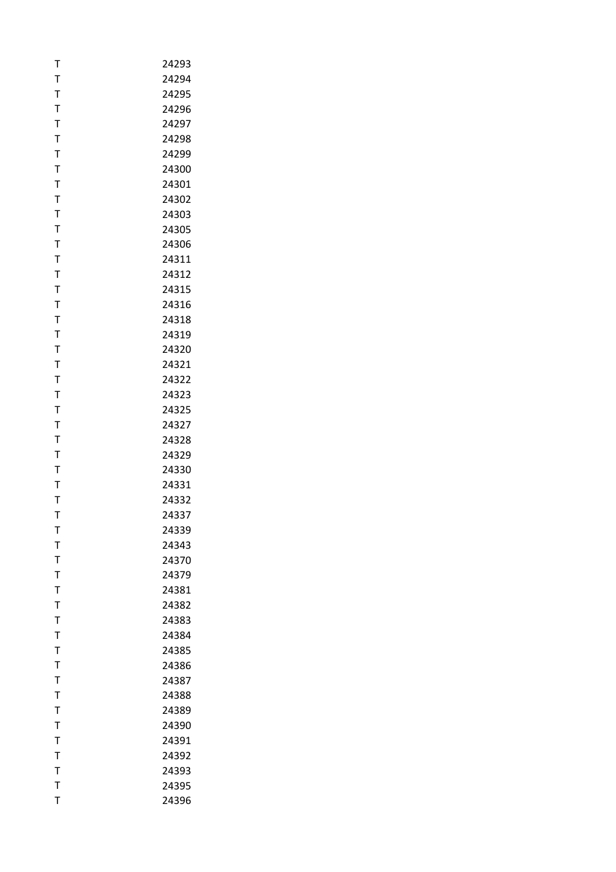| T            | 24293 |
|--------------|-------|
| T            | 24294 |
| T            | 24295 |
| T            | 24296 |
| $\mathsf{T}$ | 24297 |
| T            | 24298 |
| T            | 24299 |
| T            | 24300 |
| $\mathsf{T}$ | 24301 |
| $\mathsf{T}$ | 24302 |
| $\mathsf T$  | 24303 |
| T            | 24305 |
| T            | 24306 |
| T            | 24311 |
| T            | 24312 |
| Τ            | 24315 |
| $\mathsf{T}$ | 24316 |
| T            | 24318 |
| T            | 24319 |
| $\mathsf T$  | 24320 |
| T            | 24321 |
| $\mathsf T$  | 24322 |
| T            | 24323 |
| T            | 24325 |
| T            | 24327 |
| T            | 24328 |
| T            | 24329 |
| T            | 24330 |
| T            | 24331 |
| Т            | 24332 |
| T            | 24337 |
| т            | 24339 |
| T            | 24343 |
| $\mathsf T$  | 24370 |
| $\mathsf T$  | 24379 |
| $\mathsf T$  | 24381 |
| T            | 24382 |
| T            | 24383 |
| T            | 24384 |
| $\mathsf T$  | 24385 |
| $\mathsf T$  | 24386 |
| T            | 24387 |
| T            | 24388 |
| T            | 24389 |
| T            | 24390 |
| T            | 24391 |
| T            | 24392 |
| $\bar{1}$    | 24393 |
| T            | 24395 |
| T            | 24396 |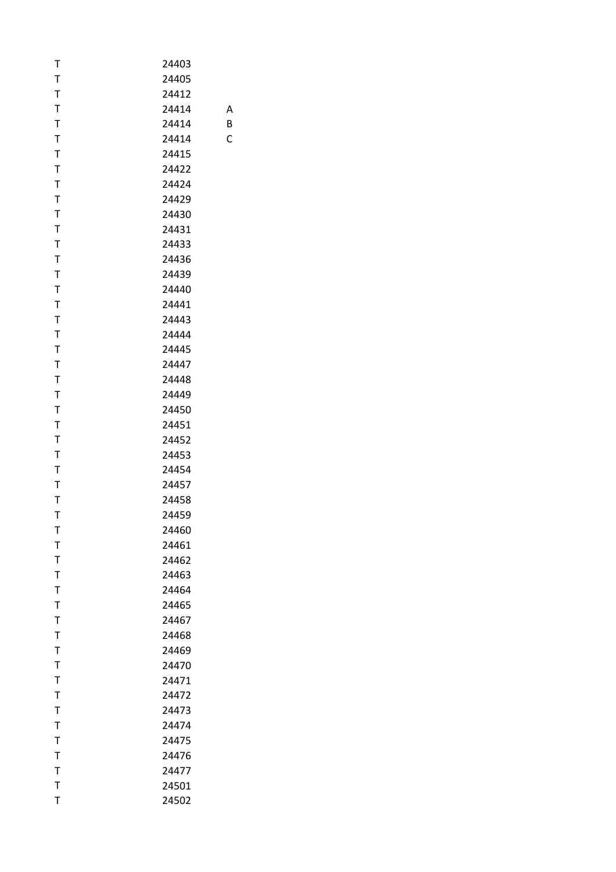| T            | 24403 |
|--------------|-------|
| T            | 24405 |
| $\mathsf T$  | 24412 |
| T            | 24414 |
| $\mathsf T$  | 24414 |
| T            | 24414 |
| T            | 24415 |
| $\mathsf T$  | 24422 |
| T            | 24424 |
| $\mathsf T$  | 24429 |
| T            | 24430 |
| T            | 24431 |
| T            | 24433 |
| T            | 24436 |
| T            | 24439 |
| Τ            | 24440 |
| $\mathsf T$  | 24441 |
| T            | 24443 |
| $\mathsf{T}$ | 24444 |
| T            | 24445 |
| $\mathsf T$  | 24447 |
| $\mathsf T$  | 24448 |
| T            | 24449 |
| T            | 24450 |
| T            | 24451 |
| $\mathsf T$  | 24452 |
| $\mathsf T$  | 24453 |
| T            | 24454 |
| T            | 24457 |
| T            | 24458 |
| T            | 24459 |
| т            | 24460 |
| T            | 24461 |
| $\mathsf T$  | 24462 |
| $\mathsf T$  | 24463 |
| $\mathsf T$  | 24464 |
| $\mathsf T$  | 24465 |
| T            | 24467 |
| T            | 24468 |
| $\mathsf T$  | 24469 |
| $\mathsf T$  | 24470 |
| T            | 24471 |
| T            | 24472 |
| T            | 24473 |
| $\mathsf T$  | 24474 |
| T            | 24475 |
| T            | 24476 |
| $\mathsf T$  | 24477 |
| $\mathsf T$  | 24501 |
| T            | 24502 |

B

C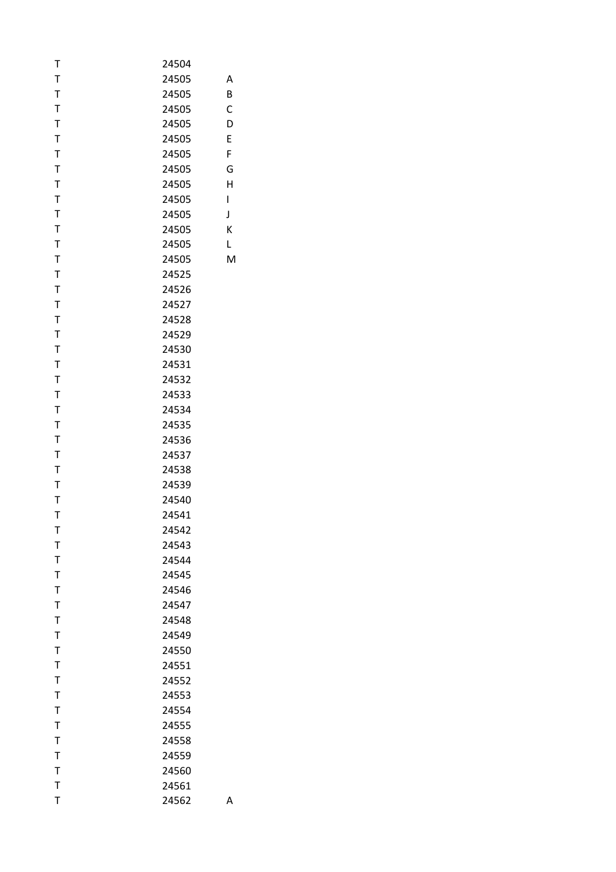| Т            | 24504 |   |
|--------------|-------|---|
| $\mathsf T$  | 24505 | Α |
| $\mathsf T$  | 24505 | B |
| $\mathsf T$  | 24505 | С |
| $\mathsf T$  | 24505 | D |
| T            | 24505 | E |
| $\mathsf T$  | 24505 | F |
| $\mathsf T$  | 24505 | G |
| $\mathsf T$  | 24505 | Н |
| $\mathsf T$  | 24505 | I |
| $\mathsf T$  | 24505 | J |
| $\mathsf T$  | 24505 | K |
| $\mathsf T$  | 24505 | L |
| $\mathsf T$  | 24505 | M |
| $\mathsf T$  | 24525 |   |
| $\mathsf T$  | 24526 |   |
| $\mathsf{T}$ | 24527 |   |
| $\mathsf T$  | 24528 |   |
| $\mathsf T$  | 24529 |   |
| T            | 24530 |   |
| $\mathsf T$  | 24531 |   |
| $\mathsf T$  | 24532 |   |
| $\mathsf T$  | 24533 |   |
| $\mathsf T$  | 24534 |   |
| T            | 24535 |   |
| $\mathsf T$  | 24536 |   |
| $\mathsf T$  | 24537 |   |
| $\mathsf T$  | 24538 |   |
| $\mathsf T$  | 24539 |   |
| T            |       |   |
| $\mathsf T$  | 24540 |   |
|              | 24541 |   |
| Т            | 24542 |   |
| $\mathsf T$  | 24543 |   |
| $\mathsf T$  | 24544 |   |
| $\mathsf T$  | 24545 |   |
| $\mathsf T$  | 24546 |   |
| T            | 24547 |   |
| $\mathsf T$  | 24548 |   |
| $\mathsf T$  | 24549 |   |
| $\mathsf{T}$ | 24550 |   |
| $\mathsf T$  | 24551 |   |
| $\mathsf T$  | 24552 |   |
| $\mathsf T$  | 24553 |   |
| $\mathsf T$  | 24554 |   |
| $\mathsf T$  | 24555 |   |
| T            | 24558 |   |
| $\mathsf T$  | 24559 |   |
| $\mathsf T$  | 24560 |   |
| $\mathsf T$  | 24561 |   |
| T            | 24562 | Α |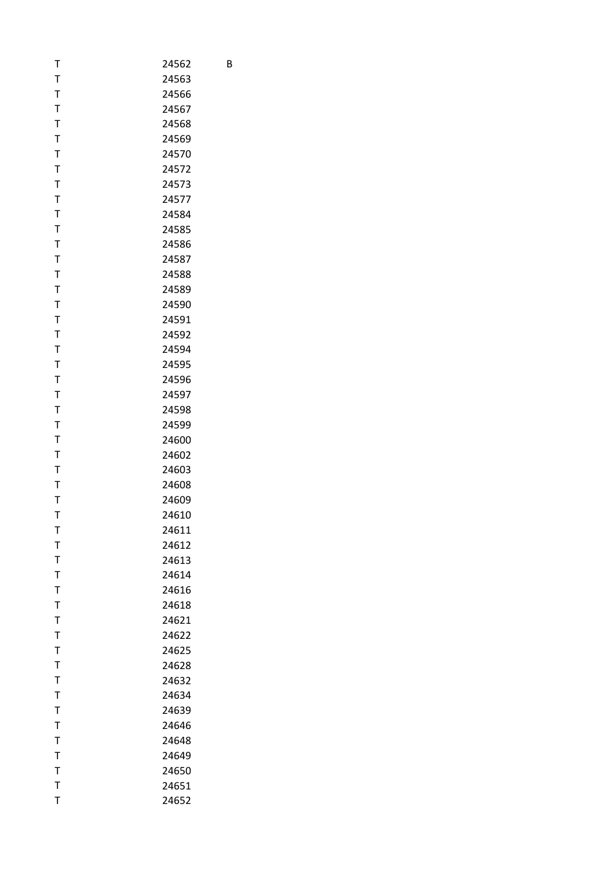| T            | 24562 |
|--------------|-------|
| T            | 24563 |
| T            | 24566 |
| T            | 24567 |
| T            | 24568 |
| T            | 24569 |
| T            | 24570 |
| T            | 24572 |
| T            | 24573 |
| T            | 24577 |
| T            | 24584 |
| T            | 24585 |
| T            | 24586 |
| T            | 24587 |
| T            | 24588 |
| T            | 24589 |
| T            | 24590 |
| $\mathsf T$  | 24591 |
| $\mathsf T$  | 24592 |
| T            | 24594 |
| T            | 24595 |
| T            | 24596 |
| T            | 24597 |
| T            | 24598 |
| T            | 24599 |
| T            | 24600 |
| $\mathsf T$  | 24602 |
| T            | 24603 |
| $\mathsf{T}$ | 24608 |
| T            | 24609 |
| T            | 24610 |
| т            | 24611 |
| T            | 24612 |
| T            | 24613 |
| T            | 24614 |
| T            | 24616 |
| T            | 24618 |
| T            | 24621 |
| T            | 24622 |
| T            | 24625 |
| T            | 24628 |
| T            | 24632 |
| T            | 24634 |
| T            | 24639 |
| T            | 24646 |
| T            | 24648 |
| T            | 24649 |
| T            | 24650 |
| $\mathsf{T}$ | 24651 |
| T            | 24652 |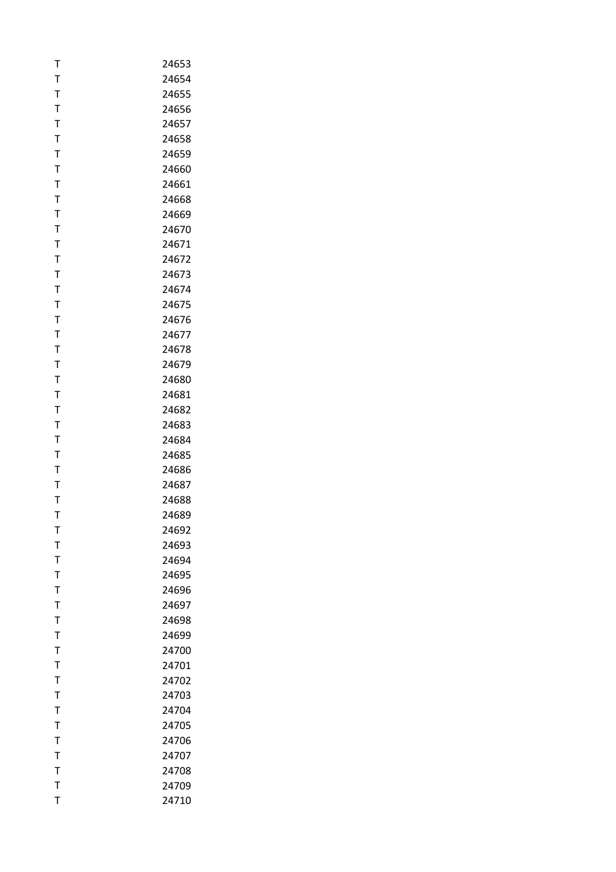| T            | 24653 |
|--------------|-------|
| T            | 24654 |
| T            | 24655 |
| T            | 24656 |
| $\mathsf{T}$ | 24657 |
| T            | 24658 |
| T            | 24659 |
| T            | 24660 |
| T            | 24661 |
| T            | 24668 |
| Т            | 24669 |
| T            | 24670 |
| T            | 24671 |
| T            | 24672 |
| T            | 24673 |
|              | 24674 |
| Т            |       |
| T            | 24675 |
| T            | 24676 |
| T            | 24677 |
| T            | 24678 |
| T            | 24679 |
| T            | 24680 |
| T            | 24681 |
| T            | 24682 |
| T            | 24683 |
| Т            | 24684 |
| T            | 24685 |
| T            | 24686 |
| T            | 24687 |
| Т            | 24688 |
| T            | 24689 |
| т            | 24692 |
| T            | 24693 |
| T            | 24694 |
| T            | 24695 |
| $\mathsf{T}$ | 24696 |
| T            | 24697 |
| Τ            | 24698 |
| T            | 24699 |
| T            | 24700 |
| $\mathsf{T}$ | 24701 |
| Т            | 24702 |
| T            | 24703 |
| T            | 24704 |
| T            | 24705 |
| T            | 24706 |
| Т            | 24707 |
| T            | 24708 |
| T            | 24709 |
| Τ            | 24710 |
|              |       |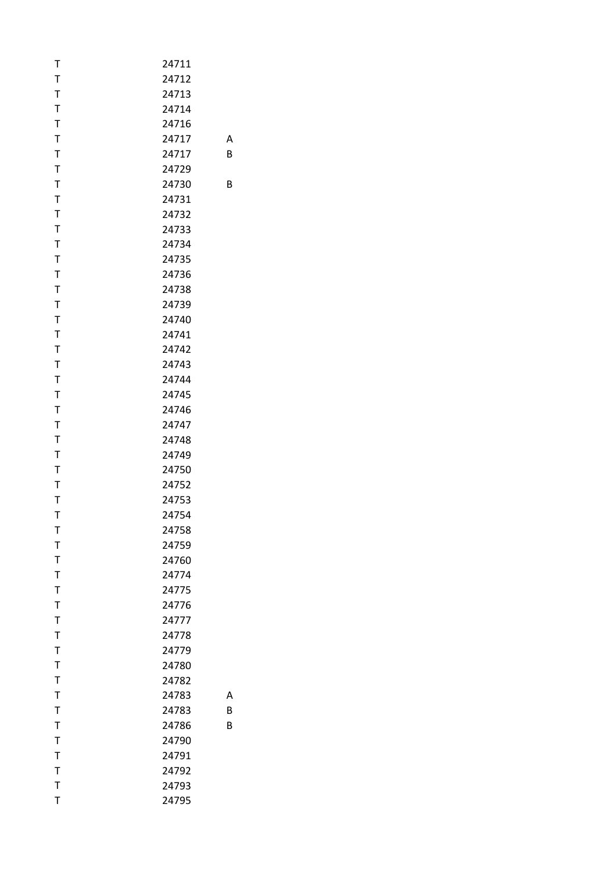| Т            | 24711 |   |
|--------------|-------|---|
| $\mathsf T$  | 24712 |   |
| $\mathsf T$  | 24713 |   |
| $\mathsf T$  | 24714 |   |
| $\mathsf T$  | 24716 |   |
| T            | 24717 | Α |
| $\mathsf T$  | 24717 | B |
| $\mathsf T$  | 24729 |   |
| $\mathsf T$  | 24730 | В |
| $\mathsf T$  | 24731 |   |
| $\mathsf T$  | 24732 |   |
| $\mathsf T$  | 24733 |   |
| $\mathsf T$  | 24734 |   |
| $\mathsf T$  | 24735 |   |
| $\mathsf T$  | 24736 |   |
| $\mathsf T$  | 24738 |   |
| $\mathsf T$  | 24739 |   |
| $\mathsf T$  | 24740 |   |
| $\mathsf T$  | 24741 |   |
| T            | 24742 |   |
| $\mathsf T$  | 24743 |   |
| $\mathsf T$  | 24744 |   |
| $\mathsf T$  | 24745 |   |
| $\mathsf T$  | 24746 |   |
|              |       |   |
| T            | 24747 |   |
| $\mathsf T$  | 24748 |   |
| $\mathsf T$  | 24749 |   |
| $\mathsf T$  | 24750 |   |
| $\mathsf T$  | 24752 |   |
| T            | 24753 |   |
| $\mathsf{T}$ | 24754 |   |
| Т            | 24758 |   |
| $\mathsf T$  | 24759 |   |
| $\mathsf T$  | 24760 |   |
| $\mathsf T$  | 24774 |   |
| $\mathsf T$  | 24775 |   |
| T            | 24776 |   |
| $\mathsf T$  | 24777 |   |
| $\mathsf T$  | 24778 |   |
| $\bar{1}$    | 24779 |   |
| $\mathsf T$  | 24780 |   |
| $\mathsf T$  | 24782 |   |
| $\mathsf T$  | 24783 | Α |
| $\mathsf T$  | 24783 | B |
| $\mathsf T$  | 24786 | B |
| $\mathsf T$  | 24790 |   |
| $\mathsf T$  | 24791 |   |
| $\mathsf T$  | 24792 |   |
| $\mathsf T$  | 24793 |   |
| T            | 24795 |   |
|              |       |   |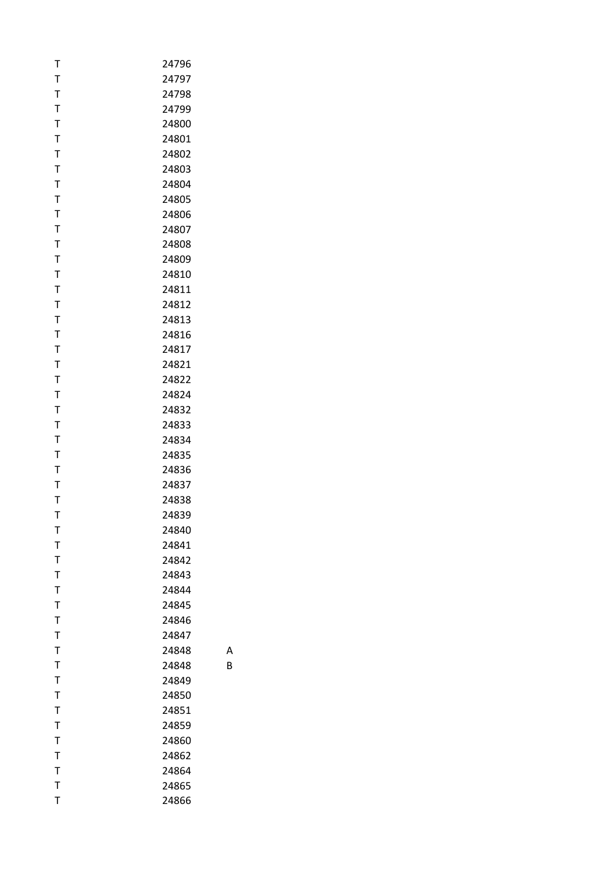| т            | 24796 |
|--------------|-------|
| T            | 24797 |
| T            | 24798 |
| T            | 24799 |
| T            | 24800 |
| T            | 24801 |
| T            | 24802 |
| T            | 24803 |
| T            | 24804 |
| T            | 24805 |
| T            | 24806 |
| T            | 24807 |
| T            | 24808 |
| T            | 24809 |
| T            | 24810 |
| T            | 24811 |
| T            | 24812 |
| T            | 24813 |
| T            | 24816 |
| T            | 24817 |
| $\mathsf T$  | 24821 |
| T            | 24822 |
| T            | 24824 |
| T            | 24832 |
| T            | 24833 |
| T            | 24834 |
| T            | 24835 |
| T            | 24836 |
| T            | 24837 |
| Τ            | 24838 |
| T            | 24839 |
| т            | 24840 |
| T            | 24841 |
| T            | 24842 |
| T            | 24843 |
| $\mathsf T$  | 24844 |
| T            | 24845 |
| T            | 24846 |
| $\mathsf{T}$ | 24847 |
| $\mathsf{T}$ | 24848 |
| T            | 24848 |
| T            | 24849 |
| $\mathsf T$  | 24850 |
| $\mathsf{T}$ | 24851 |
| $\mathsf T$  | 24859 |
| T            | 24860 |
| T            | 24862 |
| T            | 24864 |
| $\mathsf{T}$ | 24865 |
| T            | 24866 |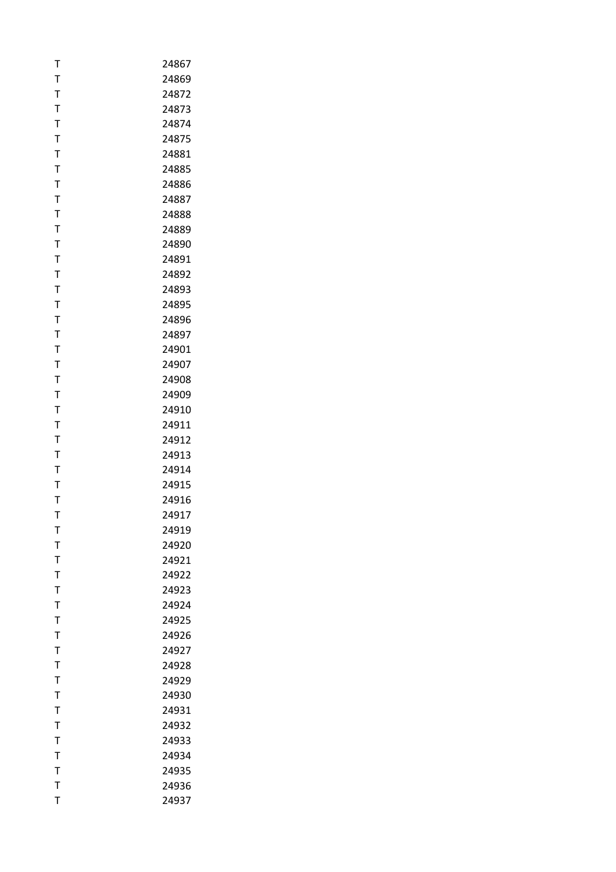| T            | 24867 |
|--------------|-------|
| T            | 24869 |
| T            | 24872 |
| T            | 24873 |
| $\mathsf{T}$ | 24874 |
| T            | 24875 |
| T            | 24881 |
| T            | 24885 |
| T            | 24886 |
| T            | 24887 |
| Т            | 24888 |
| T            | 24889 |
| T            | 24890 |
| T            | 24891 |
| T            | 24892 |
| Т            | 24893 |
| T            | 24895 |
| T            | 24896 |
| T            | 24897 |
| T            | 24901 |
| T            | 24907 |
| $\mathsf T$  | 24908 |
| T            | 24909 |
| T            | 24910 |
| T            | 24911 |
| Τ            | 24912 |
| T            | 24913 |
| T            | 24914 |
| T            | 24915 |
| Т            | 24916 |
| T            | 24917 |
| т            | 24919 |
| T            | 24920 |
| T            | 24921 |
| $\mathsf T$  | 24922 |
| $\mathsf T$  | 24923 |
| T            | 24924 |
| Τ            | 24925 |
| T            | 24926 |
| T            | 24927 |
| $\mathsf T$  | 24928 |
| Т            | 24929 |
| T            | 24930 |
| T            | 24931 |
| T            | 24932 |
| T            | 24933 |
| T            | 24934 |
| $\mathsf T$  | 24935 |
| T            | 24936 |
| T            | 24937 |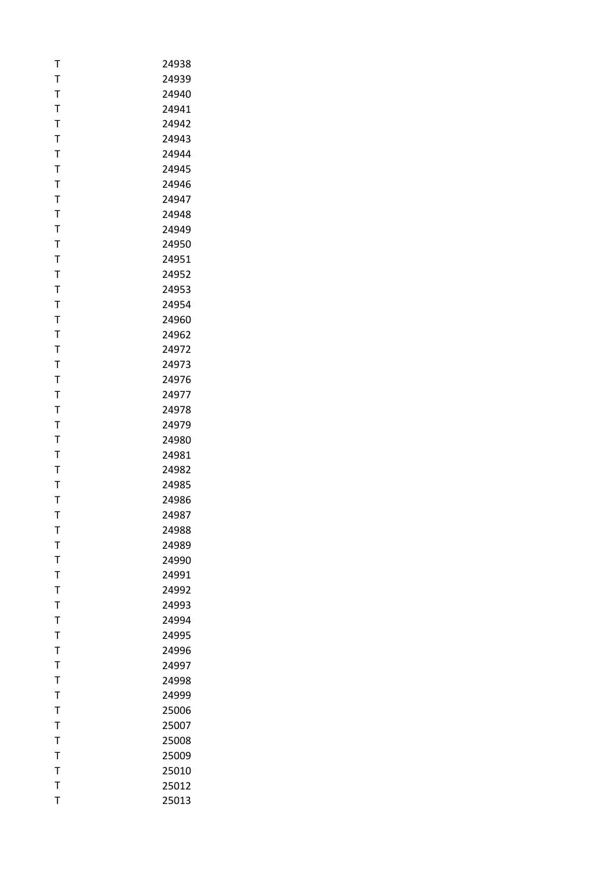| Т           | 24938 |
|-------------|-------|
| T           | 24939 |
| T           | 24940 |
| T           | 24941 |
| T           | 24942 |
| T           | 24943 |
| Τ           | 24944 |
| T           | 24945 |
| T           | 24946 |
| T           | 24947 |
| Т           | 24948 |
| T           | 24949 |
| T           | 24950 |
| T           | 24951 |
| T           | 24952 |
| Т           | 24953 |
| T           | 24954 |
| T           | 24960 |
| T           | 24962 |
| T           | 24972 |
| T           | 24973 |
| T           | 24976 |
| T           | 24977 |
| T           | 24978 |
|             |       |
| T           | 24979 |
| Τ           | 24980 |
| T           | 24981 |
| T           | 24982 |
| T           | 24985 |
| Т           | 24986 |
| T           | 24987 |
| т           | 24988 |
| T           | 24989 |
| T           | 24990 |
| T           | 24991 |
| $\mathsf T$ | 24992 |
| T           | 24993 |
| Τ           | 24994 |
| T           | 24995 |
| T           | 24996 |
| $\mathsf T$ | 24997 |
| Т           | 24998 |
| T           | 24999 |
| T           | 25006 |
| T           | 25007 |
| T           | 25008 |
| T           | 25009 |
| T           | 25010 |
| T           | 25012 |
| T           | 25013 |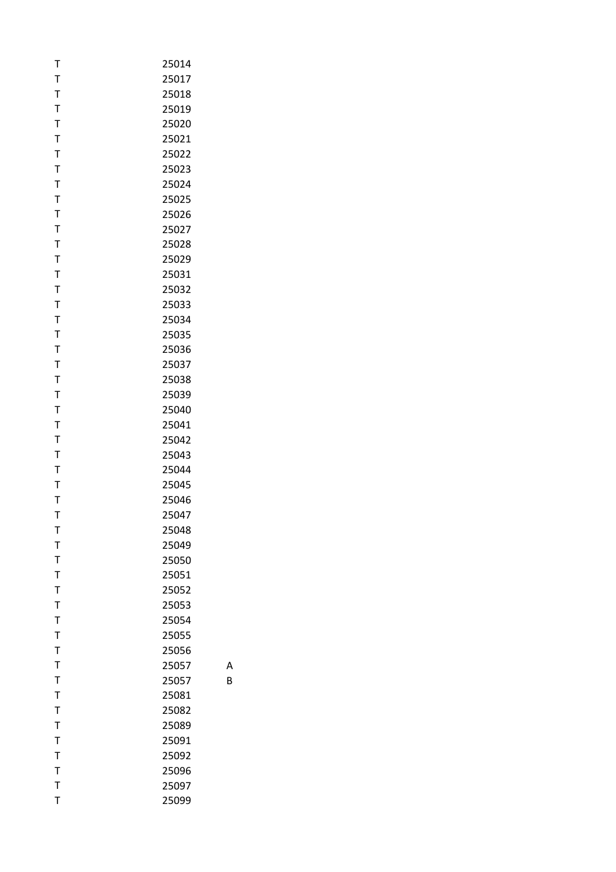| т            | 25014 |
|--------------|-------|
| $\mathsf T$  | 25017 |
| $\mathsf T$  | 25018 |
| T            | 25019 |
| $\mathsf{T}$ | 25020 |
| T            | 25021 |
| $\mathsf T$  | 25022 |
| T            | 25023 |
| T            | 25024 |
| $\mathsf T$  | 25025 |
| T            | 25026 |
| $\mathsf T$  | 25027 |
| $\bar{1}$    | 25028 |
| $\mathsf{T}$ | 25029 |
| T            | 25031 |
| T            | 25032 |
| $\mathsf T$  | 25033 |
| $\mathsf T$  | 25034 |
| $\mathsf T$  | 25035 |
| T            | 25036 |
| $\mathsf T$  | 25037 |
| $\mathsf T$  | 25038 |
| T            | 25039 |
| $\mathsf T$  | 25040 |
| T            | 25041 |
| $\mathsf T$  | 25042 |
| T            | 25043 |
| T            | 25044 |
| T            | 25045 |
| T            | 25046 |
| T            | 25047 |
| т            | 25048 |
| T            | 25049 |
| $\mathsf T$  | 25050 |
| T            | 25051 |
| $\mathsf T$  | 25052 |
| T            | 25053 |
| $\mathsf T$  | 25054 |
| $\mathsf T$  | 25055 |
| $\mathsf T$  | 25056 |
| $\mathsf T$  | 25057 |
| T            | 25057 |
| $\mathsf T$  | 25081 |
| $\bar{1}$    | 25082 |
| $\mathsf{T}$ | 25089 |
| T            | 25091 |
| T            | 25092 |
| $\mathsf T$  | 25096 |
| T            | 25097 |
| T            | 25099 |

A

B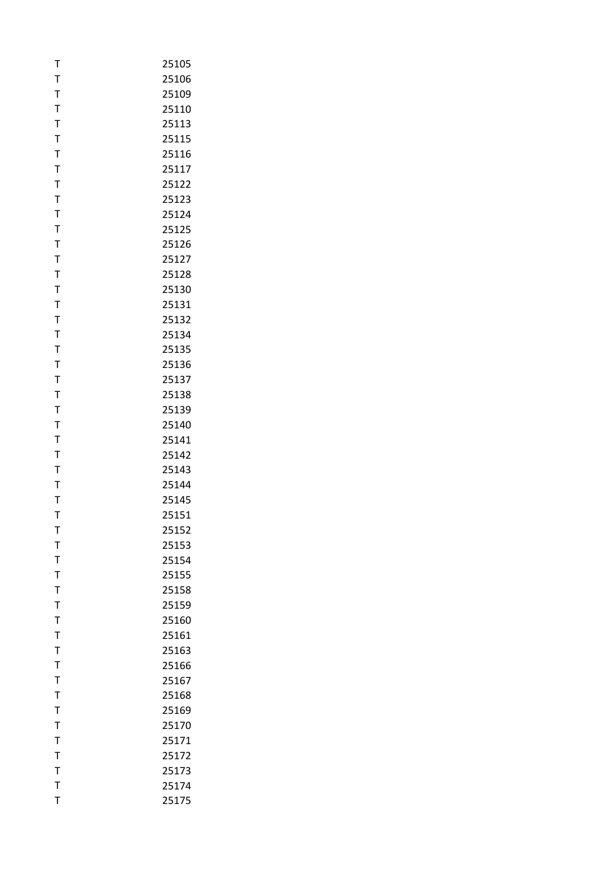| T            | 25105 |
|--------------|-------|
| T            | 25106 |
| T            | 25109 |
| T            | 25110 |
| $\mathsf T$  | 25113 |
| T            | 25115 |
| T            | 25116 |
| T            | 25117 |
| T            | 25122 |
| T            | 25123 |
| T            | 25124 |
| T            | 25125 |
| T            | 25126 |
| $\mathsf T$  | 25127 |
| T            | 25128 |
| T            | 25130 |
| T            | 25131 |
| T            | 25132 |
| $\mathsf T$  | 25134 |
| T            | 25135 |
| T            | 25136 |
| T            | 25137 |
| T            | 25138 |
| T            | 25139 |
| T            | 25140 |
| T            | 25141 |
| T            | 25142 |
| T            | 25143 |
| $\bar{1}$    | 25144 |
| T            | 25145 |
| T            | 25151 |
| т            | 25152 |
| T            | 25153 |
| T            | 25154 |
| $\bar{1}$    | 25155 |
| $\bar{1}$    | 25158 |
| T            | 25159 |
| T            | 25160 |
| T            | 25161 |
| T            | 25163 |
| T            | 25166 |
| T            | 25167 |
| T            | 25168 |
| T            | 25169 |
| T            | 25170 |
| $\mathsf{T}$ | 25171 |
| T            | 25172 |
| $\mathsf{T}$ | 25173 |
| $\mathsf{T}$ | 25174 |
| T            | 25175 |
|              |       |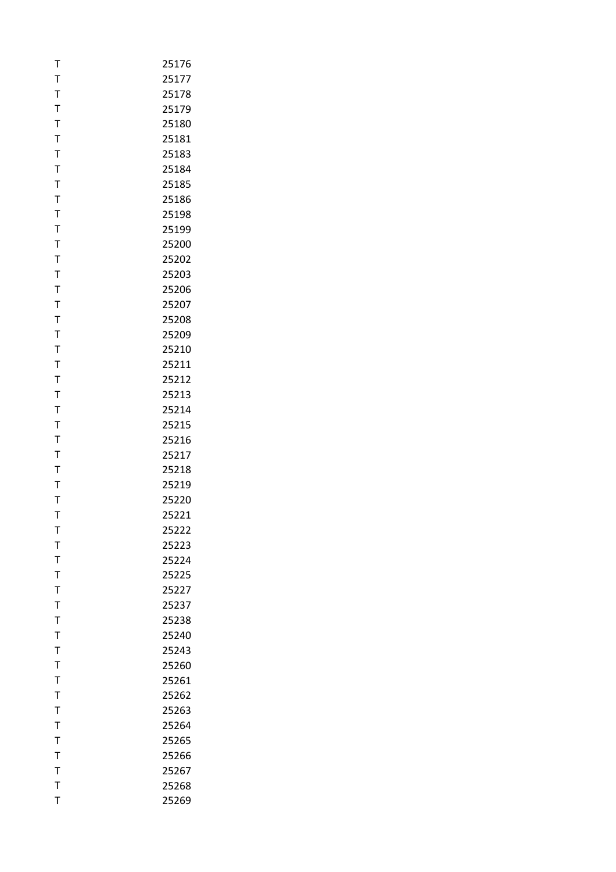| T            | 25176 |
|--------------|-------|
| T            | 25177 |
| T            | 25178 |
| $\bar{1}$    | 25179 |
| $\mathsf{T}$ | 25180 |
| T            | 25181 |
| T            | 25183 |
| T            | 25184 |
| $\mathsf{T}$ | 25185 |
| T            | 25186 |
| T            | 25198 |
| T            | 25199 |
| T            | 25200 |
| $\mathsf{T}$ | 25202 |
| T            | 25203 |
| T            | 25206 |
|              |       |
| T            | 25207 |
| T            | 25208 |
| $\mathsf{T}$ | 25209 |
| T            | 25210 |
| T            | 25211 |
| T            | 25212 |
| $\mathsf T$  | 25213 |
| T            | 25214 |
| T            | 25215 |
| T            | 25216 |
| T            | 25217 |
| T            | 25218 |
| $\mathsf{T}$ | 25219 |
| T            | 25220 |
| T            | 25221 |
| т            | 25222 |
| T            | 25223 |
| T            | 25224 |
| T            | 25225 |
| $\bar{1}$    | 25227 |
| T            | 25237 |
| T            | 25238 |
| T            | 25240 |
| T            | 25243 |
| $\bar{1}$    | 25260 |
| T            | 25261 |
| T            | 25262 |
| T            | 25263 |
| $\mathsf{T}$ | 25264 |
| $\mathsf{T}$ | 25265 |
| T            | 25266 |
| $\mathsf{T}$ | 25267 |
| $\mathsf{T}$ | 25268 |
| T            | 25269 |
|              |       |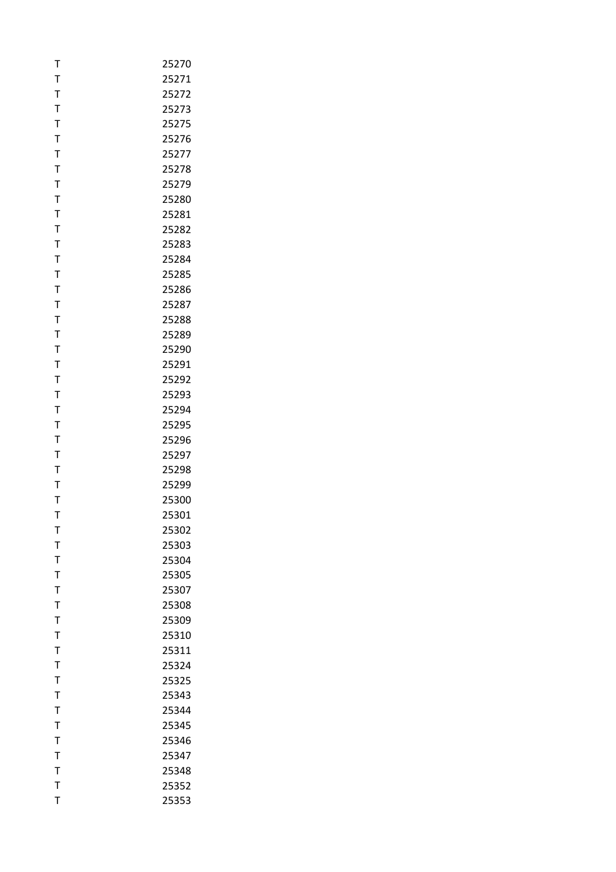| T            | 25270 |
|--------------|-------|
| T            | 25271 |
| T            | 25272 |
| T            | 25273 |
| $\mathsf{T}$ | 25275 |
| T            | 25276 |
| T            | 25277 |
| $\mathsf T$  | 25278 |
| $\mathsf{T}$ | 25279 |
| T            | 25280 |
| T            | 25281 |
| T            | 25282 |
| T            | 25283 |
| $\mathsf{T}$ | 25284 |
| T            | 25285 |
| T            | 25286 |
| T            | 25287 |
| T            | 25288 |
| $\mathsf{T}$ | 25289 |
| T            | 25290 |
| T            | 25291 |
| T            | 25292 |
| T            | 25293 |
| $\mathsf{T}$ | 25294 |
| T            | 25295 |
| T            | 25296 |
| T            | 25297 |
| T            | 25298 |
| $\mathsf{T}$ | 25299 |
| T            | 25300 |
| T            | 25301 |
| т            | 25302 |
| T            | 25303 |
| T            | 25304 |
| T            | 25305 |
| $\bar{1}$    | 25307 |
| T            | 25308 |
| T            | 25309 |
| T            | 25310 |
| T            | 25311 |
| $\bar{1}$    | 25324 |
| T            | 25325 |
| $\mathsf{T}$ | 25343 |
| T            | 25344 |
| T            | 25345 |
| $\mathsf{T}$ | 25346 |
| T            | 25347 |
| $\mathsf{T}$ | 25348 |
| $\mathsf{T}$ | 25352 |
| T            | 25353 |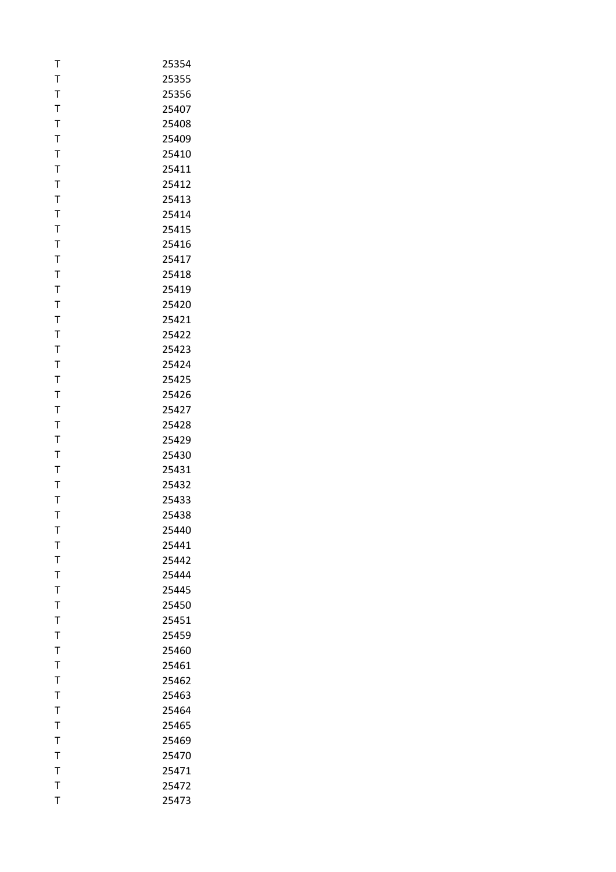| T            | 25354 |
|--------------|-------|
| T            | 25355 |
| T            | 25356 |
| T            | 25407 |
| $\mathsf{T}$ | 25408 |
| T            | 25409 |
| T            | 25410 |
| T            | 25411 |
| $\mathsf{T}$ | 25412 |
| T            | 25413 |
| T            | 25414 |
| T            | 25415 |
| $\mathsf T$  | 25416 |
| $\mathsf{T}$ | 25417 |
| T            | 25418 |
| T            | 25419 |
| $\mathsf{T}$ | 25420 |
| $\mathsf{T}$ | 25421 |
| $\mathsf{T}$ | 25422 |
| T            | 25423 |
| T            | 25424 |
| T            | 25425 |
| $\mathsf{T}$ | 25426 |
| $\mathsf{T}$ | 25427 |
| T            | 25428 |
| T            | 25429 |
| T            | 25430 |
| $\mathsf{T}$ | 25431 |
| $\mathsf{T}$ | 25432 |
| T            | 25433 |
| T            | 25438 |
| т            | 25440 |
| T            | 25441 |
| $\mathsf{T}$ | 25442 |
| $\mathsf{T}$ | 25444 |
| T            | 25445 |
| T            | 25450 |
| T            | 25451 |
| $\mathsf T$  | 25459 |
| T            | 25460 |
| T            | 25461 |
| T            | 25462 |
| $\mathsf{T}$ | 25463 |
| $\bar{1}$    | 25464 |
| $\mathsf{T}$ | 25465 |
| $\bar{1}$    | 25469 |
| T            | 25470 |
| $\mathsf{T}$ | 25471 |
| T            | 25472 |
| T            | 25473 |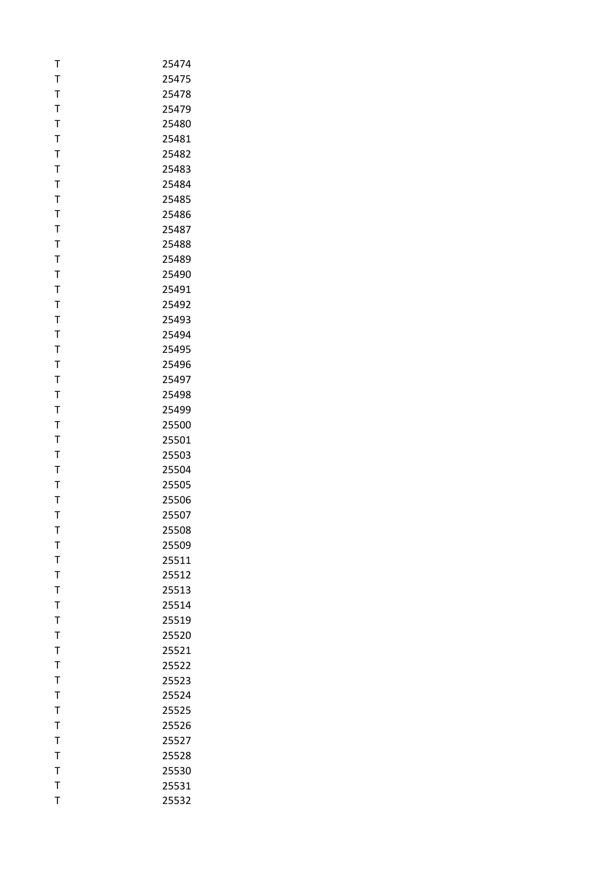| Т            | 25474 |
|--------------|-------|
| T            | 25475 |
| T            | 25478 |
| T            | 25479 |
| $\mathsf T$  | 25480 |
| T            | 25481 |
| T            | 25482 |
| T            | 25483 |
| $\mathsf T$  | 25484 |
| $\mathsf T$  | 25485 |
| T            | 25486 |
| T            | 25487 |
| T            | 25488 |
| $\mathsf{T}$ | 25489 |
| T            | 25490 |
| T            | 25491 |
| $\mathsf T$  | 25492 |
| T            | 25493 |
| $\mathsf{T}$ | 25494 |
| T            | 25495 |
| T            | 25496 |
| $\mathsf T$  | 25497 |
| T            | 25498 |
| $\mathsf T$  | 25499 |
| T            | 25500 |
| T            | 25501 |
| T            | 25503 |
| T            | 25504 |
| T            | 25505 |
| Т            | 25506 |
| T            | 25507 |
| т            | 25508 |
| T            | 25509 |
| T            | 25511 |
| T            | 25512 |
| $\bar{1}$    | 25513 |
| T            | 25514 |
| T            | 25519 |
| T            | 25520 |
| T            | 25521 |
| $\bar{1}$    | 25522 |
| T            | 25523 |
| T            | 25524 |
| $\bar{1}$    | 25525 |
| T            | 25526 |
| $\mathsf{T}$ | 25527 |
| T            | 25528 |
| $\mathsf{T}$ | 25530 |
| T            | 25531 |
| T            | 25532 |
|              |       |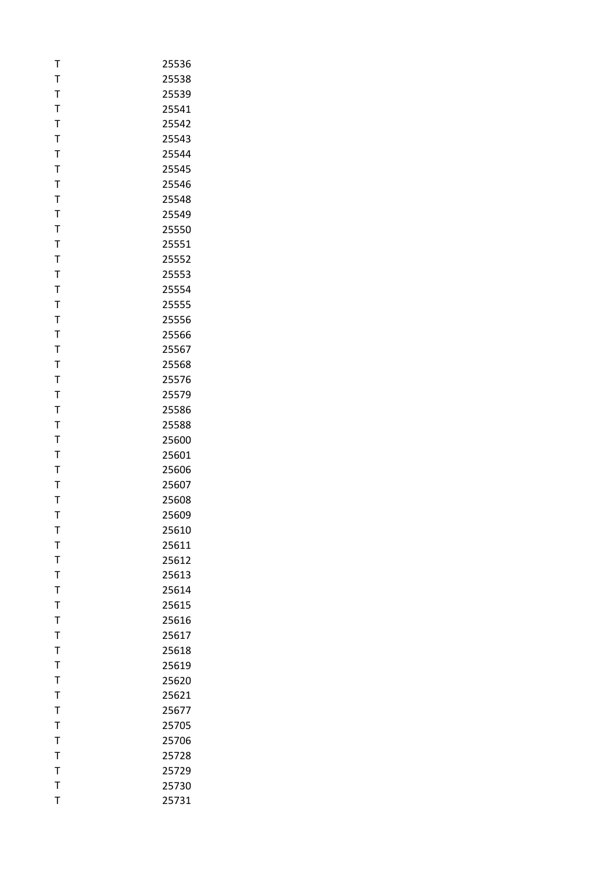| T            | 25536 |
|--------------|-------|
| T            | 25538 |
| T            | 25539 |
| T            | 25541 |
| $\mathsf{T}$ | 25542 |
| T            | 25543 |
| T            | 25544 |
| T            | 25545 |
| $\mathsf{T}$ | 25546 |
| T            | 25548 |
| T            | 25549 |
| T            | 25550 |
| T            | 25551 |
| $\mathsf{T}$ | 25552 |
| T            | 25553 |
| T            | 25554 |
| T            | 25555 |
| T            | 25556 |
| $\mathsf T$  | 25566 |
| T            | 25567 |
| T            | 25568 |
| T            | 25576 |
| T            | 25579 |
| $\mathsf T$  | 25586 |
| T            | 25588 |
| T            | 25600 |
| T            | 25601 |
| $\mathsf T$  | 25606 |
| $\mathsf T$  | 25607 |
| T            | 25608 |
| T            | 25609 |
| т            | 25610 |
| T            | 25611 |
| T            | 25612 |
| T            | 25613 |
| $\bar{1}$    | 25614 |
| T            | 25615 |
| T            | 25616 |
| T            | 25617 |
| T            | 25618 |
| T            | 25619 |
| T            | 25620 |
| T            | 25621 |
| T            | 25677 |
| T            | 25705 |
| $\mathsf T$  | 25706 |
| T            | 25728 |
| $\mathsf{T}$ | 25729 |
| $\mathsf{T}$ | 25730 |
| T            | 25731 |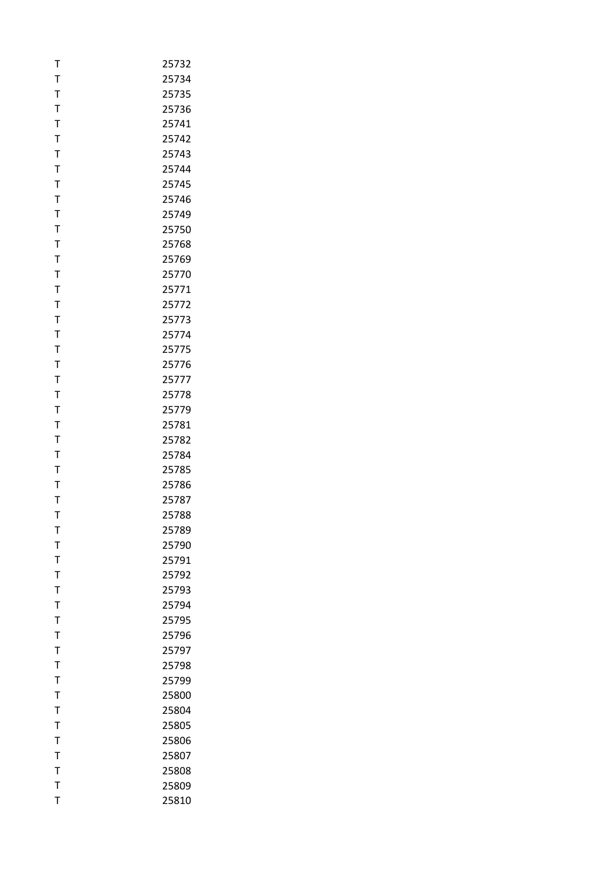| T            | 25732 |
|--------------|-------|
| T            | 25734 |
| T            | 25735 |
| T            | 25736 |
| $\mathsf{T}$ | 25741 |
| T            | 25742 |
| T            | 25743 |
| T            | 25744 |
| $\mathsf{T}$ | 25745 |
| T            | 25746 |
| T            | 25749 |
| T            | 25750 |
| T            | 25768 |
| $\mathsf{T}$ | 25769 |
| T            | 25770 |
| T            | 25771 |
| T            | 25772 |
| $\mathsf T$  | 25773 |
| $\mathsf T$  | 25774 |
| T            | 25775 |
| T            | 25776 |
| T            | 25777 |
| T            | 25778 |
| T            | 25779 |
| T            | 25781 |
| T            | 25782 |
| T            | 25784 |
| T            | 25785 |
| T            | 25786 |
| T            | 25787 |
| T            | 25788 |
| т            | 25789 |
| T            | 25790 |
| T            | 25791 |
| T            | 25792 |
| T            | 25793 |
| T            | 25794 |
| T            | 25795 |
| T            | 25796 |
| T            | 25797 |
| T            | 25798 |
| T            | 25799 |
| $\mathsf{T}$ | 25800 |
| T            | 25804 |
| $\mathsf{T}$ | 25805 |
| $\mathsf{T}$ | 25806 |
| T            | 25807 |
| $\mathsf{T}$ | 25808 |
| T            | 25809 |
| T            | 25810 |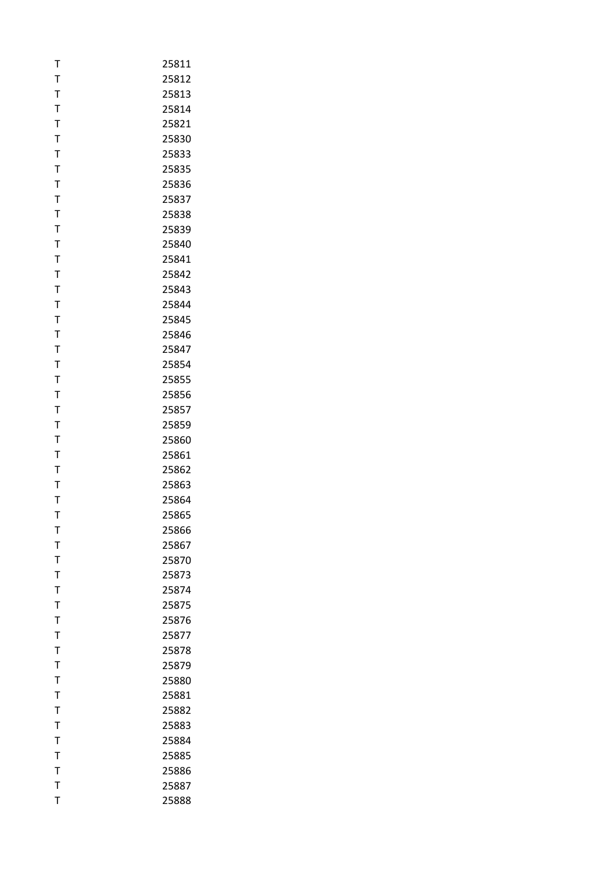| T            | 25811 |
|--------------|-------|
| T            | 25812 |
| T            | 25813 |
| T            | 25814 |
| $\mathsf{T}$ | 25821 |
| T            | 25830 |
| T            | 25833 |
| T            | 25835 |
| $\mathsf{T}$ | 25836 |
| T            | 25837 |
| T            | 25838 |
| T            | 25839 |
| $\bar{1}$    | 25840 |
| $\mathsf{T}$ | 25841 |
| T            | 25842 |
| T            | 25843 |
| T            | 25844 |
| $\mathsf{T}$ | 25845 |
| $\mathsf{T}$ | 25846 |
| T            | 25847 |
| T            | 25854 |
| T            | 25855 |
| T            | 25856 |
| $\mathsf{T}$ | 25857 |
| T            | 25859 |
| T            | 25860 |
| T            | 25861 |
| T            | 25862 |
| $\mathsf{T}$ | 25863 |
| T            | 25864 |
| T            | 25865 |
| т            | 25866 |
| T            | 25867 |
| $\mathsf{T}$ | 25870 |
| T            | 25873 |
| T            | 25874 |
| T            | 25875 |
| T            | 25876 |
| T            | 25877 |
| T            | 25878 |
| T            | 25879 |
| T            | 25880 |
| $\mathsf{T}$ | 25881 |
| T            | 25882 |
| $\mathsf{T}$ | 25883 |
| T            | 25884 |
| T            | 25885 |
| $\mathsf{T}$ | 25886 |
| $\bar{T}$    | 25887 |
| T            | 25888 |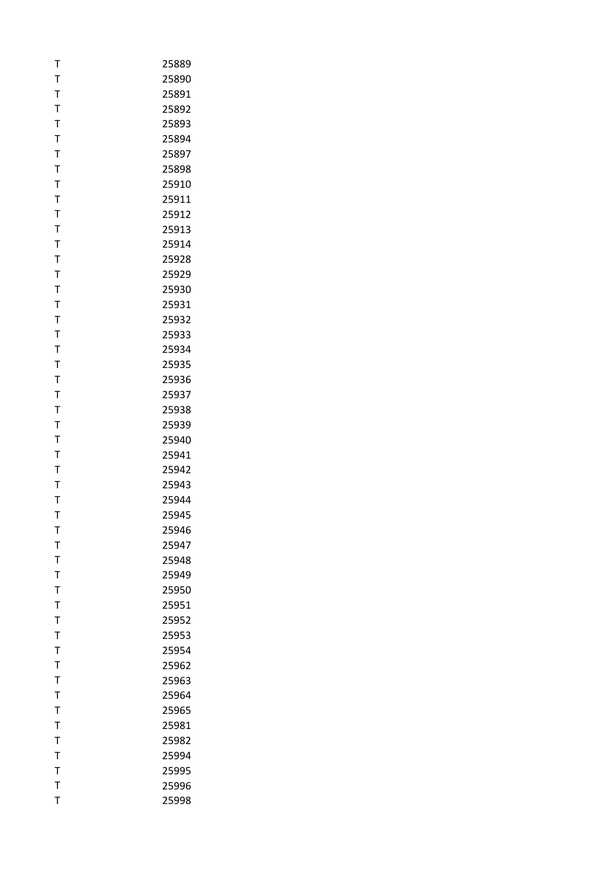| T              | 25889 |
|----------------|-------|
| T              | 25890 |
| T              | 25891 |
| T              | 25892 |
| $\mathsf{T}$   | 25893 |
| T              | 25894 |
| T              | 25897 |
| T              | 25898 |
| $\mathsf{T}$   | 25910 |
| T              | 25911 |
| T              | 25912 |
| T              | 25913 |
| T              | 25914 |
| $\mathsf{T}$   | 25928 |
| T              | 25929 |
| T              | 25930 |
| T              | 25931 |
| T              | 25932 |
| $\mathsf{T}$   | 25933 |
| T              | 25934 |
| T              | 25935 |
| T              | 25936 |
| T              | 25937 |
| $\mathsf{T}$   | 25938 |
| T              | 25939 |
| T              | 25940 |
| T              | 25941 |
| T              | 25942 |
| $\mathsf{T}$   | 25943 |
| T              | 25944 |
| T              | 25945 |
| т              | 25946 |
| T              | 25947 |
| T              | 25948 |
| T              | 25949 |
| T              | 25950 |
| T              | 25951 |
| T              | 25952 |
| T              | 25953 |
| T              | 25954 |
| T              | 25962 |
| T              | 25963 |
| $\mathsf{T}$   | 25964 |
| $\overline{1}$ | 25965 |
| $\mathsf{T}$   | 25981 |
| $\mathsf{T}$   | 25982 |
| T              | 25994 |
| $\mathsf{T}$   | 25995 |
| T              | 25996 |
| T              | 25998 |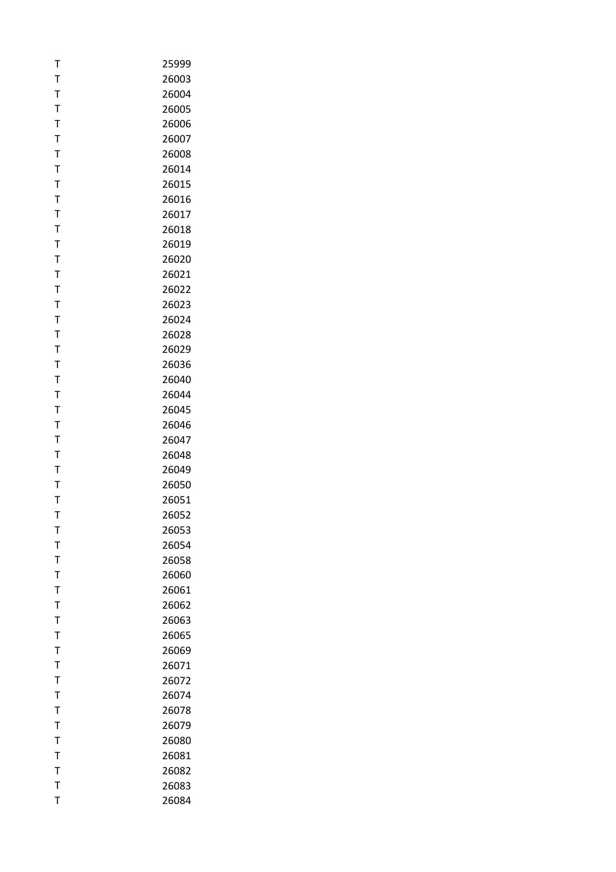| т            | 25999 |
|--------------|-------|
| Τ            | 26003 |
| T            | 26004 |
| T            | 26005 |
| T            | 26006 |
| Т            | 26007 |
| T            | 26008 |
| T            | 26014 |
| T            | 26015 |
| T            | 26016 |
| Т            | 26017 |
| T            | 26018 |
| T            | 26019 |
| T            | 26020 |
| $\mathsf T$  | 26021 |
| Τ            | 26022 |
| T            | 26023 |
| T            | 26024 |
| T            | 26028 |
| Т            | 26029 |
| Τ            | 26036 |
| T            | 26040 |
| T            | 26044 |
| T            | 26045 |
| Т            | 26046 |
| T            | 26047 |
| Т            | 26048 |
| T            | 26049 |
| T            | 26050 |
| Т            | 26051 |
| T            | 26052 |
| т            | 26053 |
| T            | 26054 |
| T            | 26058 |
| $\mathsf{T}$ | 26060 |
| T            | 26061 |
| T            | 26062 |
| Τ            | 26063 |
| T            | 26065 |
| T            | 26069 |
| T            | 26071 |
| Т            | 26072 |
| T            | 26074 |
| T            | 26078 |
| $\mathsf{T}$ | 26079 |
| T            | 26080 |
| T            | 26081 |
| $\mathsf{T}$ | 26082 |
| T            | 26083 |
| T            | 26084 |
|              |       |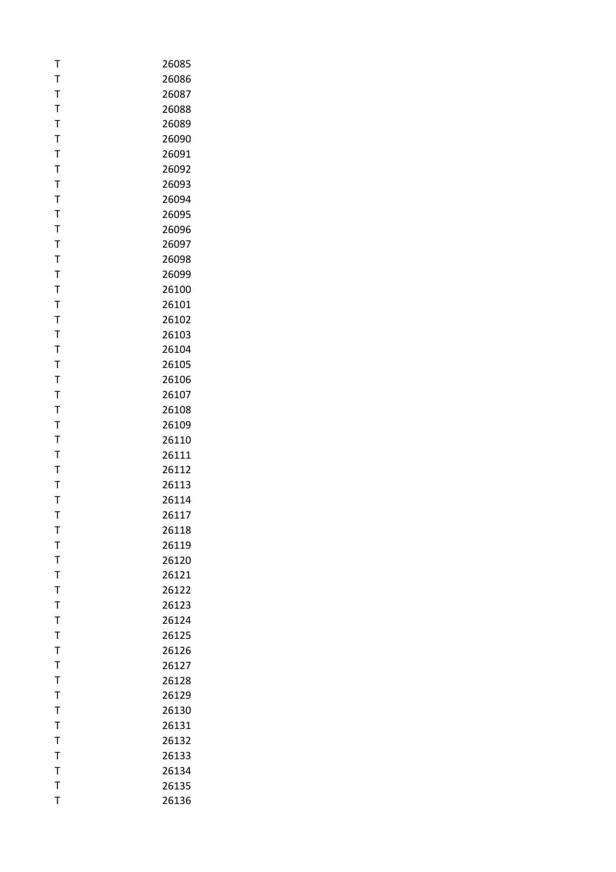| т         | 26085 |
|-----------|-------|
| T         | 26086 |
| T         | 26087 |
| T         | 26088 |
| T         | 26089 |
| T         | 26090 |
| T         | 26091 |
| T         | 26092 |
| T         | 26093 |
| T         | 26094 |
| Т         | 26095 |
| T         | 26096 |
| T         | 26097 |
| T         | 26098 |
| T         | 26099 |
| T         | 26100 |
| T         | 26101 |
| T         | 26102 |
| T         | 26103 |
| Т         | 26104 |
| T         | 26105 |
| T         | 26106 |
| T         | 26107 |
| T         | 26108 |
| Т         | 26109 |
| T         | 26110 |
| T         | 26111 |
| T         | 26112 |
| T         | 26113 |
| Т         | 26114 |
| T         | 26117 |
| т         | 26118 |
| T         | 26119 |
| T         | 26120 |
| T         | 26121 |
| $\bar{1}$ | 26122 |
| T         | 26123 |
| T         | 26124 |
| T         | 26125 |
| T         | 26126 |
| T         | 26127 |
| T         | 26128 |
| T         | 26129 |
| T         | 26130 |
| T         | 26131 |
| T         | 26132 |
| T         | 26133 |
| T         | 26134 |
| T         | 26135 |
| T         | 26136 |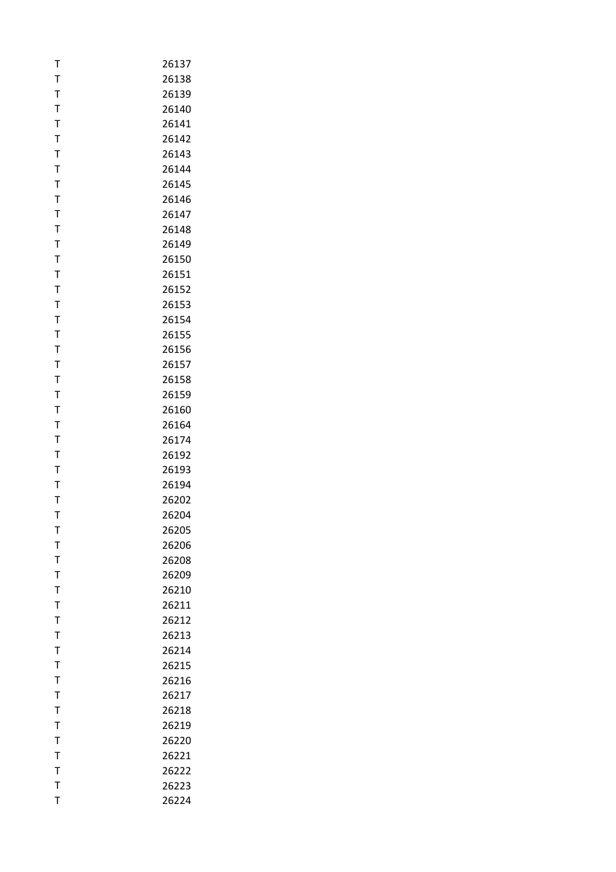| Т            | 26137 |
|--------------|-------|
| T            | 26138 |
| T            | 26139 |
| T            | 26140 |
| T            | 26141 |
| T            | 26142 |
| T            | 26143 |
| T            | 26144 |
| T            | 26145 |
| T            | 26146 |
| T            | 26147 |
| T            | 26148 |
| T            | 26149 |
| T            | 26150 |
| T            | 26151 |
| T            | 26152 |
| T            | 26153 |
| T            | 26154 |
| T            | 26155 |
| T            | 26156 |
| T            | 26157 |
| T            | 26158 |
| T            | 26159 |
| T            | 26160 |
| T            | 26164 |
| T            | 26174 |
| T            | 26192 |
| T            | 26193 |
| T            | 26194 |
| T            | 26202 |
| T            | 26204 |
| т            | 26205 |
| T            | 26206 |
| T            | 26208 |
| $\bar{1}$    | 26209 |
| $\bar{1}$    | 26210 |
| T            | 26211 |
| T            | 26212 |
| $\mathsf T$  | 26213 |
| T            | 26214 |
| T            | 26215 |
| T            | 26216 |
| T            | 26217 |
| T            | 26218 |
| T            | 26219 |
| $\mathsf{T}$ | 26220 |
| T            | 26221 |
| $\mathsf{T}$ | 26222 |
| $\mathsf{T}$ | 26223 |
| T            | 26224 |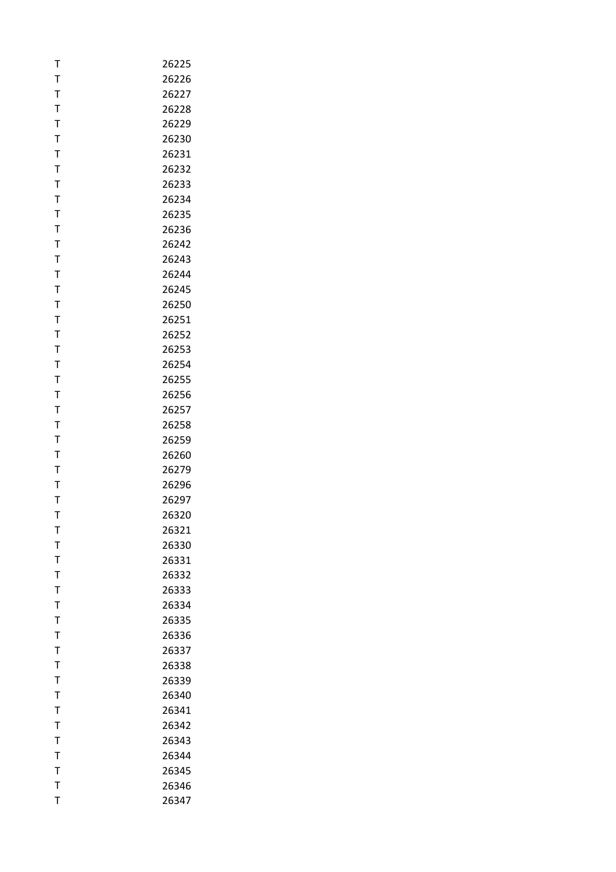| T            | 26225 |
|--------------|-------|
| T            | 26226 |
| T            | 26227 |
| T            | 26228 |
| $\mathsf{T}$ | 26229 |
| T            | 26230 |
| T            | 26231 |
| T            | 26232 |
| $\mathsf{T}$ | 26233 |
| T            | 26234 |
| T            | 26235 |
| T            | 26236 |
| T            | 26242 |
| $\mathsf{T}$ | 26243 |
| T            | 26244 |
| T            | 26245 |
| T            | 26250 |
| T            | 26251 |
| $\mathsf{T}$ | 26252 |
| T            | 26253 |
| T            | 26254 |
| T            | 26255 |
| $\mathsf T$  | 26256 |
| $\mathsf{T}$ | 26257 |
| T            | 26258 |
| T            | 26259 |
| T            | 26260 |
| T            | 26279 |
| T            | 26296 |
| T            | 26297 |
| T            | 26320 |
| т            | 26321 |
| T            | 26330 |
| T            | 26331 |
| T            | 26332 |
| T            | 26333 |
| T            | 26334 |
| T            | 26335 |
| T            | 26336 |
| T            | 26337 |
| $\bar{1}$    | 26338 |
| T            | 26339 |
| T            | 26340 |
| $\mathsf T$  | 26341 |
| $\mathsf{T}$ | 26342 |
| T            | 26343 |
| T            | 26344 |
| $\mathsf{T}$ | 26345 |
| T            | 26346 |
| T            | 26347 |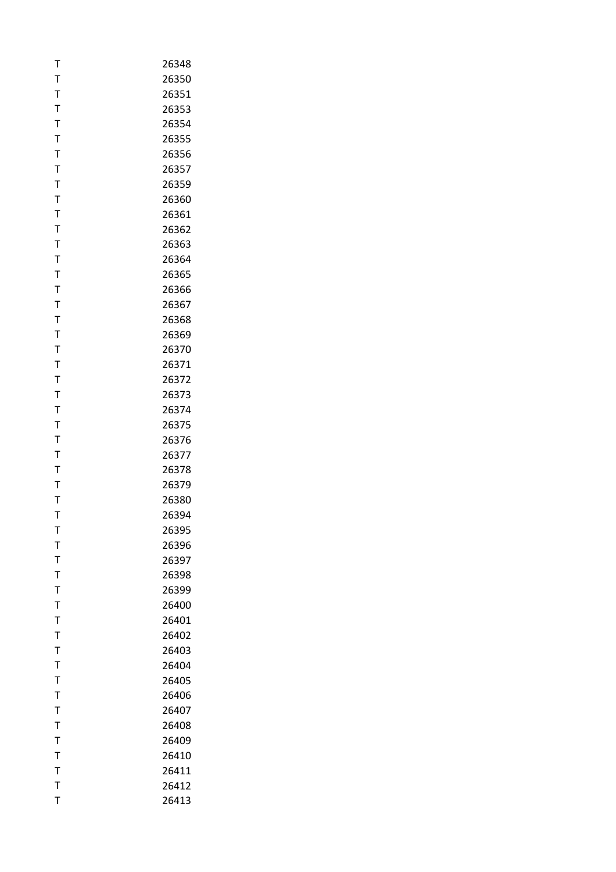| T            | 26348 |
|--------------|-------|
| T            | 26350 |
| T            | 26351 |
| T            | 26353 |
| $\mathsf{T}$ | 26354 |
| T            | 26355 |
| T            | 26356 |
| T            | 26357 |
| T            | 26359 |
| T            | 26360 |
| T            | 26361 |
| T            | 26362 |
| T            | 26363 |
| $\mathsf{T}$ | 26364 |
| T            | 26365 |
| T            | 26366 |
| T            | 26367 |
| T            | 26368 |
| $\mathsf T$  | 26369 |
| T            | 26370 |
| T            | 26371 |
| T            | 26372 |
| T            | 26373 |
| $\mathsf T$  | 26374 |
| T            | 26375 |
| T            | 26376 |
| T            | 26377 |
| T            | 26378 |
| $\bar{1}$    | 26379 |
| T            | 26380 |
| T            | 26394 |
| т            | 26395 |
| T            | 26396 |
| T            | 26397 |
| T            | 26398 |
| T            | 26399 |
| T            | 26400 |
| T            | 26401 |
| T            | 26402 |
| T            | 26403 |
| T            | 26404 |
| T            | 26405 |
| $\mathsf{T}$ | 26406 |
| T            | 26407 |
| $\mathsf{T}$ | 26408 |
| T            | 26409 |
| T            | 26410 |
| $\mathsf{T}$ | 26411 |
| T            | 26412 |
| T            | 26413 |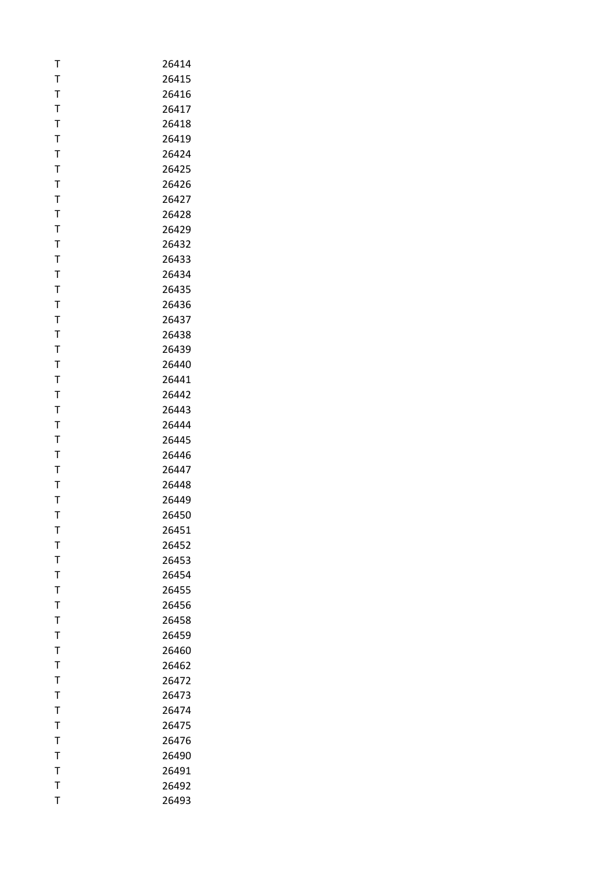| Т            | 26414 |
|--------------|-------|
| T            | 26415 |
| T            | 26416 |
| T            | 26417 |
| $\mathsf{T}$ | 26418 |
| T            | 26419 |
| T            | 26424 |
| T            | 26425 |
| $\mathsf{T}$ | 26426 |
| T            | 26427 |
| Т            | 26428 |
| T            | 26429 |
| T            | 26432 |
| T            | 26433 |
| T            | 26434 |
| Т            | 26435 |
| T            | 26436 |
| T            | 26437 |
| T            | 26438 |
| T            | 26439 |
| T            | 26440 |
| T            | 26441 |
| T            | 26442 |
| T            | 26443 |
| T            | 26444 |
| Τ            | 26445 |
| T            | 26446 |
| T            | 26447 |
| T            | 26448 |
| Т            | 26449 |
| T            | 26450 |
| т            | 26451 |
| T            | 26452 |
| T            | 26453 |
| $\mathsf{T}$ | 26454 |
| T            | 26455 |
| T            | 26456 |
| Τ            | 26458 |
| T            | 26459 |
| $\mathsf{T}$ | 26460 |
| T            | 26462 |
| Т            | 26472 |
| T            | 26473 |
| T            | 26474 |
| $\mathsf{T}$ | 26475 |
| T            | 26476 |
| T            | 26490 |
| $\mathsf{T}$ | 26491 |
| T            | 26492 |
| T            | 26493 |
|              |       |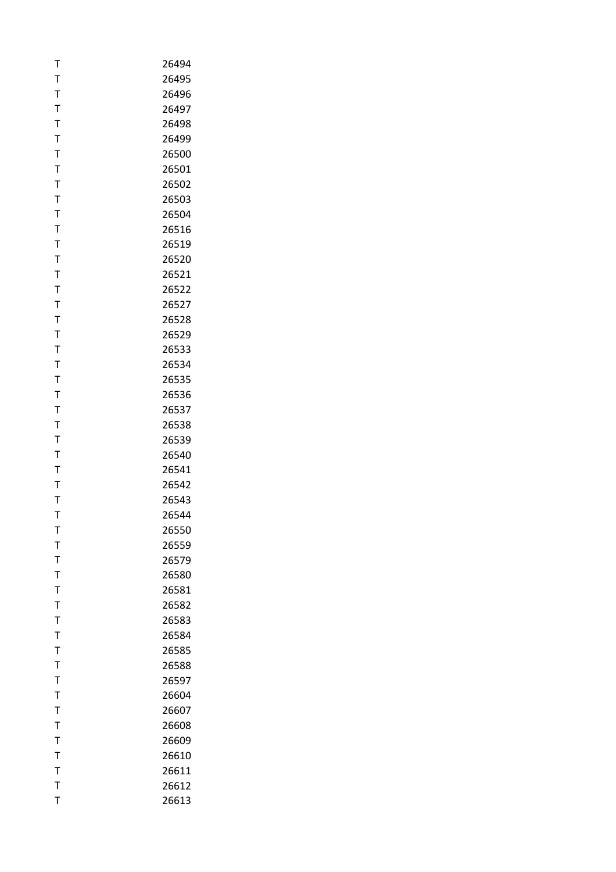| T            | 26494 |
|--------------|-------|
| T            | 26495 |
| T            | 26496 |
| T            | 26497 |
| $\mathsf{T}$ | 26498 |
| T            | 26499 |
| T            | 26500 |
| $\mathsf T$  | 26501 |
| $\mathsf{T}$ | 26502 |
| T            | 26503 |
| T            | 26504 |
| T            | 26516 |
| T            | 26519 |
| $\mathsf{T}$ | 26520 |
| T            | 26521 |
| T            | 26522 |
| T            | 26527 |
| T            | 26528 |
| $\mathsf T$  | 26529 |
| T            | 26533 |
| T            | 26534 |
| T            | 26535 |
| T            | 26536 |
| T            | 26537 |
| T            | 26538 |
| T            | 26539 |
| T            | 26540 |
| T            | 26541 |
| $\mathsf{T}$ | 26542 |
| T            | 26543 |
| T            | 26544 |
| т            | 26550 |
| T            | 26559 |
| T            | 26579 |
| T            | 26580 |
| T            | 26581 |
| T            | 26582 |
| T            | 26583 |
| $\mathsf T$  | 26584 |
| T            | 26585 |
| T            | 26588 |
| T            | 26597 |
| T            | 26604 |
| T            | 26607 |
| T            | 26608 |
| $\mathsf{T}$ | 26609 |
| T            | 26610 |
| $\mathsf{T}$ | 26611 |
| T            | 26612 |
| T            | 26613 |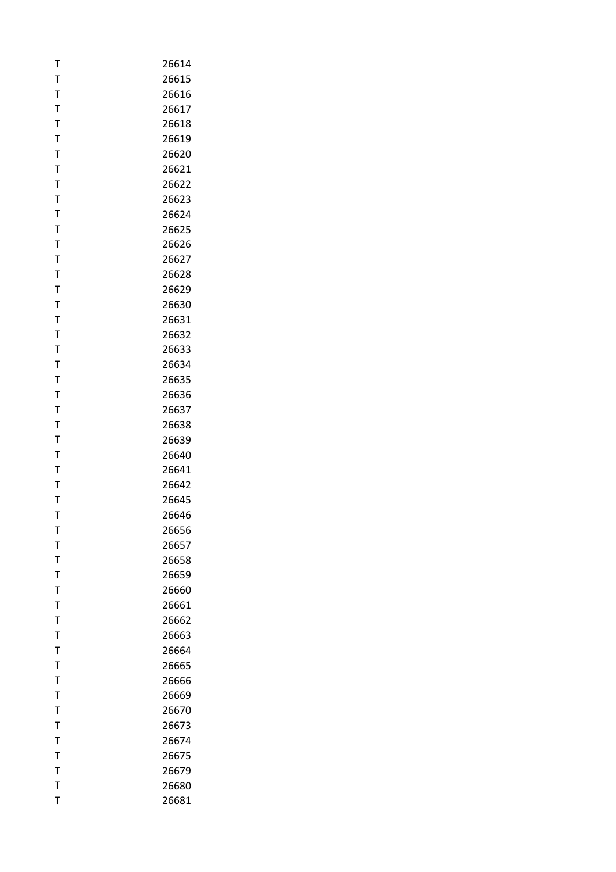| T            | 26614 |
|--------------|-------|
| T            | 26615 |
| T            | 26616 |
| T            | 26617 |
| $\mathsf{T}$ | 26618 |
| T            | 26619 |
| T            | 26620 |
| T            | 26621 |
| T            | 26622 |
| T            | 26623 |
| Т            | 26624 |
| T            | 26625 |
| T            | 26626 |
| T            | 26627 |
| T            | 26628 |
| Τ            | 26629 |
| T            | 26630 |
| T            | 26631 |
| T            | 26632 |
| T            | 26633 |
| T            | 26634 |
| T            | 26635 |
| T            | 26636 |
| T            | 26637 |
| T            | 26638 |
| Τ            | 26639 |
| T            | 26640 |
| T            | 26641 |
| T            | 26642 |
| Т            | 26645 |
| T            | 26646 |
| т            | 26656 |
| T            | 26657 |
| T            | 26658 |
| T            | 26659 |
| T            | 26660 |
| T            | 26661 |
| Т            | 26662 |
| T            | 26663 |
| T            | 26664 |
| T            | 26665 |
| Т            | 26666 |
| T            | 26669 |
| T            | 26670 |
| $\mathsf{T}$ | 26673 |
| T            | 26674 |
| Т            | 26675 |
| T            | 26679 |
| T            | 26680 |
| T            | 26681 |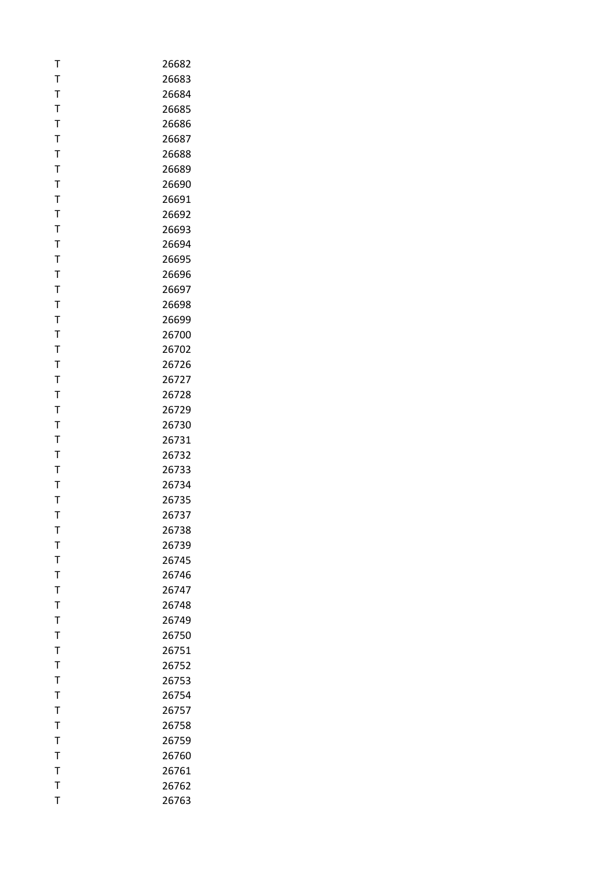| T            | 26682 |
|--------------|-------|
| T            | 26683 |
| T            | 26684 |
| T            | 26685 |
| $\mathsf{T}$ | 26686 |
| T            | 26687 |
| T            | 26688 |
| T            | 26689 |
| T            | 26690 |
| T            | 26691 |
| Т            | 26692 |
| T            | 26693 |
| T            | 26694 |
| T            | 26695 |
| T            | 26696 |
| Т            | 26697 |
| T            | 26698 |
| T            | 26699 |
| T            | 26700 |
| T            | 26702 |
| T            | 26726 |
| T            | 26727 |
| T            | 26728 |
| T            | 26729 |
| T            | 26730 |
| Τ            | 26731 |
| T            | 26732 |
| T            | 26733 |
| T            | 26734 |
| Т            | 26735 |
| T            | 26737 |
| т            | 26738 |
| T            | 26739 |
| T            | 26745 |
| T            | 26746 |
| T            | 26747 |
| T            | 26748 |
| Т            | 26749 |
| T            | 26750 |
| T            | 26751 |
| $\mathsf{T}$ | 26752 |
| Т            | 26753 |
| T            | 26754 |
| $\mathsf T$  | 26757 |
| $\mathsf{T}$ | 26758 |
| T            | 26759 |
| T            | 26760 |
| $\mathsf{T}$ | 26761 |
| T            | 26762 |
| T            | 26763 |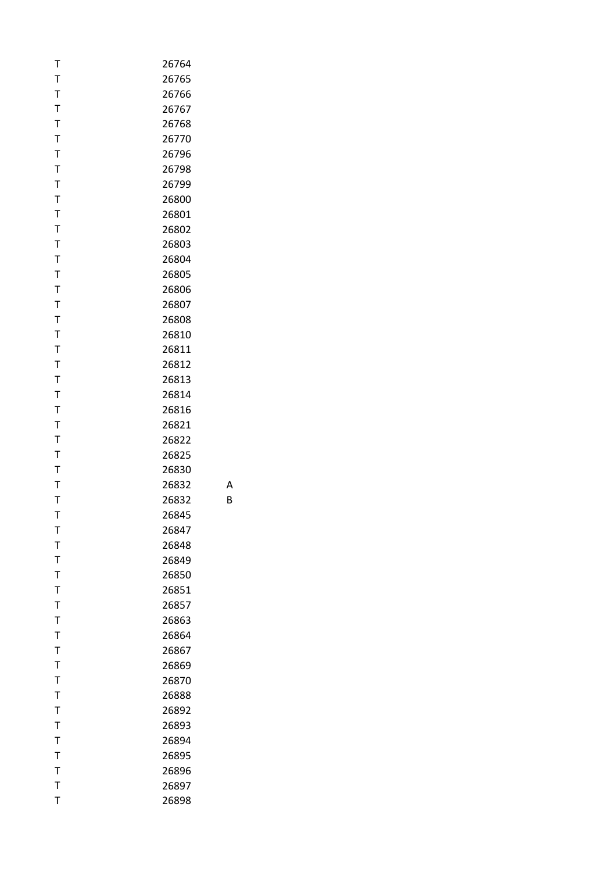| Т | 26764 |
|---|-------|
| T | 26765 |
| T | 26766 |
| T | 26767 |
| T | 26768 |
| T | 26770 |
| T | 26796 |
| T | 26798 |
| T | 26799 |
| T | 26800 |
| T | 26801 |
| T | 26802 |
| T | 26803 |
| T | 26804 |
| T | 26805 |
| T | 26806 |
| T | 26807 |
| T | 26808 |
| T | 26810 |
| T | 26811 |
| T | 26812 |
| T | 26813 |
| T | 26814 |
| T | 26816 |
| T | 26821 |
| T | 26822 |
| T | 26825 |
| T | 26830 |
| T | 26832 |
| Т | 26832 |
| T | 26845 |
| Т | 26847 |
| T | 26848 |
| T | 26849 |
| T | 26850 |
| T | 26851 |
| T | 26857 |
| T | 26863 |
| T | 26864 |
| T | 26867 |
| T | 26869 |
| Т | 26870 |
| T | 26888 |
| T | 26892 |
| T | 26893 |
| T | 26894 |
| T | 26895 |
| T | 26896 |
| T | 26897 |
| T | 26898 |
|   |       |

A

B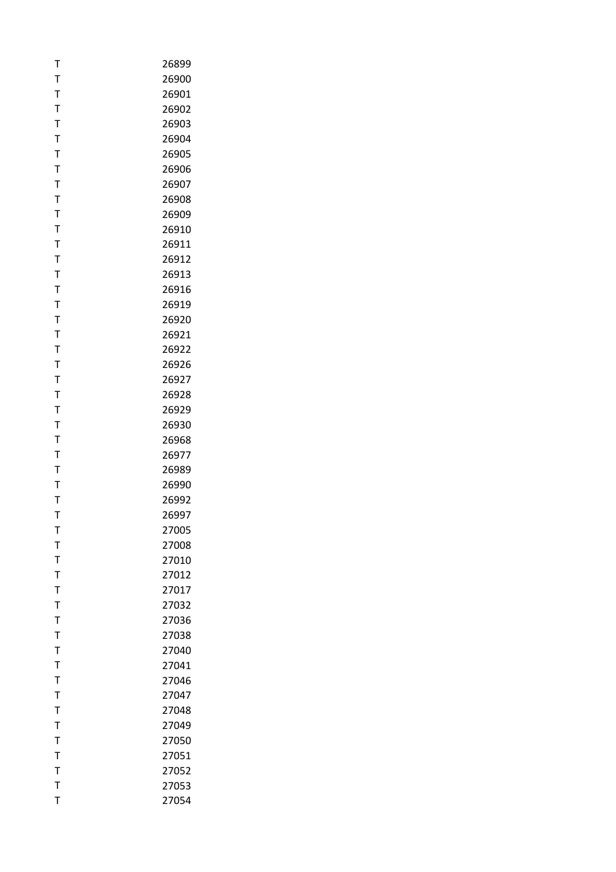| Т            | 26899 |
|--------------|-------|
| T            | 26900 |
| T            | 26901 |
| T            | 26902 |
| $\mathsf T$  | 26903 |
| T            | 26904 |
| T            | 26905 |
| T            | 26906 |
| T            | 26907 |
| T            | 26908 |
| T            | 26909 |
| T            | 26910 |
| T            | 26911 |
| T            | 26912 |
| T            | 26913 |
| Т            | 26916 |
| T            | 26919 |
| T            | 26920 |
| $\mathsf T$  | 26921 |
| T            | 26922 |
| T            | 26926 |
| T            | 26927 |
| T            | 26928 |
| T            | 26929 |
| T            | 26930 |
| T            | 26968 |
| T            | 26977 |
| T            | 26989 |
| $\mathsf{T}$ | 26990 |
| T            | 26992 |
| T            | 26997 |
| т            | 27005 |
| T            | 27008 |
| T            | 27010 |
| T            | 27012 |
| T            | 27017 |
| T            | 27032 |
| T            | 27036 |
| T            | 27038 |
| T            | 27040 |
| T            | 27041 |
| T            | 27046 |
| $\mathsf{T}$ | 27047 |
| T            | 27048 |
| $\mathsf{T}$ | 27049 |
| T            | 27050 |
| T            | 27051 |
| $\mathsf{T}$ | 27052 |
| T            | 27053 |
| T            | 27054 |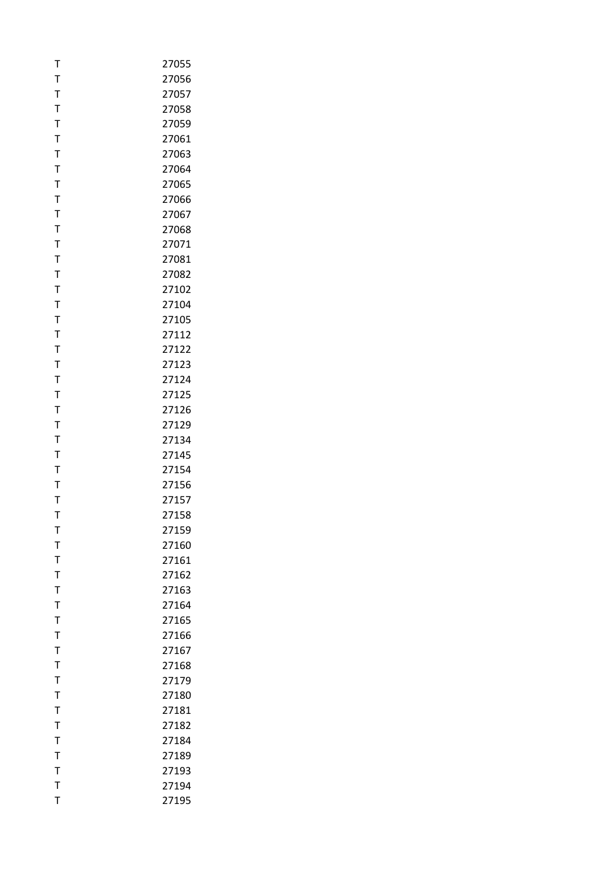| T            | 27055          |
|--------------|----------------|
| T            | 27056          |
| T            | 27057          |
| T            | 27058          |
| $\mathsf T$  | 27059          |
| T            | 27061          |
| T            | 27063          |
| T            | 27064          |
| T            | 27065          |
| T            | 27066          |
| T            | 27067          |
| T            | 27068          |
| T            | 27071          |
| T            | 27081          |
| T            | 27082          |
| T            | 27102          |
| T            | 27104          |
| T            | 27105          |
| $\mathsf T$  | 27112          |
| T            | 27122          |
| T            | 27123          |
| T            | 27124          |
| T            | 27125          |
| T            | 27126          |
| T            | 27129          |
| T            |                |
| T            | 27134<br>27145 |
| T            | 27154          |
| $\mathsf T$  | 27156          |
| T            |                |
| T            | 27157          |
|              | 27158<br>27159 |
| т            |                |
| T            | 27160          |
| T            | 27161          |
| T            | 27162          |
| T            | 27163          |
| T            | 27164          |
| T            | 27165          |
| T            | 27166          |
| T            | 27167          |
| T            | 27168          |
| T            | 27179          |
| T            | 27180          |
| T            | 27181          |
| T            | 27182          |
| T            | 27184          |
| T            | 27189          |
| $\mathsf{T}$ | 27193          |
| T            | 27194          |
| T            | 27195          |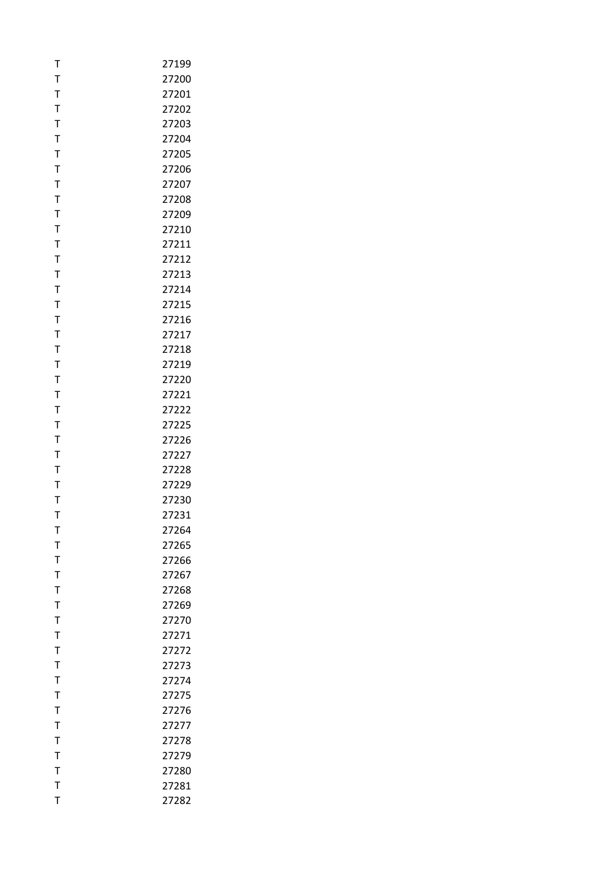| т            | 27199 |
|--------------|-------|
| T            | 27200 |
| T            | 27201 |
| T            | 27202 |
| T            | 27203 |
| T            | 27204 |
| T            | 27205 |
| T            | 27206 |
| T            | 27207 |
| T            | 27208 |
| Τ            | 27209 |
| T            | 27210 |
| $\mathsf T$  | 27211 |
| $\mathsf{T}$ | 27212 |
| T            | 27213 |
| T            | 27214 |
| T            | 27215 |
| $\mathsf T$  | 27216 |
| T            | 27217 |
| T            | 27218 |
| T            | 27219 |
| T            | 27220 |
| T            | 27221 |
| T            | 27222 |
| T            | 27225 |
| T            | 27226 |
| T            | 27227 |
| T            | 27228 |
| T            | 27229 |
| Т            | 27230 |
| T            | 27231 |
| т            | 27264 |
| T            | 27265 |
| T            | 27266 |
| $\mathsf{T}$ | 27267 |
| $\bar{1}$    | 27268 |
| T            | 27269 |
| T            | 27270 |
| $\mathsf T$  | 27271 |
| T            | 27272 |
| T            | 27273 |
| T            | 27274 |
| T            | 27275 |
| $\mathsf T$  | 27276 |
| $\mathsf{T}$ | 27277 |
| T            | 27278 |
| T            | 27279 |
| T            | 27280 |
| $\mathsf{T}$ | 27281 |
| T            | 27282 |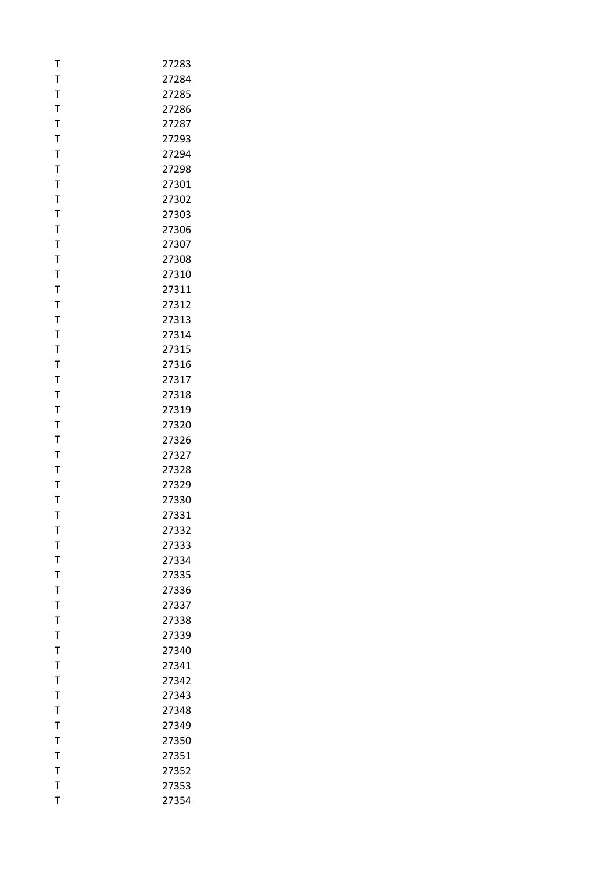| T                | 27283          |
|------------------|----------------|
| T                | 27284          |
| T                | 27285          |
| T                | 27286          |
| $\mathsf{T}$     | 27287          |
| T                | 27293          |
| T                | 27294          |
| T                | 27298          |
| $\mathsf{T}$     | 27301          |
| T                | 27302          |
| T                | 27303          |
| T                | 27306          |
| T                | 27307          |
| $\mathsf{T}$     | 27308          |
| T                | 27310          |
| T                | 27311          |
| T                | 27312          |
| $\bar{1}$        | 27313          |
| $\mathsf{T}$     | 27314          |
| T                | 27315          |
| T                | 27316          |
| T                | 27317          |
| T                | 27318          |
| $\mathsf{T}$     | 27319          |
| T                | 27320          |
| T                | 27326          |
| T                | 27327          |
| T                | 27328          |
| T                | 27329          |
| T                | 27330          |
| T                | 27331          |
| т                | 27332          |
| T                | 27333          |
| T                | 27334          |
| T                | 27335          |
| $\bar{1}$        | 27336          |
| T                | 27337          |
| T<br>$\mathsf T$ | 27338          |
| T                | 27339<br>27340 |
| $\bar{1}$        | 27341          |
| T                | 27342          |
| $\mathsf{T}$     | 27343          |
| T                | 27348          |
| $\mathsf{T}$     | 27349          |
| T                | 27350          |
| T                | 27351          |
| $\mathsf{T}$     | 27352          |
| $\mathsf{T}$     | 27353          |
| T                | 27354          |
|                  |                |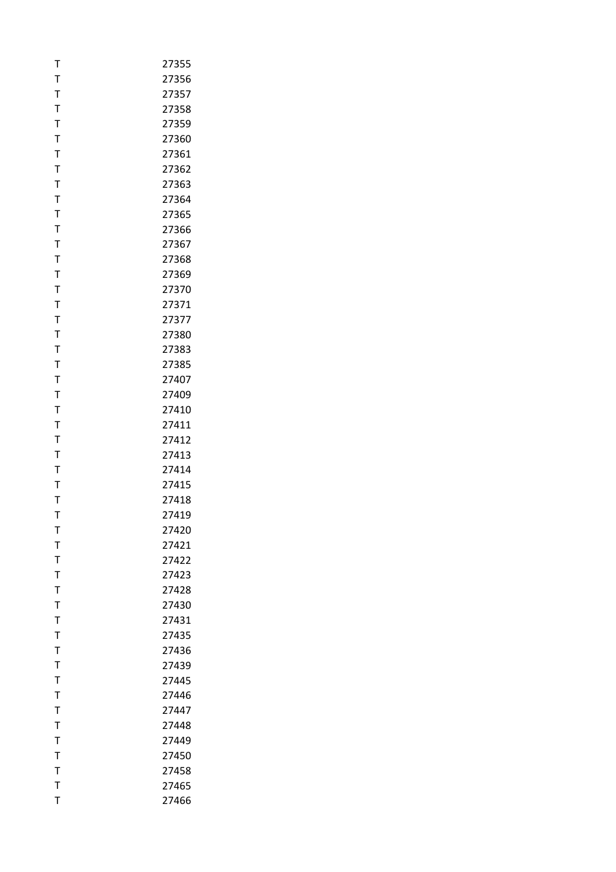| T            | 27355 |
|--------------|-------|
| T            | 27356 |
| T            | 27357 |
| T            | 27358 |
| $\mathsf{T}$ | 27359 |
| T            | 27360 |
| T            | 27361 |
| T            | 27362 |
| $\mathsf{T}$ | 27363 |
| T            | 27364 |
| T            | 27365 |
| T            | 27366 |
| T            | 27367 |
| $\mathsf{T}$ | 27368 |
| T            | 27369 |
| T            | 27370 |
| T            | 27371 |
| $\bar{1}$    | 27377 |
| $\mathsf{T}$ | 27380 |
| T            | 27383 |
| T            | 27385 |
| T            | 27407 |
| $\mathsf T$  | 27409 |
| $\mathsf{T}$ | 27410 |
| T            | 27411 |
| T            | 27412 |
| T            | 27413 |
| T            | 27414 |
| $\mathsf{T}$ | 27415 |
| T            | 27418 |
| T            | 27419 |
| т            | 27420 |
| T            | 27421 |
| T            | 27422 |
| $\mathsf{T}$ | 27423 |
| T            | 27428 |
| T            | 27430 |
| T            | 27431 |
| $\mathsf{T}$ | 27435 |
| $\mathsf{T}$ | 27436 |
| $\mathsf{T}$ | 27439 |
| T            | 27445 |
| $\bar{1}$    | 27446 |
| T            | 27447 |
| $\mathsf{T}$ | 27448 |
| T            | 27449 |
| Т            | 27450 |
| T            | 27458 |
| T            | 27465 |
| T            | 27466 |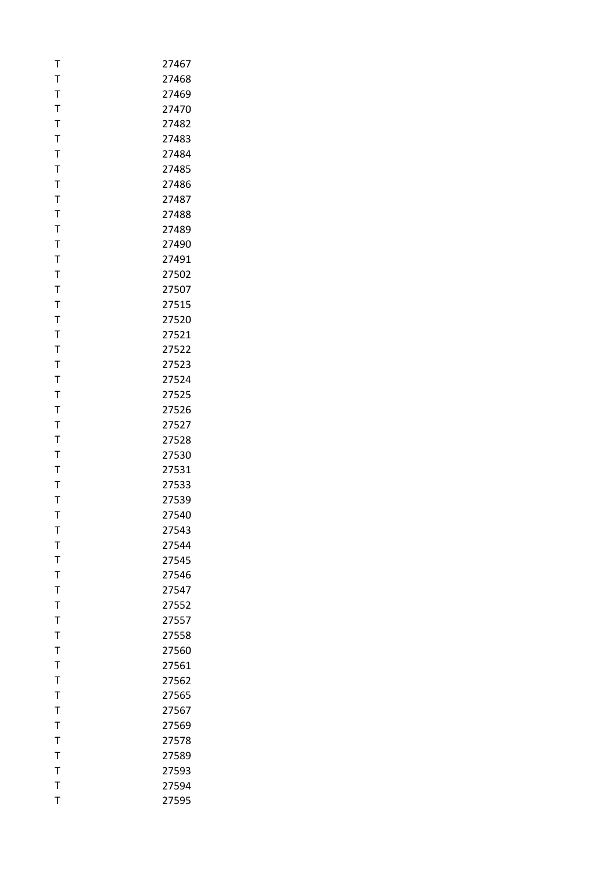| T            | 27467 |
|--------------|-------|
| T            | 27468 |
| T            | 27469 |
| T            | 27470 |
| $\mathsf{T}$ | 27482 |
| T            | 27483 |
| T            | 27484 |
| T            | 27485 |
| $\mathsf{T}$ | 27486 |
| T            | 27487 |
| T            | 27488 |
| T            | 27489 |
| $\mathsf T$  | 27490 |
| $\mathsf T$  | 27491 |
| T            | 27502 |
| Τ            | 27507 |
| $\mathsf T$  | 27515 |
| T            | 27520 |
| $\mathsf T$  | 27521 |
|              |       |
| T            | 27522 |
| T            | 27523 |
| $\mathsf T$  | 27524 |
| T            | 27525 |
| $\mathsf T$  | 27526 |
| T            | 27527 |
| T            | 27528 |
| T            | 27530 |
| T            | 27531 |
| T            | 27533 |
| T            | 27539 |
| T            | 27540 |
| т            | 27543 |
| T            | 27544 |
| T            | 27545 |
| T            | 27546 |
| $\bar{1}$    | 27547 |
| T            | 27552 |
| T            | 27557 |
| T            | 27558 |
| T            | 27560 |
| $\bar{1}$    | 27561 |
| T            | 27562 |
| $\mathsf T$  | 27565 |
| $\bar{1}$    | 27567 |
| $\mathsf T$  | 27569 |
| $\mathsf T$  | 27578 |
| T            | 27589 |
| $\mathsf T$  | 27593 |
| $\mathsf T$  | 27594 |
| T            | 27595 |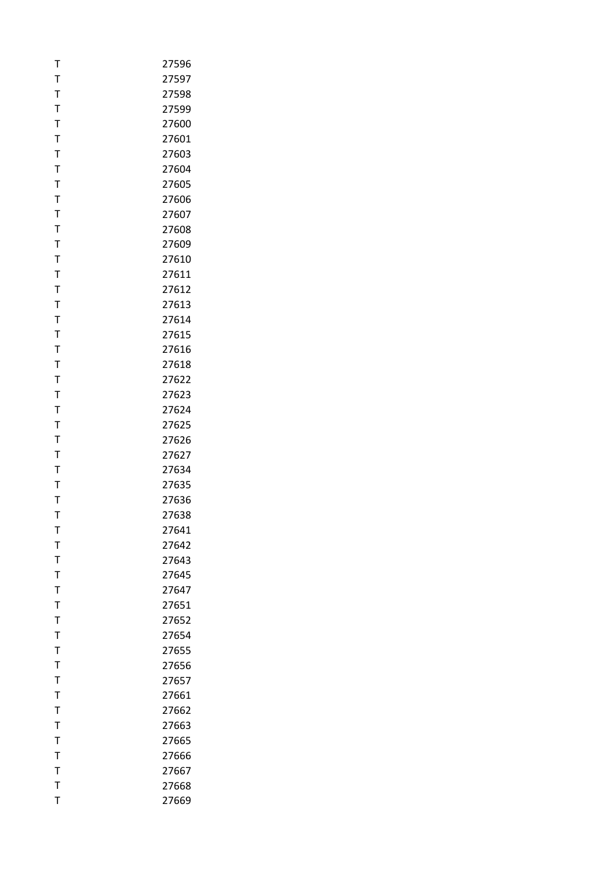| т              | 27596 |
|----------------|-------|
| T              | 27597 |
| T              | 27598 |
| T              | 27599 |
| T              | 27600 |
| T              | 27601 |
| T              | 27603 |
| T              | 27604 |
| T              | 27605 |
| T              | 27606 |
| Т              | 27607 |
| T              | 27608 |
| T              | 27609 |
| $\mathsf{T}$   | 27610 |
| T              | 27611 |
| T              | 27612 |
| T              | 27613 |
| T              | 27614 |
| $\mathsf T$    | 27615 |
| T              | 27616 |
| T              | 27618 |
| T              | 27622 |
| T              | 27623 |
| T              | 27624 |
| T              | 27625 |
| T              | 27626 |
| T              | 27627 |
| T              | 27634 |
| T              | 27635 |
| Т              | 27636 |
| T              | 27638 |
| т              | 27641 |
| T              | 27642 |
| T              | 27643 |
| $\mathsf T$    | 27645 |
| $\overline{1}$ | 27647 |
| T              | 27651 |
| T              | 27652 |
| T              | 27654 |
| T              | 27655 |
| $\mathsf T$    | 27656 |
| Т              | 27657 |
| T              | 27661 |
| T              | 27662 |
| $\mathsf T$    | 27663 |
| T              | 27665 |
| T              | 27666 |
| $\mathsf T$    | 27667 |
| T              | 27668 |
| T              | 27669 |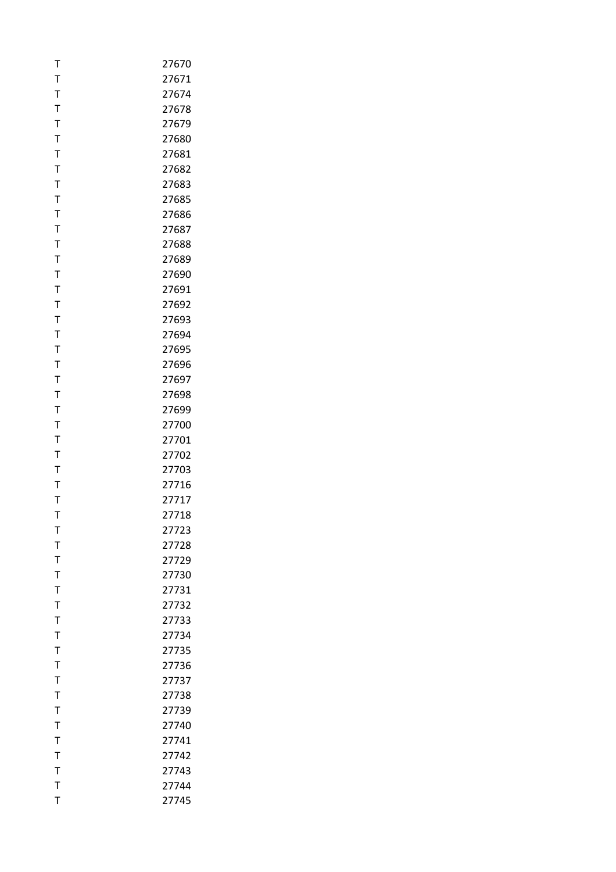| т            | 27670 |
|--------------|-------|
| T            | 27671 |
| T            | 27674 |
| T            | 27678 |
| T            | 27679 |
| T            | 27680 |
| T            | 27681 |
| T            | 27682 |
| T            | 27683 |
| T            | 27685 |
| Т            | 27686 |
| T            | 27687 |
| T            | 27688 |
| $\mathsf{T}$ | 27689 |
| T            | 27690 |
| T            | 27691 |
| T            | 27692 |
| T            | 27693 |
| T            | 27694 |
| Т            | 27695 |
| T            | 27696 |
| T            | 27697 |
| T            | 27698 |
| T            | 27699 |
| Т            | 27700 |
| T            | 27701 |
| T            | 27702 |
| T            | 27703 |
| T            | 27716 |
| Т            | 27717 |
| T            | 27718 |
| т            | 27723 |
| T            | 27728 |
| T            | 27729 |
| $\mathsf{T}$ | 27730 |
| $\mathsf{T}$ | 27731 |
| T            | 27732 |
| T            | 27733 |
| $\mathsf T$  | 27734 |
| $\mathsf{T}$ | 27735 |
| $\mathsf{T}$ | 27736 |
| T            | 27737 |
| $\mathsf T$  | 27738 |
| $\bar{1}$    | 27739 |
| $\mathsf{T}$ | 27740 |
| T            | 27741 |
| T            | 27742 |
| $\mathsf{T}$ | 27743 |
| T            | 27744 |
| T            | 27745 |
|              |       |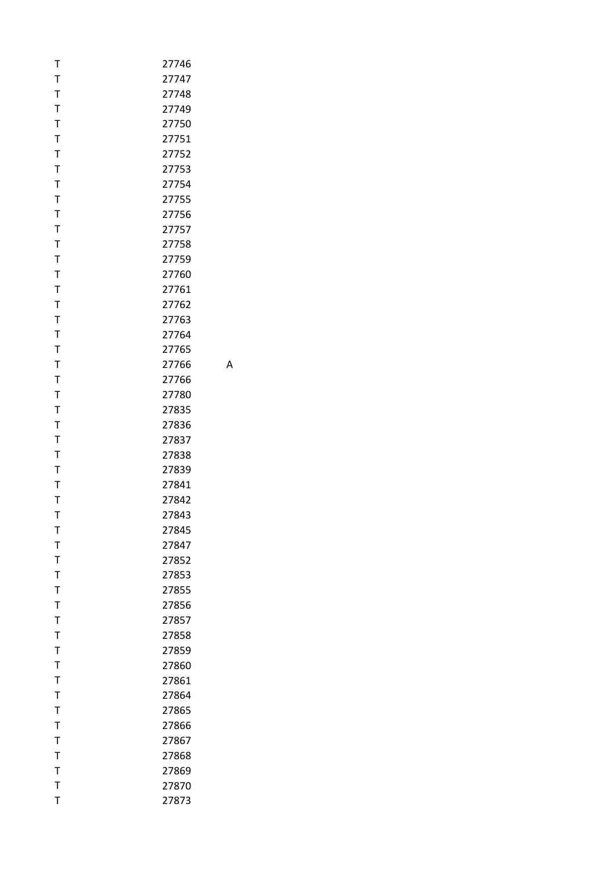| T            | 27746 |
|--------------|-------|
| T            | 27747 |
| T            | 27748 |
| T            | 27749 |
| T            | 27750 |
| T            | 27751 |
| T            | 27752 |
| $\mathsf T$  | 27753 |
| T            | 27754 |
| T            | 27755 |
| T            | 27756 |
| T            | 27757 |
| T            | 27758 |
| T            | 27759 |
| T            | 27760 |
| Τ            | 27761 |
| T            | 27762 |
| T            | 27763 |
| T            | 27764 |
| T            | 27765 |
| T            | 27766 |
| T            | 27766 |
| T            | 27780 |
| T            | 27835 |
| T            | 27836 |
| T            | 27837 |
| $\mathsf T$  | 27838 |
| T            | 27839 |
| T            | 27841 |
| T            | 27842 |
| T            | 27843 |
| т            | 27845 |
| T            | 27847 |
| T            | 27852 |
| T            | 27853 |
| T            | 27855 |
| T            | 27856 |
| T            | 27857 |
| T            | 27858 |
| T            | 27859 |
| T            | 27860 |
| T            | 27861 |
| T            | 27864 |
| T            | 27865 |
| T            | 27866 |
| T            | 27867 |
| T            | 27868 |
| T            | 27869 |
| $\mathsf{T}$ | 27870 |
| T            | 27873 |

A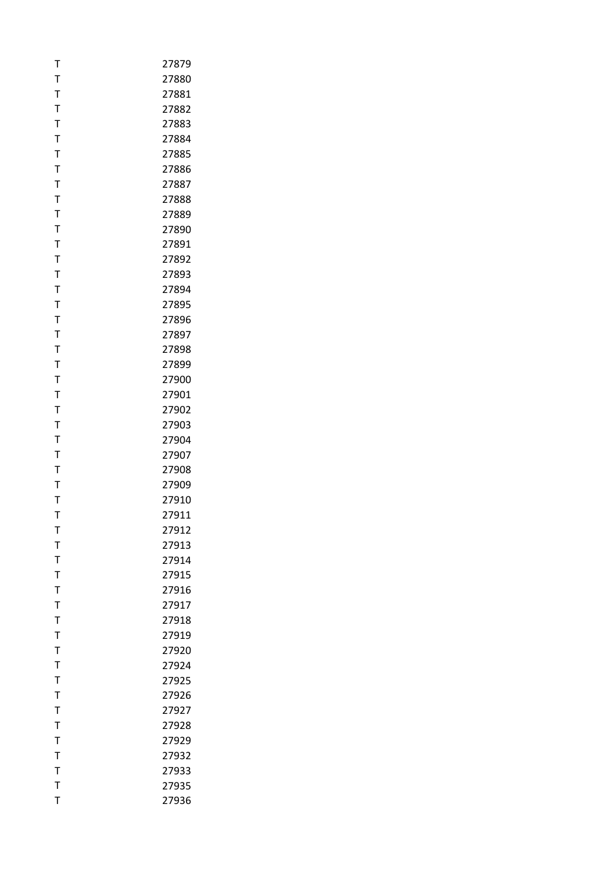| т            | 27879 |
|--------------|-------|
| T            | 27880 |
| T            | 27881 |
| T            | 27882 |
| $\mathsf{T}$ | 27883 |
| T            | 27884 |
| T            | 27885 |
| T            | 27886 |
| T            | 27887 |
| T            | 27888 |
| Т            | 27889 |
| T            | 27890 |
| T            | 27891 |
| $\mathsf{T}$ | 27892 |
| T            | 27893 |
| T            | 27894 |
| $\mathsf{T}$ | 27895 |
| T            | 27896 |
| T            | 27897 |
| Т            | 27898 |
| T            | 27899 |
| $\mathsf{T}$ | 27900 |
| T            | 27901 |
| T            | 27902 |
| Т            | 27903 |
| T            | 27904 |
| T            | 27907 |
| T            | 27908 |
| T            | 27909 |
| Т            | 27910 |
| T            | 27911 |
| т            | 27912 |
| T            | 27913 |
| T            | 27914 |
| $\mathsf{T}$ | 27915 |
| $\bar{1}$    | 27916 |
| T            | 27917 |
| T            | 27918 |
| T            | 27919 |
| T            | 27920 |
| $\mathsf{T}$ | 27924 |
| T            | 27925 |
| T            | 27926 |
| T            | 27927 |
| $\mathsf T$  | 27928 |
| T            | 27929 |
| T            | 27932 |
| $\mathsf{T}$ | 27933 |
| T            | 27935 |
| T            | 27936 |
|              |       |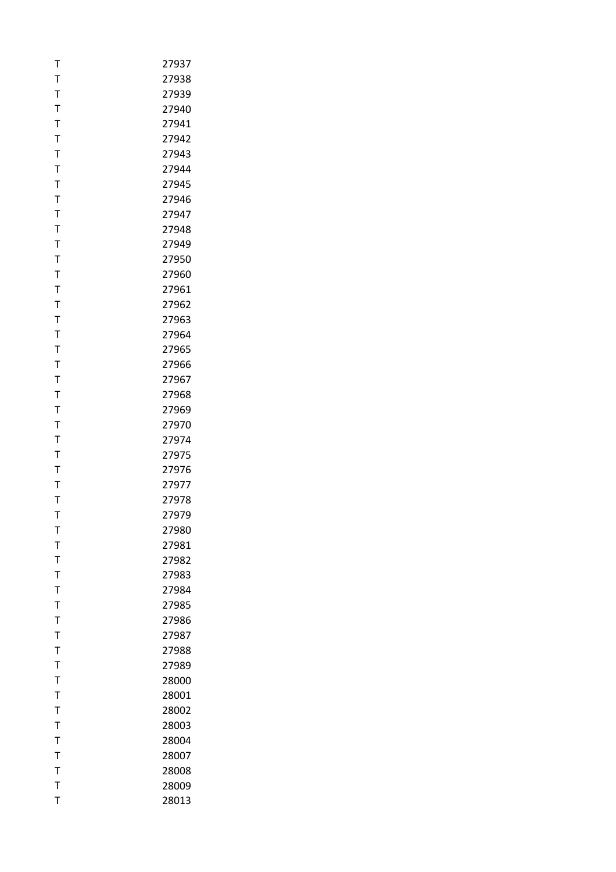| Т            | 27937 |
|--------------|-------|
| T            | 27938 |
| T            | 27939 |
| T            | 27940 |
| $\mathsf{T}$ | 27941 |
| T            | 27942 |
| T            | 27943 |
| T            | 27944 |
| $\mathsf{T}$ | 27945 |
| $\mathsf{T}$ | 27946 |
| Т            | 27947 |
| T            | 27948 |
| T            | 27949 |
| T            | 27950 |
| T            | 27960 |
| Т            | 27961 |
| T            | 27962 |
| T            | 27963 |
| T            | 27964 |
| T            | 27965 |
| T            | 27966 |
| $\mathsf{T}$ | 27967 |
| T            | 27968 |
| $\mathsf{T}$ | 27969 |
| T            | 27970 |
| T            | 27974 |
| T            | 27975 |
| T            | 27976 |
| T            | 27977 |
| Т            | 27978 |
| T            | 27979 |
| т            | 27980 |
| T            | 27981 |
| T            | 27982 |
| T            | 27983 |
| T            | 27984 |
| T            | 27985 |
| Т            | 27986 |
| T            | 27987 |
| T            | 27988 |
| T            | 27989 |
| Т            | 28000 |
| T            | 28001 |
| T            | 28002 |
| T            | 28003 |
| T            | 28004 |
| T            | 28007 |
| T            | 28008 |
| T            | 28009 |
| T            | 28013 |
|              |       |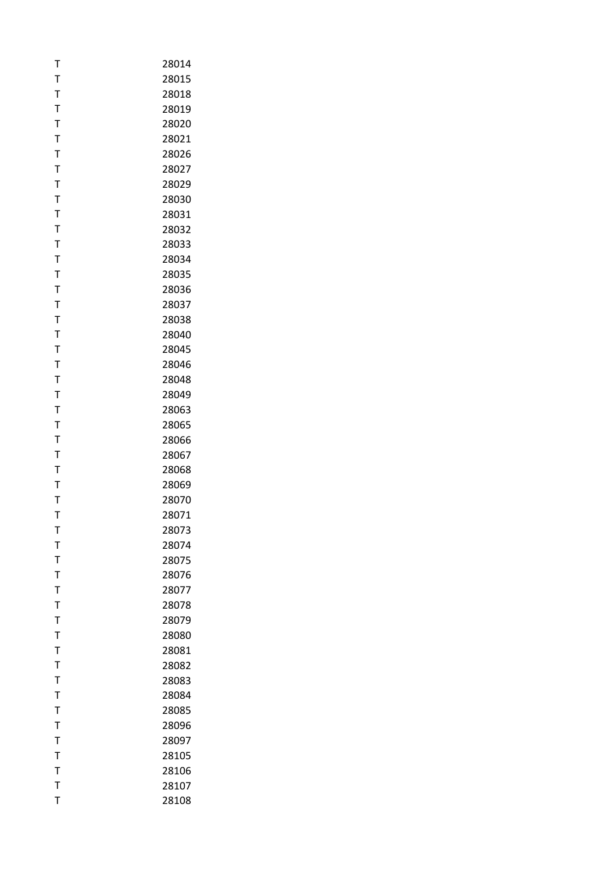| Т | 28014 |
|---|-------|
| T | 28015 |
| T | 28018 |
| T | 28019 |
| T | 28020 |
| T | 28021 |
| T | 28026 |
| T | 28027 |
| T | 28029 |
| T | 28030 |
| Т | 28031 |
| T | 28032 |
| T | 28033 |
| T | 28034 |
| T | 28035 |
| Т | 28036 |
| T | 28037 |
| T | 28038 |
| T | 28040 |
| T | 28045 |
| T |       |
| T | 28046 |
| T | 28048 |
|   | 28049 |
| T | 28063 |
| T | 28065 |
| Т | 28066 |
| T | 28067 |
| T | 28068 |
| T | 28069 |
| Т | 28070 |
| T | 28071 |
| т | 28073 |
| T | 28074 |
| T | 28075 |
| T | 28076 |
| T | 28077 |
| T | 28078 |
| Т | 28079 |
| Т | 28080 |
| T | 28081 |
| T | 28082 |
| Т | 28083 |
| T | 28084 |
| T | 28085 |
| T | 28096 |
| T | 28097 |
| Т | 28105 |
| T | 28106 |
| T | 28107 |
| T | 28108 |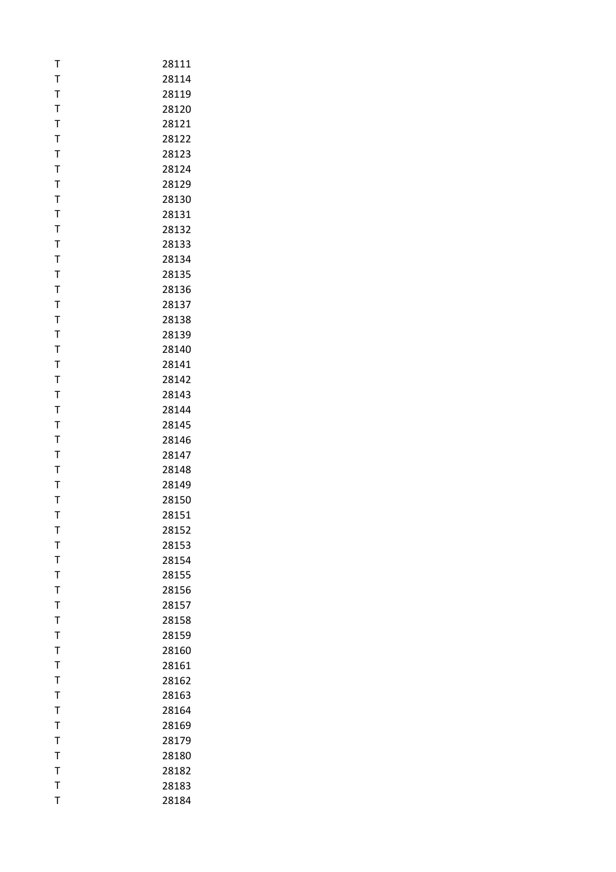| T              | 28111          |
|----------------|----------------|
| T              | 28114          |
| T              | 28119          |
| T              | 28120          |
| $\mathsf{T}$   | 28121          |
| T              | 28122          |
| T              | 28123          |
| T              | 28124          |
| T              | 28129          |
| $\mathsf T$    | 28130          |
| Τ              | 28131          |
| T              | 28132          |
| $\mathsf T$    | 28133          |
| T              | 28134          |
| T              | 28135          |
| Τ              | 28136          |
| T              | 28137          |
| T              | 28138          |
| T              | 28139          |
| $\mathsf T$    | 28140          |
| T              | 28141          |
| T              | 28142          |
| T              | 28143          |
| T              | 28144          |
| T              | 28145          |
| T              |                |
| T              | 28146<br>28147 |
| T              | 28148          |
| T              |                |
|                | 28149          |
| Τ<br>T         | 28150<br>28151 |
|                | 28152          |
| т              |                |
| T<br>T         | 28153          |
|                | 28154          |
| T              | 28155          |
| T<br>T         | 28156          |
|                | 28157          |
| T              | 28158          |
| T              | 28159          |
| T              | 28160          |
| T              | 28161          |
| T              | 28162          |
| $\mathsf{T}$   | 28163          |
| $\overline{1}$ | 28164          |
| $\mathsf{T}$   | 28169          |
| T              | 28179          |
| T              | 28180          |
| $\mathsf{T}$   | 28182          |
| T              | 28183          |
| T              | 28184          |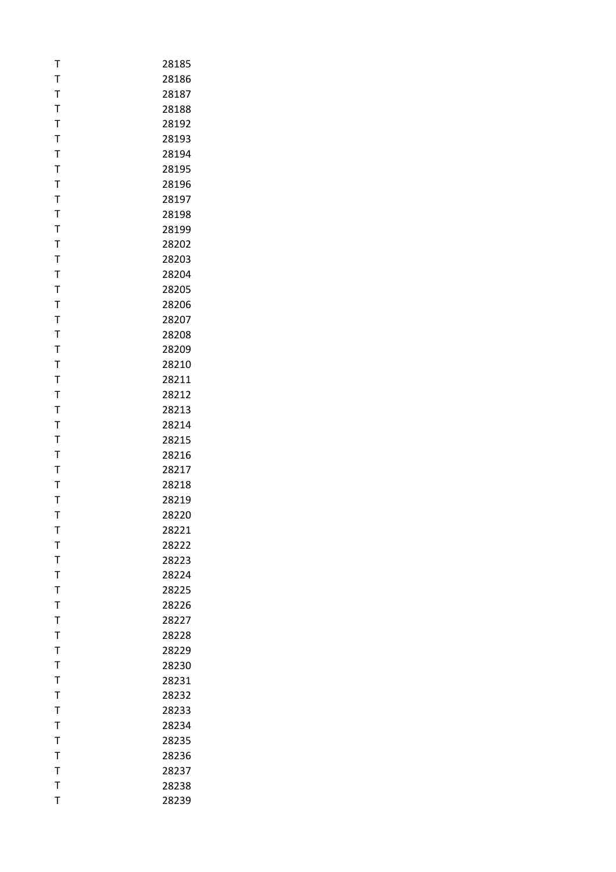| T            | 28185 |
|--------------|-------|
| T            | 28186 |
| T            | 28187 |
| T            | 28188 |
| $\mathsf{T}$ | 28192 |
| T            | 28193 |
| T            | 28194 |
| T            | 28195 |
| T            | 28196 |
| $\mathsf{T}$ | 28197 |
| T            | 28198 |
| T            | 28199 |
| $\mathsf T$  | 28202 |
| T            | 28203 |
| T            | 28204 |
| Τ            | 28205 |
| T            | 28206 |
| T            | 28207 |
| T            | 28208 |
| T            | 28209 |
| T            | 28210 |
| $\mathsf{T}$ | 28211 |
| T            | 28212 |
| T            | 28213 |
| T            | 28214 |
| T            | 28215 |
| T            | 28216 |
| T            | 28217 |
| T            | 28218 |
| T            | 28219 |
| T            | 28220 |
| т            | 28221 |
| T            | 28222 |
| T            | 28223 |
| T            | 28224 |
| T            | 28225 |
| T            | 28226 |
| T            | 28227 |
| T            | 28228 |
| T            | 28229 |
| T            | 28230 |
| T            | 28231 |
| T            | 28232 |
| T            | 28233 |
| $\mathsf{T}$ | 28234 |
| T            | 28235 |
| T            | 28236 |
| $\mathsf{T}$ | 28237 |
| $\mathsf{T}$ | 28238 |
| T            | 28239 |
|              |       |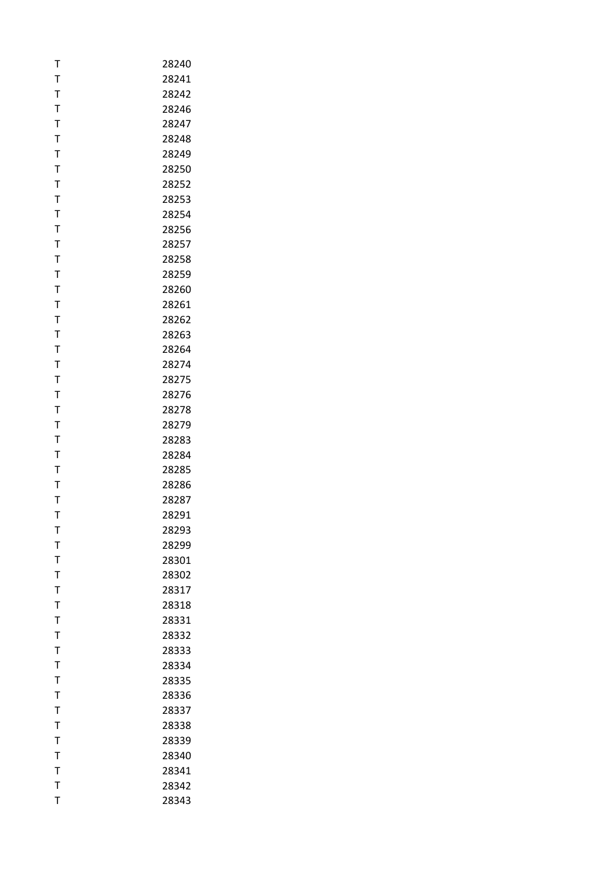| T            | 28240 |
|--------------|-------|
| T            | 28241 |
| T            | 28242 |
| T            | 28246 |
| $\mathsf{T}$ | 28247 |
| T            | 28248 |
| T            | 28249 |
| T            | 28250 |
| T            | 28252 |
| T            | 28253 |
| Т            | 28254 |
| T            | 28256 |
| T            | 28257 |
| T            | 28258 |
| T            | 28259 |
| Τ            | 28260 |
| T            | 28261 |
| T            | 28262 |
| T            | 28263 |
| T            | 28264 |
| T            | 28274 |
| $\mathsf{T}$ | 28275 |
| T            | 28276 |
| T            | 28278 |
| T            | 28279 |
| T            | 28283 |
| T            | 28284 |
| T            | 28285 |
| T            | 28286 |
| Т            | 28287 |
| T            | 28291 |
| т            | 28293 |
| T            | 28299 |
| T            | 28301 |
| T            | 28302 |
| T            | 28317 |
| T            | 28318 |
| T            | 28331 |
| T            | 28332 |
| T            | 28333 |
| $\mathsf{T}$ | 28334 |
| T            | 28335 |
| T            | 28336 |
| T            | 28337 |
| $\mathsf{T}$ | 28338 |
| T            | 28339 |
| T            | 28340 |
| $\mathsf{T}$ | 28341 |
| T            | 28342 |
| T            | 28343 |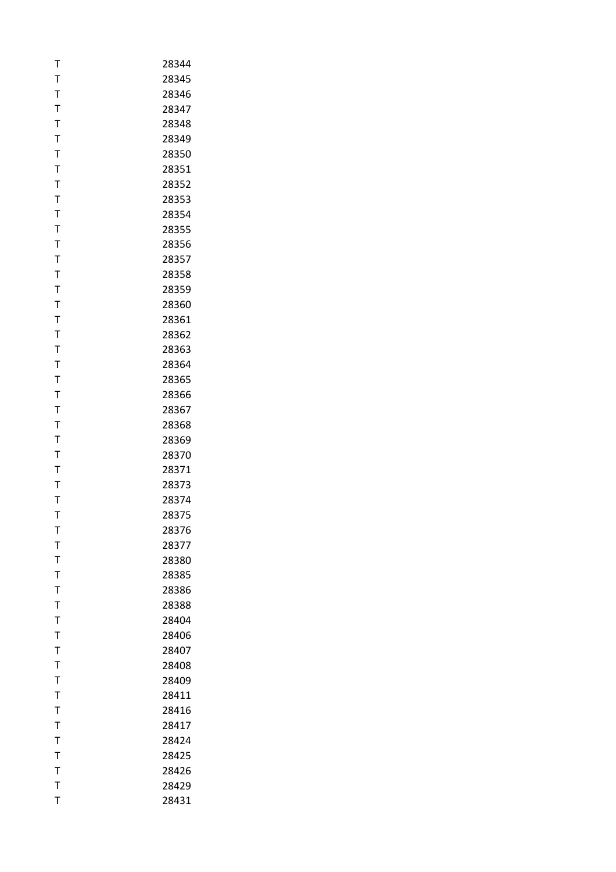| T            | 28344 |
|--------------|-------|
| T            | 28345 |
| T            | 28346 |
| T            | 28347 |
| $\mathsf{T}$ | 28348 |
| T            | 28349 |
| T            | 28350 |
| T            | 28351 |
| T            | 28352 |
| $\mathsf T$  | 28353 |
| T            | 28354 |
| T            | 28355 |
| $\mathsf T$  | 28356 |
| T            | 28357 |
| T            | 28358 |
| Τ            | 28359 |
|              |       |
| T            | 28360 |
| T            | 28361 |
| T            | 28362 |
| T            | 28363 |
| T            | 28364 |
| $\mathsf T$  | 28365 |
| T            | 28366 |
| T            | 28367 |
| T            | 28368 |
| T            | 28369 |
| T            | 28370 |
| T            | 28371 |
| T            | 28373 |
| T            | 28374 |
| T            | 28375 |
| т            | 28376 |
| T            | 28377 |
| $\mathsf T$  | 28380 |
| $\mathsf T$  | 28385 |
| $\mathsf T$  | 28386 |
| T            | 28388 |
| Τ            | 28404 |
| T            | 28406 |
| T            | 28407 |
| $\mathsf T$  | 28408 |
| T            | 28409 |
| T            | 28411 |
| T            | 28416 |
| T            | 28417 |
| T            | 28424 |
| T            | 28425 |
| T            | 28426 |
| T            | 28429 |
| T            | 28431 |
|              |       |